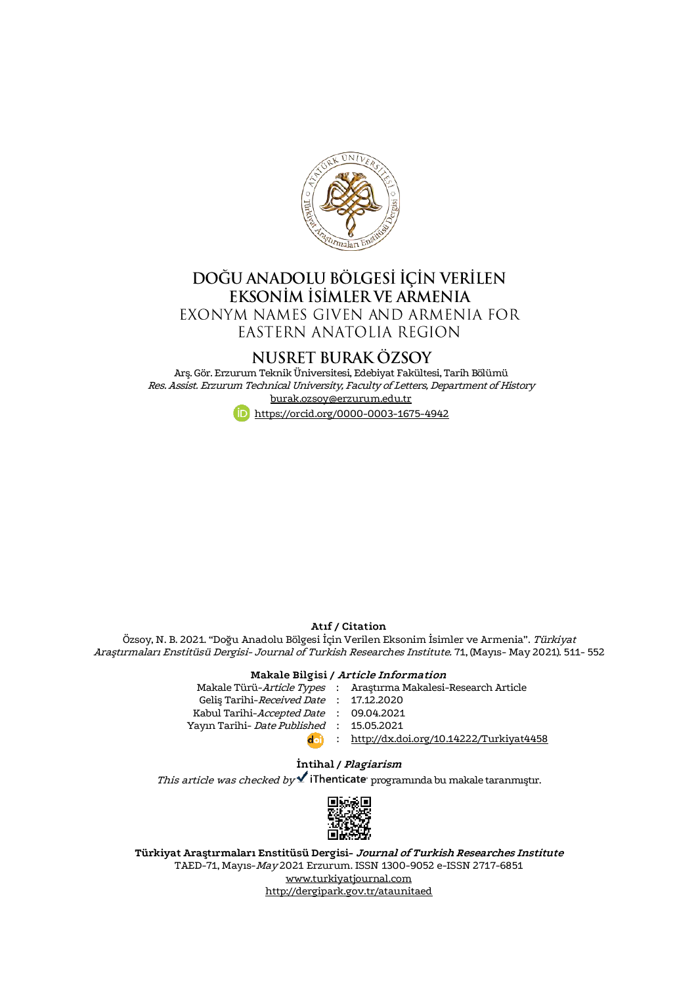

# DOĞU ANADOLU BÖLGESİ İÇİN VERİLEN<br>EKSONİM İSİMLER VE ARMENIA EXONYM NAMES GIVEN AND ARMENIA FOR

EASTERN ANATOLIA REGION

# NUSRET BURAK ÖZSOY

Arş. Gör. Erzurum Teknik Üniversitesi, Edebiyat Fakültesi, Tarih Bölümü Res. Assist. Erzurum Technical University, Faculty of Letters, Department of History [burak.ozsoy@erzurum.edu.tr](mailto:burak.ozsoy@erzurum.edu.tr)



#### **Atıf / Citation**

Özsoy, N. B. 2021. "Doğu Anadolu Bölgesi İçin Verilen Eksonim İsimler ve Armenia". Türkiyat Araştırmaları Enstitüsü Dergisi- Journal of Turkish Researches Institute. 71, (Mayıs- May 2021). 511- 552

## **Makale Bilgisi / Article Information**

| Makale Türü-Article Types : Araştırma Makalesi-Research Article |
|-----------------------------------------------------------------|
| Gelis Tarihi-Received Date: 17,12,2020                          |
| Kabul Tarihi-Accepted Date : 09.04.2021                         |
| Yayın Tarihi- <i>Date Published</i> : 15.05.2021                |
| : http://dx.doi.org/10.14222/Turkiyat4458                       |
|                                                                 |

#### **İntihal / Plagiarism**

This article was checked by  $\blacktriangledown$  iThenticate programinda bu makale taranmıştır.



**Türkiyat Araştırmaları Enstitüsü Dergisi- Journal of Turkish Researches Institute** TAED-71, Mayıs-May 2021 Erzurum. ISSN 1300-9052 e-ISSN 2717-6851 [www.turkiyatjournal.com](http://www.turkiyatjournal.com/) <http://dergipark.gov.tr/ataunitaed>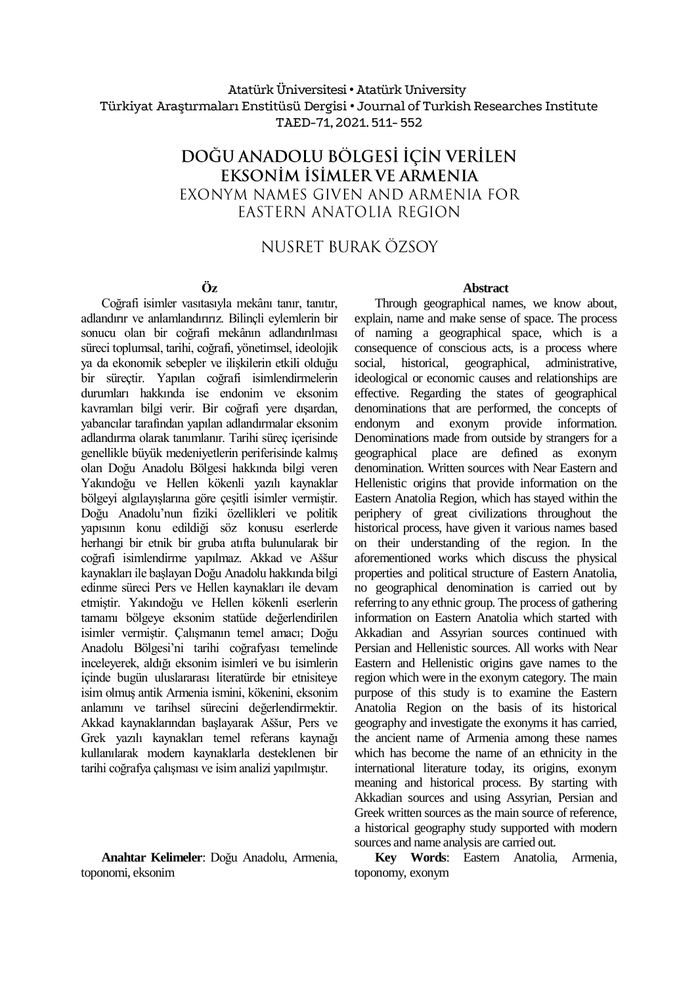### Atatürk Üniversitesi• Atatürk University Türkiyat Araştırmaları Enstitüsü Dergisi • Journal of Turkish Researches Institute TAED-71, 2021. 511- 552

# DOĞU ANADOLU BÖLGESİ İCİN VERİLEN eksoním ísímler ve armenia EXONYM NAMES GIVEN AND ARMENIA FOR EASTERN ANATOLIA REGION

# NUSRET BURAK ÖZSOY

### **Öz**

Coğrafi isimler vasıtasıyla mekânı tanır, tanıtır, adlandırır ve anlamlandırırız. Bilinçli eylemlerin bir sonucu olan bir coğrafi mekânın adlandırılması süreci toplumsal, tarihi, coğrafi, yönetimsel, ideolojik ya da ekonomik sebepler ve ilişkilerin etkili olduğu bir süreçtir. Yapılan coğrafi isimlendirmelerin durumları hakkında ise endonim ve eksonim kavramları bilgi verir. Bir coğrafi yere dışardan, yabancılar tarafından yapılan adlandırmalar eksonim adlandırma olarak tanımlanır. Tarihi süreç içerisinde genellikle büyük medeniyetlerin periferisinde kalmış olan Doğu Anadolu Bölgesi hakkında bilgi veren Yakındoğu ve Hellen kökenli yazılı kaynaklar bölgeyi algılayışlarına göre çeşitli isimler vermiştir. Doğu Anadolu'nun fiziki özellikleri ve politik yapısının konu edildiği söz konusu eserlerde herhangi bir etnik bir gruba atıfta bulunularak bir coğrafi isimlendirme yapılmaz. Akkad ve Aššur kaynakları ile başlayan Doğu Anadolu hakkında bilgi edinme süreci Pers ve Hellen kaynakları ile devam etmiştir. Yakındoğu ve Hellen kökenli eserlerin tamamı bölgeye eksonim statüde değerlendirilen isimler vermiştir. Çalışmanın temel amacı; Doğu Anadolu Bölgesi'ni tarihi coğrafyası temelinde inceleyerek, aldığı eksonim isimleri ve bu isimlerin içinde bugün uluslararası literatürde bir etnisiteye isim olmuş antik Armenia ismini, kökenini, eksonim anlamını ve tarihsel sürecini değerlendirmektir. Akkad kaynaklarından başlayarak Aššur, Pers ve Grek yazılı kaynakları temel referans kaynağı kullanılarak modern kaynaklarla desteklenen bir tarihi coğrafya çalışması ve isim analizi yapılmıştır.

**Anahtar Kelimeler**: Doğu Anadolu, Armenia, toponomi, eksonim

#### **Abstract**

Through geographical names, we know about, explain, name and make sense of space. The process of naming a geographical space, which is a consequence of conscious acts, is a process where social, historical, geographical, administrative, ideological or economic causes and relationships are effective. Regarding the states of geographical denominations that are performed, the concepts of endonym and exonym provide information. Denominations made from outside by strangers for a geographical place are defined as exonym denomination. Written sources with Near Eastern and Hellenistic origins that provide information on the Eastern Anatolia Region, which has stayed within the periphery of great civilizations throughout the historical process, have given it various names based on their understanding of the region. In the aforementioned works which discuss the physical properties and political structure of Eastern Anatolia, no geographical denomination is carried out by referring to any ethnic group. The process of gathering information on Eastern Anatolia which started with Akkadian and Assyrian sources continued with Persian and Hellenistic sources. All works with Near Eastern and Hellenistic origins gave names to the region which were in the exonym category. The main purpose of this study is to examine the Eastern Anatolia Region on the basis of its historical geography and investigate the exonyms it has carried, the ancient name of Armenia among these names which has become the name of an ethnicity in the international literature today, its origins, exonym meaning and historical process. By starting with Akkadian sources and using Assyrian, Persian and Greek written sources as the main source of reference, a historical geography study supported with modern sources and name analysis are carried out.

**Key Words**: Eastern Anatolia, Armenia, toponomy, exonym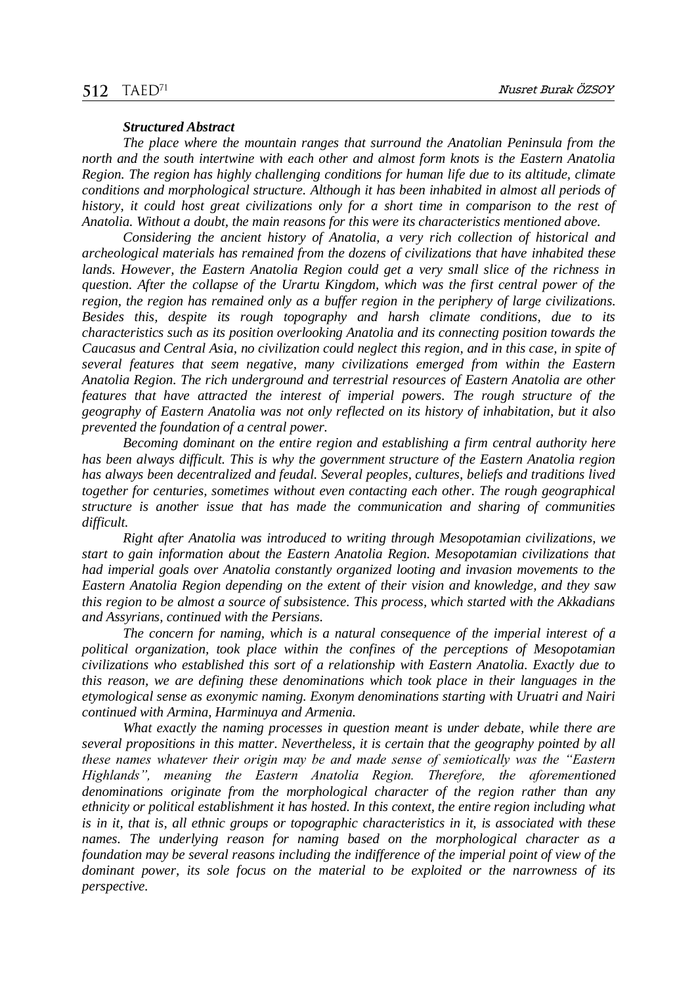#### *Structured Abstract*

*The place where the mountain ranges that surround the Anatolian Peninsula from the north and the south intertwine with each other and almost form knots is the Eastern Anatolia Region. The region has highly challenging conditions for human life due to its altitude, climate conditions and morphological structure. Although it has been inhabited in almost all periods of history, it could host great civilizations only for a short time in comparison to the rest of Anatolia. Without a doubt, the main reasons for this were its characteristics mentioned above.* 

*Considering the ancient history of Anatolia, a very rich collection of historical and archeological materials has remained from the dozens of civilizations that have inhabited these*  lands. However, the Eastern Anatolia Region could get a very small slice of the richness in *question. After the collapse of the Urartu Kingdom, which was the first central power of the region, the region has remained only as a buffer region in the periphery of large civilizations. Besides this, despite its rough topography and harsh climate conditions, due to its characteristics such as its position overlooking Anatolia and its connecting position towards the Caucasus and Central Asia, no civilization could neglect this region, and in this case, in spite of several features that seem negative, many civilizations emerged from within the Eastern Anatolia Region. The rich underground and terrestrial resources of Eastern Anatolia are other features that have attracted the interest of imperial powers. The rough structure of the geography of Eastern Anatolia was not only reflected on its history of inhabitation, but it also prevented the foundation of a central power.* 

*Becoming dominant on the entire region and establishing a firm central authority here*  has been always difficult. This is why the government structure of the Eastern Anatolia region *has always been decentralized and feudal. Several peoples, cultures, beliefs and traditions lived together for centuries, sometimes without even contacting each other. The rough geographical structure is another issue that has made the communication and sharing of communities difficult.* 

*Right after Anatolia was introduced to writing through Mesopotamian civilizations, we start to gain information about the Eastern Anatolia Region. Mesopotamian civilizations that had imperial goals over Anatolia constantly organized looting and invasion movements to the Eastern Anatolia Region depending on the extent of their vision and knowledge, and they saw this region to be almost a source of subsistence. This process, which started with the Akkadians and Assyrians, continued with the Persians.* 

*The concern for naming, which is a natural consequence of the imperial interest of a political organization, took place within the confines of the perceptions of Mesopotamian civilizations who established this sort of a relationship with Eastern Anatolia. Exactly due to this reason, we are defining these denominations which took place in their languages in the etymological sense as exonymic naming. Exonym denominations starting with Uruatri and Nairi continued with Armina, Harminuya and Armenia.* 

*What exactly the naming processes in question meant is under debate, while there are several propositions in this matter. Nevertheless, it is certain that the geography pointed by all these names whatever their origin may be and made sense of semiotically was the "Eastern Highlands", meaning the Eastern Anatolia Region. Therefore, the aforementioned denominations originate from the morphological character of the region rather than any ethnicity or political establishment it has hosted. In this context, the entire region including what is in it, that is, all ethnic groups or topographic characteristics in it, is associated with these names. The underlying reason for naming based on the morphological character as a foundation may be several reasons including the indifference of the imperial point of view of the dominant power, its sole focus on the material to be exploited or the narrowness of its perspective.*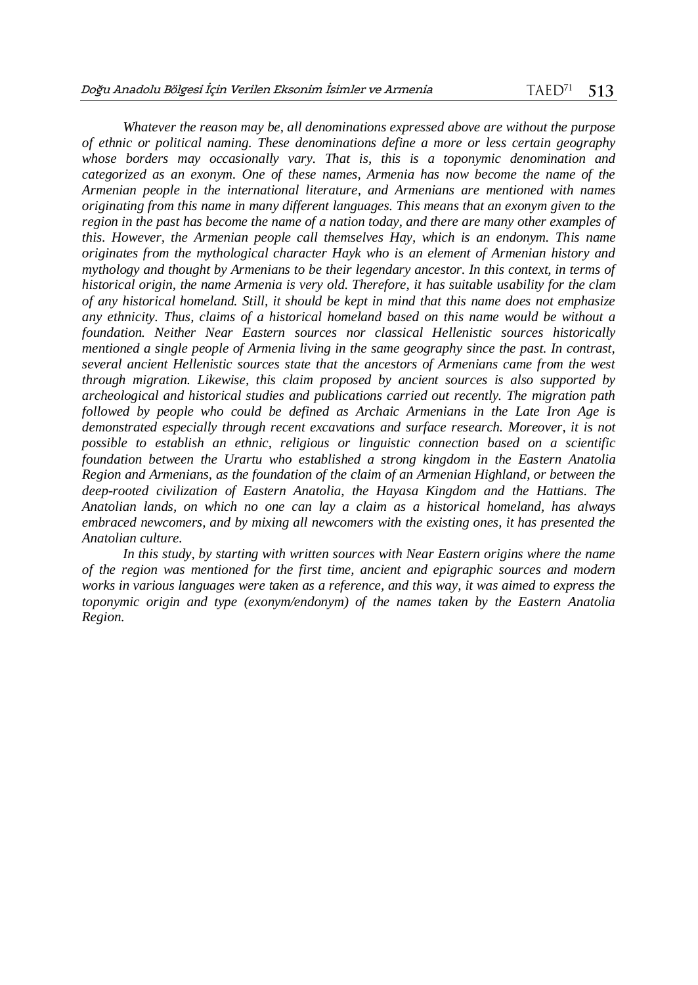*Whatever the reason may be, all denominations expressed above are without the purpose of ethnic or political naming. These denominations define a more or less certain geography whose borders may occasionally vary. That is, this is a toponymic denomination and categorized as an exonym. One of these names, Armenia has now become the name of the Armenian people in the international literature, and Armenians are mentioned with names originating from this name in many different languages. This means that an exonym given to the region in the past has become the name of a nation today, and there are many other examples of this. However, the Armenian people call themselves Hay, which is an endonym. This name originates from the mythological character Hayk who is an element of Armenian history and mythology and thought by Armenians to be their legendary ancestor. In this context, in terms of historical origin, the name Armenia is very old. Therefore, it has suitable usability for the clam of any historical homeland. Still, it should be kept in mind that this name does not emphasize any ethnicity. Thus, claims of a historical homeland based on this name would be without a foundation. Neither Near Eastern sources nor classical Hellenistic sources historically mentioned a single people of Armenia living in the same geography since the past. In contrast, several ancient Hellenistic sources state that the ancestors of Armenians came from the west through migration. Likewise, this claim proposed by ancient sources is also supported by archeological and historical studies and publications carried out recently. The migration path followed by people who could be defined as Archaic Armenians in the Late Iron Age is demonstrated especially through recent excavations and surface research. Moreover, it is not possible to establish an ethnic, religious or linguistic connection based on a scientific foundation between the Urartu who established a strong kingdom in the Eastern Anatolia Region and Armenians, as the foundation of the claim of an Armenian Highland, or between the deep-rooted civilization of Eastern Anatolia, the Hayasa Kingdom and the Hattians. The Anatolian lands, on which no one can lay a claim as a historical homeland, has always embraced newcomers, and by mixing all newcomers with the existing ones, it has presented the Anatolian culture.* 

*In this study, by starting with written sources with Near Eastern origins where the name of the region was mentioned for the first time, ancient and epigraphic sources and modern works in various languages were taken as a reference, and this way, it was aimed to express the toponymic origin and type (exonym/endonym) of the names taken by the Eastern Anatolia Region.*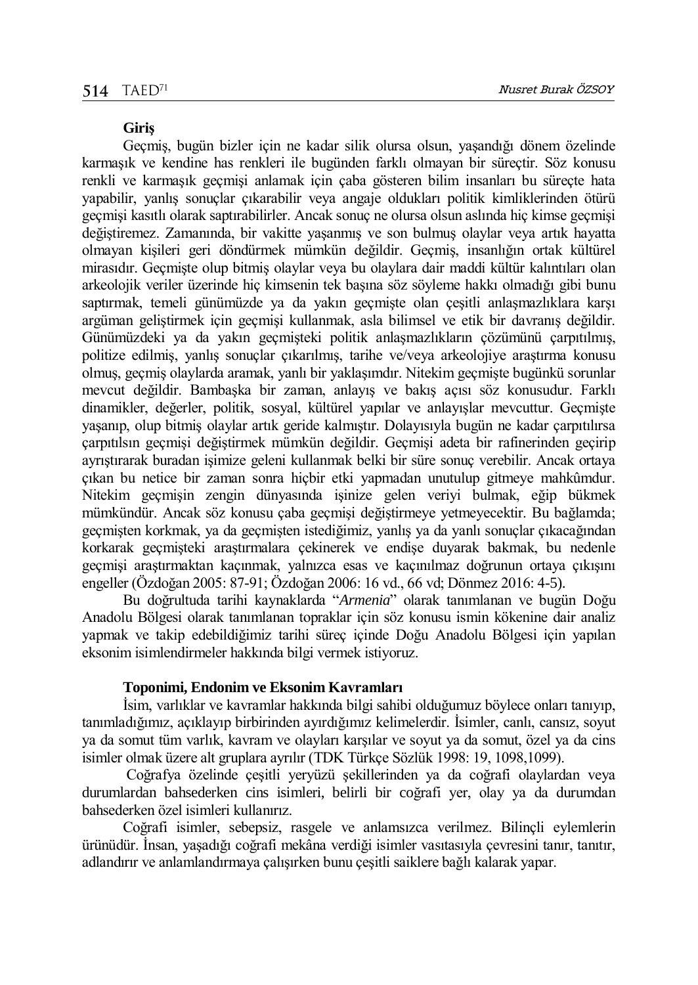#### **Giriş**

Geçmiş, bugün bizler için ne kadar silik olursa olsun, yaşandığı dönem özelinde karmaşık ve kendine has renkleri ile bugünden farklı olmayan bir süreçtir. Söz konusu renkli ve karmaşık geçmişi anlamak için çaba gösteren bilim insanları bu süreçte hata yapabilir, yanlış sonuçlar çıkarabilir veya angaje oldukları politik kimliklerinden ötürü geçmişi kasıtlı olarak saptırabilirler. Ancak sonuç ne olursa olsun aslında hiç kimse geçmişi değiştiremez. Zamanında, bir vakitte yaşanmış ve son bulmuş olaylar veya artık hayatta olmayan kişileri geri döndürmek mümkün değildir. Geçmiş, insanlığın ortak kültürel mirasıdır. Geçmişte olup bitmiş olaylar veya bu olaylara dair maddi kültür kalıntıları olan arkeolojik veriler üzerinde hiç kimsenin tek başına söz söyleme hakkı olmadığı gibi bunu saptırmak, temeli günümüzde ya da yakın geçmişte olan çeşitli anlaşmazlıklara karşı argüman geliştirmek için geçmişi kullanmak, asla bilimsel ve etik bir davranış değildir. Günümüzdeki ya da yakın geçmişteki politik anlaşmazlıkların çözümünü çarpıtılmış, politize edilmiş, yanlış sonuçlar çıkarılmış, tarihe ve/veya arkeolojiye araştırma konusu olmuş, geçmiş olaylarda aramak, yanlı bir yaklaşımdır. Nitekim geçmişte bugünkü sorunlar mevcut değildir. Bambaşka bir zaman, anlayış ve bakış açısı söz konusudur. Farklı dinamikler, değerler, politik, sosyal, kültürel yapılar ve anlayışlar mevcuttur. Geçmişte yaşanıp, olup bitmiş olaylar artık geride kalmıştır. Dolayısıyla bugün ne kadar çarpıtılırsa çarpıtılsın geçmişi değiştirmek mümkün değildir. Geçmişi adeta bir rafinerinden geçirip ayrıştırarak buradan işimize geleni kullanmak belki bir süre sonuç verebilir. Ancak ortaya çıkan bu netice bir zaman sonra hiçbir etki yapmadan unutulup gitmeye mahkûmdur. Nitekim geçmişin zengin dünyasında işinize gelen veriyi bulmak, eğip bükmek mümkündür. Ancak söz konusu çaba geçmişi değiştirmeye yetmeyecektir. Bu bağlamda; geçmişten korkmak, ya da geçmişten istediğimiz, yanlış ya da yanlı sonuçlar çıkacağından korkarak geçmişteki araştırmalara çekinerek ve endişe duyarak bakmak, bu nedenle geçmişi araştırmaktan kaçınmak, yalnızca esas ve kaçınılmaz doğrunun ortaya çıkışını engeller (Özdoğan 2005: 87-91; Özdoğan 2006: 16 vd., 66 vd; Dönmez 2016: 4-5).

Bu doğrultuda tarihi kaynaklarda "*Armenia*" olarak tanımlanan ve bugün Doğu Anadolu Bölgesi olarak tanımlanan topraklar için söz konusu ismin kökenine dair analiz yapmak ve takip edebildiğimiz tarihi süreç içinde Doğu Anadolu Bölgesi için yapılan eksonim isimlendirmeler hakkında bilgi vermek istiyoruz.

#### **Toponimi, Endonim ve Eksonim Kavramları**

İsim, varlıklar ve kavramlar hakkında bilgi sahibi olduğumuz böylece onları tanıyıp, tanımladığımız, açıklayıp birbirinden ayırdığımız kelimelerdir. İsimler, canlı, cansız, soyut ya da somut tüm varlık, kavram ve olayları karşılar ve soyut ya da somut, özel ya da cins isimler olmak üzere alt gruplara ayrılır (TDK Türkçe Sözlük 1998: 19, 1098,1099).

Coğrafya özelinde çeşitli yeryüzü şekillerinden ya da coğrafi olaylardan veya durumlardan bahsederken cins isimleri, belirli bir coğrafi yer, olay ya da durumdan bahsederken özel isimleri kullanırız.

Coğrafi isimler, sebepsiz, rasgele ve anlamsızca verilmez. Bilinçli eylemlerin ürünüdür. İnsan, yaşadığı coğrafi mekâna verdiği isimler vasıtasıyla çevresini tanır, tanıtır, adlandırır ve anlamlandırmaya çalışırken bunu çeşitli saiklere bağlı kalarak yapar.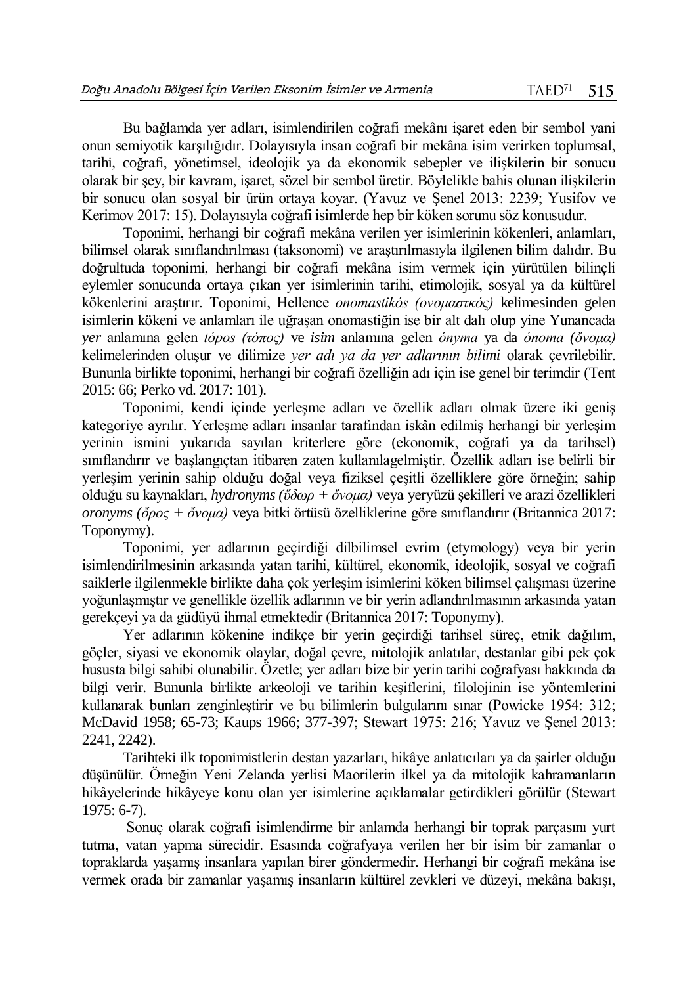Bu bağlamda yer adları, isimlendirilen coğrafi mekânı işaret eden bir sembol yani onun semiyotik karşılığıdır. Dolayısıyla insan coğrafi bir mekâna isim verirken toplumsal, tarihi, coğrafi, yönetimsel, ideolojik ya da ekonomik sebepler ve ilişkilerin bir sonucu olarak bir şey, bir kavram, işaret, sözel bir sembol üretir. Böylelikle bahis olunan ilişkilerin bir sonucu olan sosyal bir ürün ortaya koyar. (Yavuz ve Şenel 2013: 2239; Yusifov ve Kerimov 2017: 15). Dolayısıyla coğrafi isimlerde hep bir köken sorunu söz konusudur.

Toponimi, herhangi bir coğrafi mekâna verilen yer isimlerinin kökenleri, anlamları, bilimsel olarak sınıflandırılması (taksonomi) ve araştırılmasıyla ilgilenen bilim dalıdır. Bu doğrultuda toponimi, herhangi bir coğrafi mekâna isim vermek için yürütülen bilinçli eylemler sonucunda ortaya çıkan yer isimlerinin tarihi, etimolojik, sosyal ya da kültürel kökenlerini araştırır. Toponimi, Hellence *onomastikós (ονομαστκός)* kelimesinden gelen isimlerin kökeni ve anlamları ile uğraşan onomastiğin ise bir alt dalı olup yine Yunancada *yer* anlamına gelen *tópos (τόπος)* ve *isim* anlamına gelen *ónyma* ya da *ónoma (ὄνομα)* kelimelerinden oluşur ve dilimize *yer adı ya da yer adlarının bilimi* olarak çevrilebilir. Bununla birlikte toponimi, herhangi bir coğrafi özelliğin adı için ise genel bir terimdir (Tent 2015: 66; Perko vd. 2017: 101).

Toponimi, kendi içinde yerleşme adları ve özellik adları olmak üzere iki geniş kategoriye ayrılır. Yerleşme adları insanlar tarafından iskân edilmiş herhangi bir yerleşim yerinin ismini yukarıda sayılan kriterlere göre (ekonomik, coğrafi ya da tarihsel) sınıflandırır ve başlangıçtan itibaren zaten kullanılagelmiştir. Özellik adları ise belirli bir yerleşim yerinin sahip olduğu doğal veya fiziksel çeşitli özelliklere göre örneğin; sahip olduğu su kaynakları, *hydronyms (ὕδωρ + ὄνομα)* veya yeryüzü şekilleri ve arazi özellikleri *oronyms (ὄρος + ὄνομα)* veya bitki örtüsü özelliklerine göre sınıflandırır (Britannica 2017: Toponymy).

Toponimi, yer adlarının geçirdiği dilbilimsel evrim (etymology) veya bir yerin isimlendirilmesinin arkasında yatan tarihi, kültürel, ekonomik, ideolojik, sosyal ve coğrafi saiklerle ilgilenmekle birlikte daha çok yerleşim isimlerini köken bilimsel çalışması üzerine yoğunlaşmıştır ve genellikle özellik adlarının ve bir yerin adlandırılmasının arkasında yatan gerekçeyi ya da güdüyü ihmal etmektedir (Britannica 2017: Toponymy).

Yer adlarının kökenine indikçe bir yerin geçirdiği tarihsel süreç, etnik dağılım, göçler, siyasi ve ekonomik olaylar, doğal çevre, mitolojik anlatılar, destanlar gibi pek çok hususta bilgi sahibi olunabilir. Özetle; yer adları bize bir yerin tarihi coğrafyası hakkında da bilgi verir. Bununla birlikte arkeoloji ve tarihin keşiflerini, filolojinin ise yöntemlerini kullanarak bunları zenginleştirir ve bu bilimlerin bulgularını sınar (Powicke 1954: 312; McDavid 1958; 65-73; Kaups 1966; 377-397; Stewart 1975: 216; Yavuz ve Şenel 2013: 2241, 2242).

Tarihteki ilk toponimistlerin destan yazarları, hikâye anlatıcıları ya da şairler olduğu düşünülür. Örneğin Yeni Zelanda yerlisi Maorilerin ilkel ya da mitolojik kahramanların hikâyelerinde hikâyeye konu olan yer isimlerine açıklamalar getirdikleri görülür (Stewart 1975: 6-7).

Sonuç olarak coğrafi isimlendirme bir anlamda herhangi bir toprak parçasını yurt tutma, vatan yapma sürecidir. Esasında coğrafyaya verilen her bir isim bir zamanlar o topraklarda yaşamış insanlara yapılan birer göndermedir. Herhangi bir coğrafi mekâna ise vermek orada bir zamanlar yaşamış insanların kültürel zevkleri ve düzeyi, mekâna bakışı,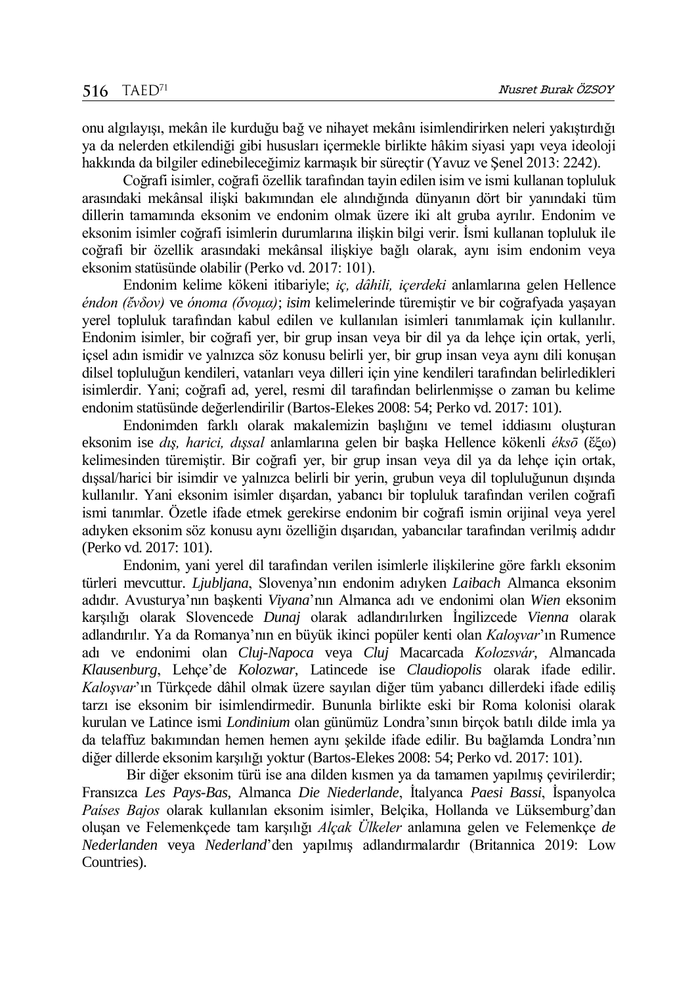onu algılayışı, mekân ile kurduğu bağ ve nihayet mekânı isimlendirirken neleri yakıştırdığı ya da nelerden etkilendiği gibi hususları içermekle birlikte hâkim siyasi yapı veya ideoloji hakkında da bilgiler edinebileceğimiz karmaşık bir süreçtir (Yavuz ve Şenel 2013: 2242).

Coğrafi isimler, coğrafi özellik tarafından tayin edilen isim ve ismi kullanan topluluk arasındaki mekânsal ilişki bakımından ele alındığında dünyanın dört bir yanındaki tüm dillerin tamamında eksonim ve endonim olmak üzere iki alt gruba ayrılır. Endonim ve eksonim isimler coğrafi isimlerin durumlarına ilişkin bilgi verir. İsmi kullanan topluluk ile coğrafi bir özellik arasındaki mekânsal ilişkiye bağlı olarak, aynı isim endonim veya eksonim statüsünde olabilir (Perko vd. 2017: 101).

Endonim kelime kökeni itibariyle; *iç, dâhili, içerdeki* anlamlarına gelen Hellence *éndon (ἔνδον)* ve *ónoma (ὄνομα)*; *isim* kelimelerinde türemiştir ve bir coğrafyada yaşayan yerel topluluk tarafından kabul edilen ve kullanılan isimleri tanımlamak için kullanılır. Endonim isimler, bir coğrafi yer, bir grup insan veya bir dil ya da lehçe için ortak, yerli, içsel adın ismidir ve yalnızca söz konusu belirli yer, bir grup insan veya aynı dili konuşan dilsel topluluğun kendileri, vatanları veya dilleri için yine kendileri tarafından belirledikleri isimlerdir. Yani; coğrafi ad, yerel, resmi dil tarafından belirlenmişse o zaman bu kelime endonim statüsünde değerlendirilir (Bartos-Elekes 2008: 54; Perko vd. 2017: 101).

Endonimden farklı olarak makalemizin başlığını ve temel iddiasını oluşturan eksonim ise *dış, harici, dışsal* anlamlarına gelen bir başka Hellence kökenli *éksō* (ἔξω) kelimesinden türemiştir. Bir coğrafi yer, bir grup insan veya dil ya da lehçe için ortak, dışsal/harici bir isimdir ve yalnızca belirli bir yerin, grubun veya dil topluluğunun dışında kullanılır. Yani eksonim isimler dışardan, yabancı bir topluluk tarafından verilen coğrafi ismi tanımlar. Özetle ifade etmek gerekirse endonim bir coğrafi ismin orijinal veya yerel adıyken eksonim söz konusu aynı özelliğin dışarıdan, yabancılar tarafından verilmiş adıdır (Perko vd. 2017: 101).

Endonim, yani yerel dil tarafından verilen isimlerle ilişkilerine göre farklı eksonim türleri mevcuttur. *Ljubljana*, Slovenya'nın endonim adıyken *Laibach* Almanca eksonim adıdır. Avusturya'nın başkenti *Viyana*'nın Almanca adı ve endonimi olan *Wien* eksonim karşılığı olarak Slovencede *Dunaj* olarak adlandırılırken İngilizcede *Vienna* olarak adlandırılır. Ya da Romanya'nın en büyük ikinci popüler kenti olan *Kaloşvar*'ın Rumence adı ve endonimi olan *Cluj-Napoca* veya *Cluj* Macarcada *Kolozsvár*, Almancada *Klausenburg*, Lehçe'de *Kolozwar*, Latincede ise *Claudiopolis* olarak ifade edilir. *Kaloşvar*'ın Türkçede dâhil olmak üzere sayılan diğer tüm yabancı dillerdeki ifade ediliş tarzı ise eksonim bir isimlendirmedir. Bununla birlikte eski bir Roma kolonisi olarak kurulan ve Latince ismi *Londinium* olan günümüz Londra'sının birçok batılı dilde imla ya da telaffuz bakımından hemen hemen aynı şekilde ifade edilir. Bu bağlamda Londra'nın diğer dillerde eksonim karşılığı yoktur (Bartos-Elekes 2008: 54; Perko vd. 2017: 101).

Bir diğer eksonim türü ise ana dilden kısmen ya da tamamen yapılmış çevirilerdir; Fransızca *Les Pays-Bas*, Almanca *Die Niederlande*, İtalyanca *Paesi Bassi*, İspanyolca *Países Bajos* olarak kullanılan eksonim isimler, Belçika, Hollanda ve Lüksemburg'dan oluşan ve Felemenkçede tam karşılığı *Alçak Ülkeler* anlamına gelen ve Felemenkçe *de Nederlanden* veya *Nederland*'den yapılmış adlandırmalardır (Britannica 2019: Low Countries).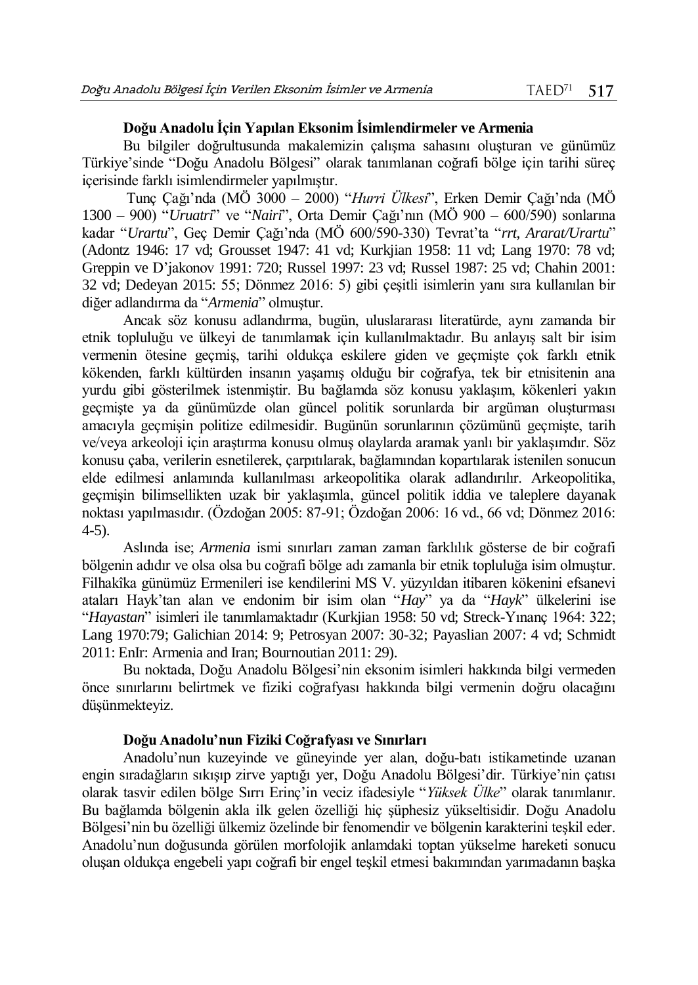## **Doğu Anadolu İçin Yapılan Eksonim İsimlendirmeler ve Armenia**

Bu bilgiler doğrultusunda makalemizin çalışma sahasını oluşturan ve günümüz Türkiye'sinde "Doğu Anadolu Bölgesi" olarak tanımlanan coğrafi bölge için tarihi süreç içerisinde farklı isimlendirmeler yapılmıştır.

Tunç Çağı'nda (MÖ 3000 – 2000) "*Hurri Ülkesi*", Erken Demir Çağı'nda (MÖ 1300 – 900) "*Uruatri*" ve "*Nairi*", Orta Demir Çağı'nın (MÖ 900 – 600/590) sonlarına kadar "*Urartu*", Geç Demir Çağı'nda (MÖ 600/590-330) Tevrat'ta "*rrt*, *Ararat/Urartu*" (Adontz 1946: 17 vd; Grousset 1947: 41 vd; Kurkjian 1958: 11 vd; Lang 1970: 78 vd; Greppin ve D'jakonov 1991: 720; Russel 1997: 23 vd; Russel 1987: 25 vd; Chahin 2001: 32 vd; Dedeyan 2015: 55; Dönmez 2016: 5) gibi çeşitli isimlerin yanı sıra kullanılan bir diğer adlandırma da "*Armenia*" olmuştur.

Ancak söz konusu adlandırma, bugün, uluslararası literatürde, aynı zamanda bir etnik topluluğu ve ülkeyi de tanımlamak için kullanılmaktadır. Bu anlayış salt bir isim vermenin ötesine geçmiş, tarihi oldukça eskilere giden ve geçmişte çok farklı etnik kökenden, farklı kültürden insanın yaşamış olduğu bir coğrafya, tek bir etnisitenin ana yurdu gibi gösterilmek istenmiştir. Bu bağlamda söz konusu yaklaşım, kökenleri yakın geçmişte ya da günümüzde olan güncel politik sorunlarda bir argüman oluşturması amacıyla geçmişin politize edilmesidir. Bugünün sorunlarının çözümünü geçmişte, tarih ve/veya arkeoloji için araştırma konusu olmuş olaylarda aramak yanlı bir yaklaşımdır. Söz konusu çaba, verilerin esnetilerek, çarpıtılarak, bağlamından kopartılarak istenilen sonucun elde edilmesi anlamında kullanılması arkeopolitika olarak adlandırılır. Arkeopolitika, geçmişin bilimsellikten uzak bir yaklaşımla, güncel politik iddia ve taleplere dayanak noktası yapılmasıdır. (Özdoğan 2005: 87-91; Özdoğan 2006: 16 vd., 66 vd; Dönmez 2016: 4-5).

Aslında ise; *Armenia* ismi sınırları zaman zaman farklılık gösterse de bir coğrafi bölgenin adıdır ve olsa olsa bu coğrafi bölge adı zamanla bir etnik topluluğa isim olmuştur. Filhakîka günümüz Ermenileri ise kendilerini MS V. yüzyıldan itibaren kökenini efsanevi ataları Hayk'tan alan ve endonim bir isim olan "*Hay*" ya da "*Hayk*" ülkelerini ise "*Hayastan*" isimleri ile tanımlamaktadır (Kurkjian 1958: 50 vd; Streck-Yınanç 1964: 322; Lang 1970:79; Galichian 2014: 9; Petrosyan 2007: 30-32; Payaslian 2007: 4 vd; Schmidt 2011: EnIr: Armenia and Iran; Bournoutian 2011: 29).

Bu noktada, Doğu Anadolu Bölgesi'nin eksonim isimleri hakkında bilgi vermeden önce sınırlarını belirtmek ve fiziki coğrafyası hakkında bilgi vermenin doğru olacağını düşünmekteyiz.

## **Doğu Anadolu'nun Fiziki Coğrafyası ve Sınırları**

Anadolu'nun kuzeyinde ve güneyinde yer alan, doğu-batı istikametinde uzanan engin sıradağların sıkışıp zirve yaptığı yer, Doğu Anadolu Bölgesi'dir. Türkiye'nin çatısı olarak tasvir edilen bölge Sırrı Erinç'in veciz ifadesiyle "*Yüksek Ülke*" olarak tanımlanır. Bu bağlamda bölgenin akla ilk gelen özelliği hiç şüphesiz yükseltisidir. Doğu Anadolu Bölgesi'nin bu özelliği ülkemiz özelinde bir fenomendir ve bölgenin karakterini teşkil eder. Anadolu'nun doğusunda görülen morfolojik anlamdaki toptan yükselme hareketi sonucu oluşan oldukça engebeli yapı coğrafi bir engel teşkil etmesi bakımından yarımadanın başka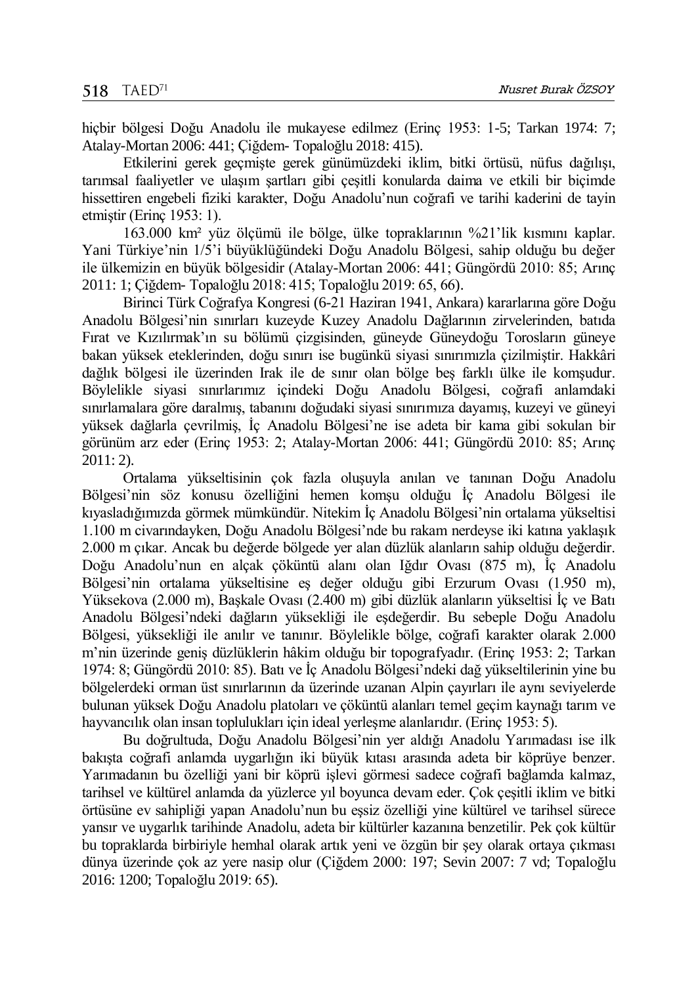hiçbir bölgesi Doğu Anadolu ile mukayese edilmez (Erinç 1953: 1-5; Tarkan 1974: 7; Atalay-Mortan 2006: 441; Çiğdem- Topaloğlu 2018: 415).

Etkilerini gerek geçmişte gerek günümüzdeki iklim, bitki örtüsü, nüfus dağılışı, tarımsal faaliyetler ve ulaşım şartları gibi çeşitli konularda daima ve etkili bir biçimde hissettiren engebeli fiziki karakter, Doğu Anadolu'nun coğrafi ve tarihi kaderini de tayin etmiştir (Erinç 1953: 1).

163.000 km² yüz ölçümü ile bölge, ülke topraklarının %21'lik kısmını kaplar. Yani Türkiye'nin 1/5'i büyüklüğündeki Doğu Anadolu Bölgesi, sahip olduğu bu değer ile ülkemizin en büyük bölgesidir (Atalay-Mortan 2006: 441; Güngördü 2010: 85; Arınç 2011: 1; Çiğdem- Topaloğlu 2018: 415; Topaloğlu 2019: 65, 66).

Birinci Türk Coğrafya Kongresi (6-21 Haziran 1941, Ankara) kararlarına göre Doğu Anadolu Bölgesi'nin sınırları kuzeyde Kuzey Anadolu Dağlarının zirvelerinden, batıda Fırat ve Kızılırmak'ın su bölümü çizgisinden, güneyde Güneydoğu Torosların güneye bakan yüksek eteklerinden, doğu sınırı ise bugünkü siyasi sınırımızla çizilmiştir. Hakkâri dağlık bölgesi ile üzerinden Irak ile de sınır olan bölge beş farklı ülke ile komşudur. Böylelikle siyasi sınırlarımız içindeki Doğu Anadolu Bölgesi, coğrafi anlamdaki sınırlamalara göre daralmış, tabanını doğudaki siyasi sınırımıza dayamış, kuzeyi ve güneyi yüksek dağlarla çevrilmiş, İç Anadolu Bölgesi'ne ise adeta bir kama gibi sokulan bir görünüm arz eder (Erinç 1953: 2; Atalay-Mortan 2006: 441; Güngördü 2010: 85; Arınç 2011: 2).

Ortalama yükseltisinin çok fazla oluşuyla anılan ve tanınan Doğu Anadolu Bölgesi'nin söz konusu özelliğini hemen komşu olduğu İç Anadolu Bölgesi ile kıyasladığımızda görmek mümkündür. Nitekim İç Anadolu Bölgesi'nin ortalama yükseltisi 1.100 m civarındayken, Doğu Anadolu Bölgesi'nde bu rakam nerdeyse iki katına yaklaşık 2.000 m çıkar. Ancak bu değerde bölgede yer alan düzlük alanların sahip olduğu değerdir. Doğu Anadolu'nun en alçak çöküntü alanı olan Iğdır Ovası (875 m), İç Anadolu Bölgesi'nin ortalama yükseltisine eş değer olduğu gibi Erzurum Ovası (1.950 m), Yüksekova (2.000 m), Başkale Ovası (2.400 m) gibi düzlük alanların yükseltisi İç ve Batı Anadolu Bölgesi'ndeki dağların yüksekliği ile eşdeğerdir. Bu sebeple Doğu Anadolu Bölgesi, yüksekliği ile anılır ve tanınır. Böylelikle bölge, coğrafi karakter olarak 2.000 m'nin üzerinde geniş düzlüklerin hâkim olduğu bir topografyadır. (Erinç 1953: 2; Tarkan 1974: 8; Güngördü 2010: 85). Batı ve İç Anadolu Bölgesi'ndeki dağ yükseltilerinin yine bu bölgelerdeki orman üst sınırlarının da üzerinde uzanan Alpin çayırları ile aynı seviyelerde bulunan yüksek Doğu Anadolu platoları ve çöküntü alanları temel geçim kaynağı tarım ve hayvancılık olan insan toplulukları için ideal yerleşme alanlarıdır. (Erinç 1953: 5).

Bu doğrultuda, Doğu Anadolu Bölgesi'nin yer aldığı Anadolu Yarımadası ise ilk bakışta coğrafi anlamda uygarlığın iki büyük kıtası arasında adeta bir köprüye benzer. Yarımadanın bu özelliği yani bir köprü işlevi görmesi sadece coğrafi bağlamda kalmaz, tarihsel ve kültürel anlamda da yüzlerce yıl boyunca devam eder. Çok çeşitli iklim ve bitki örtüsüne ev sahipliği yapan Anadolu'nun bu eşsiz özelliği yine kültürel ve tarihsel sürece yansır ve uygarlık tarihinde Anadolu, adeta bir kültürler kazanına benzetilir. Pek çok kültür bu topraklarda birbiriyle hemhal olarak artık yeni ve özgün bir şey olarak ortaya çıkması dünya üzerinde çok az yere nasip olur (Çiğdem 2000: 197; Sevin 2007: 7 vd; Topaloğlu 2016: 1200; Topaloğlu 2019: 65).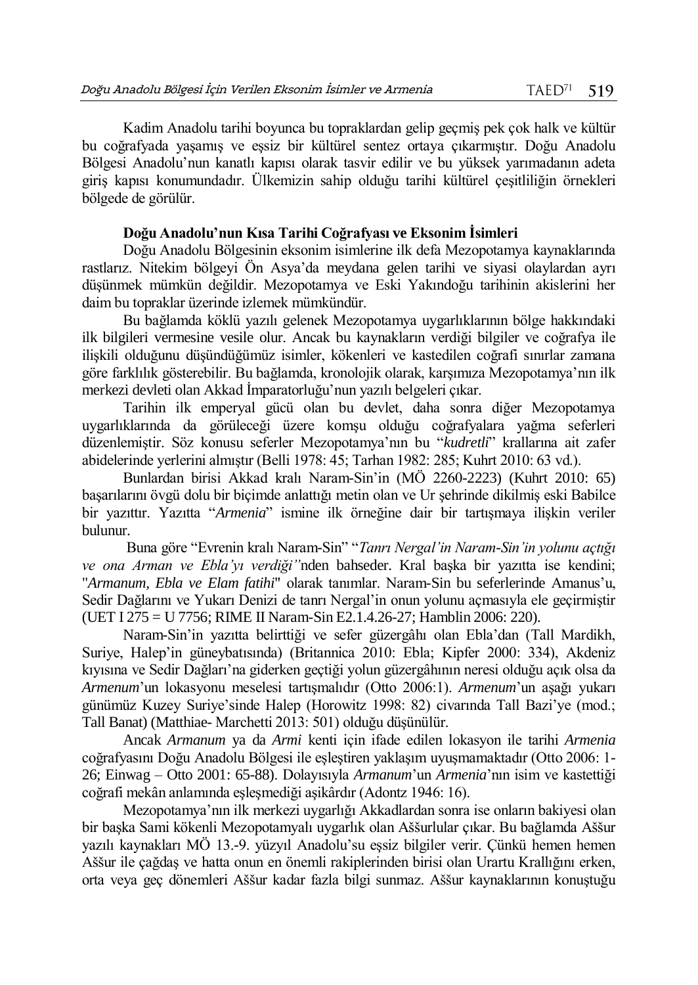Kadim Anadolu tarihi boyunca bu topraklardan gelip geçmiş pek çok halk ve kültür bu coğrafyada yaşamış ve eşsiz bir kültürel sentez ortaya çıkarmıştır. Doğu Anadolu Bölgesi Anadolu'nun kanatlı kapısı olarak tasvir edilir ve bu yüksek yarımadanın adeta giriş kapısı konumundadır. Ülkemizin sahip olduğu tarihi kültürel çeşitliliğin örnekleri bölgede de görülür.

## **Doğu Anadolu'nun Kısa Tarihi Coğrafyası ve Eksonim İsimleri**

Doğu Anadolu Bölgesinin eksonim isimlerine ilk defa Mezopotamya kaynaklarında rastlarız. Nitekim bölgeyi Ön Asya'da meydana gelen tarihi ve siyasi olaylardan ayrı düşünmek mümkün değildir. Mezopotamya ve Eski Yakındoğu tarihinin akislerini her daim bu topraklar üzerinde izlemek mümkündür.

Bu bağlamda köklü yazılı gelenek Mezopotamya uygarlıklarının bölge hakkındaki ilk bilgileri vermesine vesile olur. Ancak bu kaynakların verdiği bilgiler ve coğrafya ile ilişkili olduğunu düşündüğümüz isimler, kökenleri ve kastedilen coğrafi sınırlar zamana göre farklılık gösterebilir. Bu bağlamda, kronolojik olarak, karşımıza Mezopotamya'nın ilk merkezi devleti olan Akkad İmparatorluğu'nun yazılı belgeleri çıkar.

Tarihin ilk emperyal gücü olan bu devlet, daha sonra diğer Mezopotamya uygarlıklarında da görüleceği üzere komşu olduğu coğrafyalara yağma seferleri düzenlemiştir. Söz konusu seferler Mezopotamya'nın bu "*kudretli*" krallarına ait zafer abidelerinde yerlerini almıştır (Belli 1978: 45; Tarhan 1982: 285; Kuhrt 2010: 63 vd.).

Bunlardan birisi Akkad kralı Naram-Sin'in (MÖ 2260-2223) (Kuhrt 2010: 65) başarılarını övgü dolu bir biçimde anlattığı metin olan ve Ur şehrinde dikilmiş eski Babilce bir yazıttır. Yazıtta "*Armenia*" ismine ilk örneğine dair bir tartışmaya ilişkin veriler bulunur.

Buna göre "Evrenin kralı Naram-Sin" "*Tanrı Nergal'in Naram-Sin'in yolunu açtığı ve ona Arman ve Ebla'yı verdiği"*nden bahseder. Kral başka bir yazıtta ise kendini; "*Armanum, Ebla ve Elam fatihi*" olarak tanımlar. Naram-Sin bu seferlerinde Amanus'u, Sedir Dağlarını ve Yukarı Denizi de tanrı Nergal'in onun yolunu açmasıyla ele geçirmiştir (UET I 275 = U 7756; RIME II Naram-Sin E2.1.4.26-27; Hamblin 2006: 220).

Naram-Sin'in yazıtta belirttiği ve sefer güzergâhı olan Ebla'dan (Tall Mardikh, Suriye, Halep'in güneybatısında) (Britannica 2010: Ebla; Kipfer 2000: 334), Akdeniz kıyısına ve Sedir Dağları'na giderken geçtiği yolun güzergâhının neresi olduğu açık olsa da *Armenum*'un lokasyonu meselesi tartışmalıdır (Otto 2006:1). *Armenum*'un aşağı yukarı günümüz Kuzey Suriye'sinde Halep (Horowitz 1998: 82) civarında Tall Bazi'ye (mod.; Tall Banat) (Matthiae- Marchetti 2013: 501) olduğu düşünülür.

Ancak *Armanum* ya da *Armi* kenti için ifade edilen lokasyon ile tarihi *Armenia* coğrafyasını Doğu Anadolu Bölgesi ile eşleştiren yaklaşım uyuşmamaktadır (Otto 2006: 1- 26; Einwag – Otto 2001: 65-88). Dolayısıyla *Armanum*'un *Armenia*'nın isim ve kastettiği coğrafi mekân anlamında eşleşmediği aşikârdır (Adontz 1946: 16).

Mezopotamya'nın ilk merkezi uygarlığı Akkadlardan sonra ise onların bakiyesi olan bir başka Sami kökenli Mezopotamyalı uygarlık olan Aššurlular çıkar. Bu bağlamda Aššur yazılı kaynakları MÖ 13.-9. yüzyıl Anadolu'su eşsiz bilgiler verir. Çünkü hemen hemen Aššur ile çağdaş ve hatta onun en önemli rakiplerinden birisi olan Urartu Krallığını erken, orta veya geç dönemleri Aššur kadar fazla bilgi sunmaz. Aššur kaynaklarının konuştuğu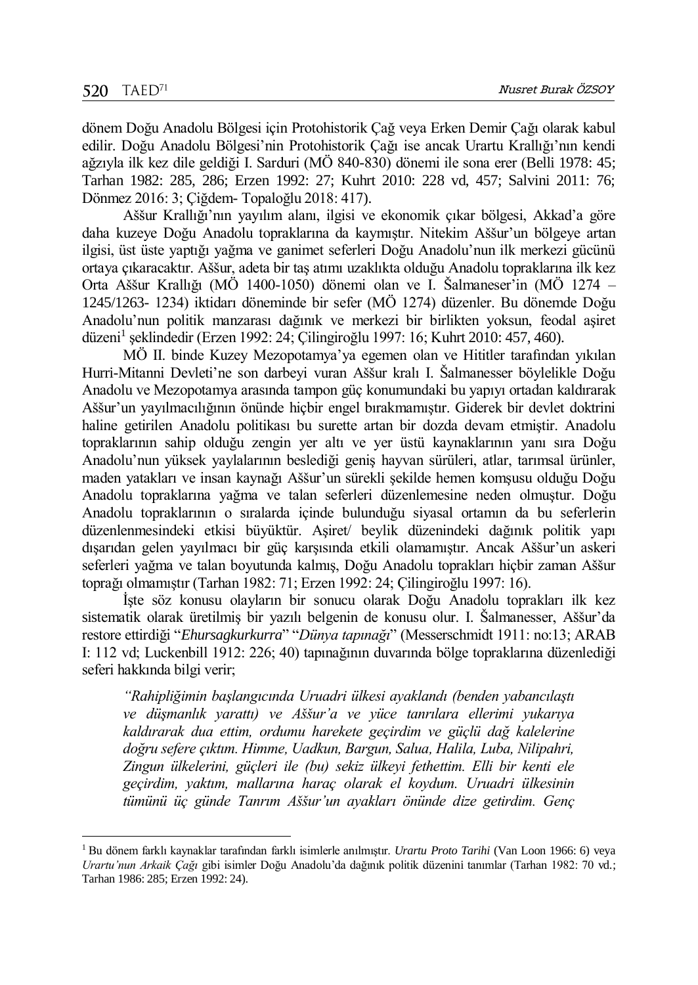$\overline{a}$ 

dönem Doğu Anadolu Bölgesi için Protohistorik Çağ veya Erken Demir Çağı olarak kabul edilir. Doğu Anadolu Bölgesi'nin Protohistorik Çağı ise ancak Urartu Krallığı'nın kendi ağzıyla ilk kez dile geldiği I. Sarduri (MÖ 840-830) dönemi ile sona erer (Belli 1978: 45; Tarhan 1982: 285, 286; Erzen 1992: 27; Kuhrt 2010: 228 vd, 457; Salvini 2011: 76; Dönmez 2016: 3; Çiğdem- Topaloğlu 2018: 417).

Aššur Krallığı'nın yayılım alanı, ilgisi ve ekonomik çıkar bölgesi, Akkad'a göre daha kuzeye Doğu Anadolu topraklarına da kaymıştır. Nitekim Aššur'un bölgeye artan ilgisi, üst üste yaptığı yağma ve ganimet seferleri Doğu Anadolu'nun ilk merkezi gücünü ortaya çıkaracaktır. Aššur, adeta bir taş atımı uzaklıkta olduğu Anadolu topraklarına ilk kez Orta Aššur Krallığı (MÖ 1400-1050) dönemi olan ve I. Šalmaneser'in (MÖ 1274 – 1245/1263- 1234) iktidarı döneminde bir sefer (MÖ 1274) düzenler. Bu dönemde Doğu Anadolu'nun politik manzarası dağınık ve merkezi bir birlikten yoksun, feodal aşiret düzeni<sup>1</sup> şeklindedir (Erzen 1992: 24; Çilingiroğlu 1997: 16; Kuhrt 2010: 457, 460).

MÖ II. binde Kuzey Mezopotamya'ya egemen olan ve Hititler tarafından yıkılan Hurri-Mitanni Devleti'ne son darbeyi vuran Aššur kralı I. Šalmanesser böylelikle Doğu Anadolu ve Mezopotamya arasında tampon güç konumundaki bu yapıyı ortadan kaldırarak Aššur'un yayılmacılığının önünde hiçbir engel bırakmamıştır. Giderek bir devlet doktrini haline getirilen Anadolu politikası bu surette artan bir dozda devam etmiştir. Anadolu topraklarının sahip olduğu zengin yer altı ve yer üstü kaynaklarının yanı sıra Doğu Anadolu'nun yüksek yaylalarının beslediği geniş hayvan sürüleri, atlar, tarımsal ürünler, maden yatakları ve insan kaynağı Aššur'un sürekli şekilde hemen komşusu olduğu Doğu Anadolu topraklarına yağma ve talan seferleri düzenlemesine neden olmuştur. Doğu Anadolu topraklarının o sıralarda içinde bulunduğu siyasal ortamın da bu seferlerin düzenlenmesindeki etkisi büyüktür. Aşiret/ beylik düzenindeki dağınık politik yapı dışarıdan gelen yayılmacı bir güç karşısında etkili olamamıştır. Ancak Aššur'un askeri seferleri yağma ve talan boyutunda kalmış, Doğu Anadolu toprakları hiçbir zaman Aššur toprağı olmamıştır (Tarhan 1982: 71; Erzen 1992: 24; Çilingiroğlu 1997: 16).

İşte söz konusu olayların bir sonucu olarak Doğu Anadolu toprakları ilk kez sistematik olarak üretilmiş bir yazılı belgenin de konusu olur. I. Šalmanesser, Aššur'da restore ettirdiği "*Ehursagkurkurra*" "*Dünya tapınağı*" (Messerschmidt 1911: no:13; ARAB I: 112 vd; Luckenbill 1912: 226; 40) tapınağının duvarında bölge topraklarına düzenlediği seferi hakkında bilgi verir;

*"Rahipliğimin başlangıcında Uruadri ülkesi ayaklandı (benden yabancılaştı ve düşmanlık yarattı) ve Aššur'a ve yüce tanrılara ellerimi yukarıya kaldırarak dua ettim, ordumu harekete geçirdim ve güçlü dağ kalelerine doğru sefere çıktım. Himme, Uadkun, Bargun, Salua, Halila, Luba, Nilipahri, Zingun ülkelerini, güçleri ile (bu) sekiz ülkeyi fethettim. Elli bir kenti ele geçirdim, yaktım, mallarına haraç olarak el koydum. Uruadri ülkesinin tümünü üç günde Tanrım Aššur'un ayakları önünde dize getirdim. Genç* 

<sup>1</sup> Bu dönem farklı kaynaklar tarafından farklı isimlerle anılmıştır. *Urartu Proto Tarihi* (Van Loon 1966: 6) veya *Urartu'nun Arkaik Çağı* gibi isimler Doğu Anadolu'da dağınık politik düzenini tanımlar (Tarhan 1982: 70 vd.; Tarhan 1986: 285; Erzen 1992: 24).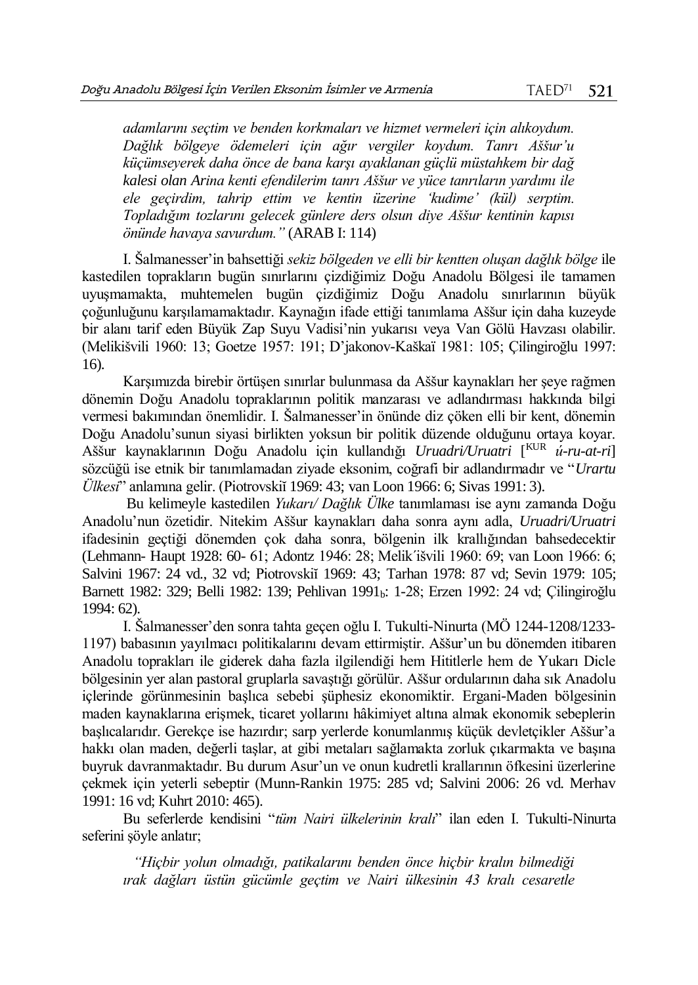*adamlarını seçtim ve benden korkmaları ve hizmet vermeleri için alıkoydum. Dağlık bölgeye ödemeleri için ağır vergiler koydum. Tanrı Aššur'u küçümseyerek daha önce de bana karşı ayaklanan güçlü müstahkem bir dağ kalesi olan Arina kenti efendilerim tanrı Aššur ve yüce tanrıların yardımı ile ele geçirdim, tahrip ettim ve kentin üzerine 'kudime' (kül) serptim. Topladığım tozlarını gelecek günlere ders olsun diye Aššur kentinin kapısı önünde havaya savurdum."* (ARAB I: 114)

I. Šalmanesser'in bahsettiği *sekiz bölgeden ve elli bir kentten oluşan dağlık bölge* ile kastedilen toprakların bugün sınırlarını çizdiğimiz Doğu Anadolu Bölgesi ile tamamen uyuşmamakta, muhtemelen bugün çizdiğimiz Doğu Anadolu sınırlarının büyük çoğunluğunu karşılamamaktadır. Kaynağın ifade ettiği tanımlama Aššur için daha kuzeyde bir alanı tarif eden Büyük Zap Suyu Vadisi'nin yukarısı veya Van Gölü Havzası olabilir. (Melikišvili 1960: 13; Goetze 1957: 191; D'jakonov-Kaškaï 1981: 105; Çilingiroğlu 1997: 16).

Karşımızda birebir örtüşen sınırlar bulunmasa da Aššur kaynakları her şeye rağmen dönemin Doğu Anadolu topraklarının politik manzarası ve adlandırması hakkında bilgi vermesi bakımından önemlidir. I. Šalmanesser'in önünde diz çöken elli bir kent, dönemin Doğu Anadolu'sunun siyasi birlikten yoksun bir politik düzende olduğunu ortaya koyar. Aššur kaynaklarının Doğu Anadolu için kullandığı *Uruadri/Uruatri* [ KUR *ú-ru-at-ri*] sözcüğü ise etnik bir tanımlamadan ziyade eksonim, coğrafi bir adlandırmadır ve "*Urartu Ülkesi*" anlamına gelir. (Piotrovskiĭ 1969: 43; van Loon 1966: 6; Sivas 1991: 3).

Bu kelimeyle kastedilen *Yukarı/ Dağlık Ülke* tanımlaması ise aynı zamanda Doğu Anadolu'nun özetidir. Nitekim Aššur kaynakları daha sonra aynı adla, *Uruadri/Uruatri*  ifadesinin geçtiği dönemden çok daha sonra, bölgenin ilk krallığından bahsedecektir (Lehmann- Haupt 1928: 60- 61; Adontz 1946: 28; Melikˊišvili 1960: 69; van Loon 1966: 6; Salvini 1967: 24 vd., 32 vd; Piotrovskiĭ 1969: 43; Tarhan 1978: 87 vd; Sevin 1979: 105; Barnett 1982: 329; Belli 1982: 139; Pehlivan 1991b: 1-28; Erzen 1992: 24 vd; Çilingiroğlu 1994: 62).

I. Šalmanesser'den sonra tahta geçen oğlu I. Tukulti-Ninurta (MÖ 1244-1208/1233- 1197) babasının yayılmacı politikalarını devam ettirmiştir. Aššur'un bu dönemden itibaren Anadolu toprakları ile giderek daha fazla ilgilendiği hem Hititlerle hem de Yukarı Dicle bölgesinin yer alan pastoral gruplarla savaştığı görülür. Aššur ordularının daha sık Anadolu içlerinde görünmesinin başlıca sebebi şüphesiz ekonomiktir. Ergani-Maden bölgesinin maden kaynaklarına erişmek, ticaret yollarını hâkimiyet altına almak ekonomik sebeplerin başlıcalarıdır. Gerekçe ise hazırdır; sarp yerlerde konumlanmış küçük devletçikler Aššur'a hakkı olan maden, değerli taşlar, at gibi metaları sağlamakta zorluk çıkarmakta ve başına buyruk davranmaktadır. Bu durum Asur'un ve onun kudretli krallarının öfkesini üzerlerine çekmek için yeterli sebeptir (Munn-Rankin 1975: 285 vd; Salvini 2006: 26 vd. Merhav 1991: 16 vd; Kuhrt 2010: 465).

Bu seferlerde kendisini "*tüm Nairi ülkelerinin kralı*" ilan eden I. Tukulti-Ninurta seferini şöyle anlatır;

*"Hiçbir yolun olmadığı, patikalarını benden önce hiçbir kralın bilmediği ırak dağları üstün gücümle geçtim ve Nairi ülkesinin 43 kralı cesaretle*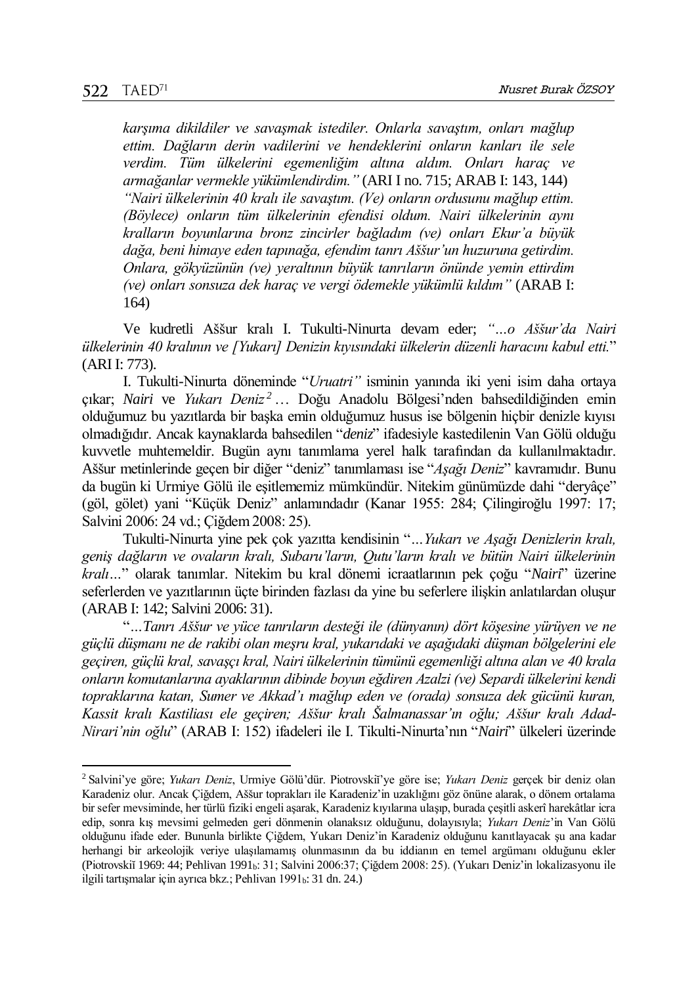l

*karşıma dikildiler ve savaşmak istediler. Onlarla savaştım, onları mağlup ettim. Dağların derin vadilerini ve hendeklerini onların kanları ile sele verdim. Tüm ülkelerini egemenliğim altına aldım. Onları haraç ve armağanlar vermekle yükümlendirdim."* (ARI I no. 715; ARAB I: 143, 144) *"Nairi ülkelerinin 40 kralı ile savaştım. (Ve) onların ordusunu mağlup ettim. (Böylece) onların tüm ülkelerinin efendisi oldum. Nairi ülkelerinin aynı kralların boyunlarına bronz zincirler bağladım (ve) onları Ekur'a büyük dağa, beni himaye eden tapınağa, efendim tanrı Aššur'un huzuruna getirdim. Onlara, gökyüzünün (ve) yeraltının büyük tanrıların önünde yemin ettirdim (ve) onları sonsuza dek haraç ve vergi ödemekle yükümlü kıldım"* (ARAB I: 164)

Ve kudretli Aššur kralı I. Tukulti-Ninurta devam eder; *"…o Aššur'da Nairi ülkelerinin 40 kralının ve [Yukarı] Denizin kıyısındaki ülkelerin düzenli haracını kabul etti.*" (ARI I: 773).

I. Tukulti-Ninurta döneminde "*Uruatri"* isminin yanında iki yeni isim daha ortaya çıkar; *Nairi* ve *Yukarı Deniz <sup>2</sup>* … Doğu Anadolu Bölgesi'nden bahsedildiğinden emin olduğumuz bu yazıtlarda bir başka emin olduğumuz husus ise bölgenin hiçbir denizle kıyısı olmadığıdır. Ancak kaynaklarda bahsedilen "*deniz*" ifadesiyle kastedilenin Van Gölü olduğu kuvvetle muhtemeldir. Bugün aynı tanımlama yerel halk tarafından da kullanılmaktadır. Aššur metinlerinde geçen bir diğer "deniz" tanımlaması ise "*Aşağı Deniz*" kavramıdır. Bunu da bugün ki Urmiye Gölü ile eşitlememiz mümkündür. Nitekim günümüzde dahi "deryâçe" (göl, gölet) yani "Küçük Deniz" anlamındadır (Kanar 1955: 284; Çilingiroğlu 1997: 17; Salvini 2006: 24 vd.; Çiğdem 2008: 25).

Tukulti-Ninurta yine pek çok yazıtta kendisinin "*…Yukarı ve Aşağı Denizlerin kralı, geniş dağların ve ovaların kralı, Subaru'ların, Qutu'ların kralı ve bütün Nairi ülkelerinin kralı…*" olarak tanımlar. Nitekim bu kral dönemi icraatlarının pek çoğu "*Nairi*" üzerine seferlerden ve yazıtlarının üçte birinden fazlası da yine bu seferlere ilişkin anlatılardan oluşur (ARAB I: 142; Salvini 2006: 31).

"*…Tanrı Aššur ve yüce tanrıların desteği ile (dünyanın) dört köşesine yürüyen ve ne güçlü düşmanı ne de rakibi olan meşru kral, yukarıdaki ve aşağıdaki düşman bölgelerini ele geçiren, güçlü kral, savaşçı kral, Nairi ülkelerinin tümünü egemenliği altına alan ve 40 krala onların komutanlarına ayaklarının dibinde boyun eğdiren Azalzi (ve) Separdi ülkelerini kendi topraklarına katan, Sumer ve Akkad'ı mağlup eden ve (orada) sonsuza dek gücünü kuran, Kassit kralı Kastiliası ele geçiren; Aššur kralı Šalmanassar'ın oğlu; Aššur kralı Adad-Nirari'nin oğlu*" (ARAB I: 152) ifadeleri ile I. Tikulti-Ninurta'nın "*Nairi*" ülkeleri üzerinde

<sup>2</sup> Salvini'ye göre; *Yukarı Deniz*, Urmiye Gölü'dür. Piotrovskiĭ'ye göre ise; *Yukarı Deniz* gerçek bir deniz olan Karadeniz olur. Ancak Çiğdem, Aššur toprakları ile Karadeniz'in uzaklığını göz önüne alarak, o dönem ortalama bir sefer mevsiminde, her türlü fiziki engeli aşarak, Karadeniz kıyılarına ulaşıp, burada çeşitli askerî harekâtlar icra edip, sonra kış mevsimi gelmeden geri dönmenin olanaksız olduğunu, dolayısıyla; *Yukarı Deniz*'in Van Gölü olduğunu ifade eder. Bununla birlikte Çiğdem, Yukarı Deniz'in Karadeniz olduğunu kanıtlayacak şu ana kadar herhangi bir arkeolojik veriye ulaşılamamış olunmasının da bu iddianın en temel argümanı olduğunu ekler (Piotrovskiĭ 1969: 44; Pehlivan 1991b: 31; Salvini 2006:37; Çiğdem 2008: 25). (Yukarı Deniz'in lokalizasyonu ile ilgili tartışmalar için ayrıca bkz.; Pehlivan 1991b: 31 dn. 24.)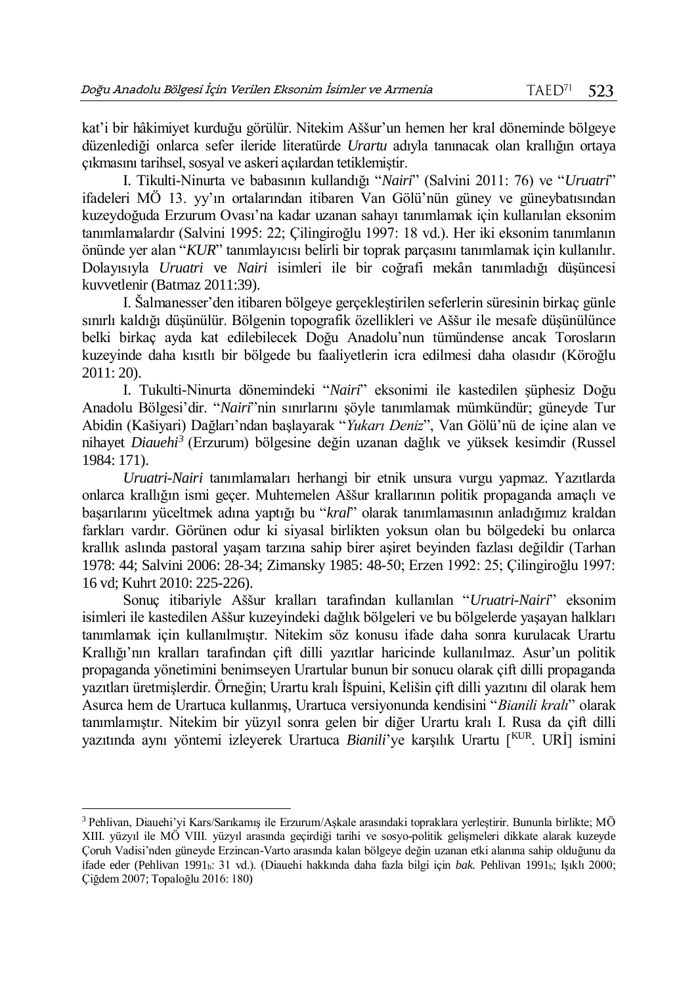kat'i bir hâkimiyet kurduğu görülür. Nitekim Aššur'un hemen her kral döneminde bölgeye düzenlediği onlarca sefer ileride literatürde *Urartu* adıyla tanınacak olan krallığın ortaya çıkmasını tarihsel, sosyal ve askeri açılardan tetiklemiştir.

I. Tikulti-Ninurta ve babasının kullandığı "*Nairi*" (Salvini 2011: 76) ve "*Uruatri*" ifadeleri MÖ 13. yy'ın ortalarından itibaren Van Gölü'nün güney ve güneybatısından kuzeydoğuda Erzurum Ovası'na kadar uzanan sahayı tanımlamak için kullanılan eksonim tanımlamalardır (Salvini 1995: 22; Çilingiroğlu 1997: 18 vd.). Her iki eksonim tanımlanın önünde yer alan "*KUR*" tanımlayıcısı belirli bir toprak parçasını tanımlamak için kullanılır. Dolayısıyla *Uruatri* ve *Nairi* isimleri ile bir coğrafi mekân tanımladığı düşüncesi kuvvetlenir (Batmaz 2011:39).

I. Šalmanesser'den itibaren bölgeye gerçekleştirilen seferlerin süresinin birkaç günle sınırlı kaldığı düşünülür. Bölgenin topografik özellikleri ve Aššur ile mesafe düşünülünce belki birkaç ayda kat edilebilecek Doğu Anadolu'nun tümündense ancak Torosların kuzeyinde daha kısıtlı bir bölgede bu faaliyetlerin icra edilmesi daha olasıdır (Köroğlu 2011: 20).

I. Tukulti-Ninurta dönemindeki "*Nairi*" eksonimi ile kastedilen şüphesiz Doğu Anadolu Bölgesi'dir. "*Nairi*"nin sınırlarını şöyle tanımlamak mümkündür; güneyde Tur Abidin (Kašiyari) Dağları'ndan başlayarak "*Yukarı Deniz*", Van Gölü'nü de içine alan ve nihayet *Diauehi<sup>3</sup>* (Erzurum) bölgesine değin uzanan dağlık ve yüksek kesimdir (Russel 1984: 171).

*Uruatri-Nairi* tanımlamaları herhangi bir etnik unsura vurgu yapmaz. Yazıtlarda onlarca krallığın ismi geçer. Muhtemelen Aššur krallarının politik propaganda amaçlı ve başarılarını yüceltmek adına yaptığı bu "*kral*" olarak tanımlamasının anladığımız kraldan farkları vardır. Görünen odur ki siyasal birlikten yoksun olan bu bölgedeki bu onlarca krallık aslında pastoral yaşam tarzına sahip birer aşiret beyinden fazlası değildir (Tarhan 1978: 44; Salvini 2006: 28-34; Zimansky 1985: 48-50; Erzen 1992: 25; Çilingiroğlu 1997: 16 vd; Kuhrt 2010: 225-226).

Sonuç itibariyle Aššur kralları tarafından kullanılan "*Uruatri-Nairi*" eksonim isimleri ile kastedilen Aššur kuzeyindeki dağlık bölgeleri ve bu bölgelerde yaşayan halkları tanımlamak için kullanılmıştır. Nitekim söz konusu ifade daha sonra kurulacak Urartu Krallığı'nın kralları tarafından çift dilli yazıtlar haricinde kullanılmaz. Asur'un politik propaganda yönetimini benimseyen Urartular bunun bir sonucu olarak çift dilli propaganda yazıtları üretmişlerdir. Örneğin; Urartu kralı İšpuini, Kelišin çift dilli yazıtını dil olarak hem Asurca hem de Urartuca kullanmış, Urartuca versiyonunda kendisini "*Bianili kralı*" olarak tanımlamıştır. Nitekim bir yüzyıl sonra gelen bir diğer Urartu kralı I. Rusa da çift dilli yazıtında aynı yöntemi izleyerek Urartuca *Bianili*'ye karşılık Urartu [KUR. URİ] ismini

 $\overline{a}$ 

<sup>3</sup> Pehlivan, Diauehi'yi Kars/Sarıkamış ile Erzurum/Aşkale arasındaki topraklara yerleştirir. Bununla birlikte; MÖ XIII. yüzyıl ile MÖ VIII. yüzyıl arasında geçirdiği tarihi ve sosyo-politik gelişmeleri dikkate alarak kuzeyde Çoruh Vadisi'nden güneyde Erzincan-Varto arasında kalan bölgeye değin uzanan etki alanına sahip olduğunu da ifade eder (Pehlivan 1991b: 31 vd.). (Diauehi hakkında daha fazla bilgi için *bak.* Pehlivan 1991b; Işıklı 2000; Çiğdem 2007; Topaloğlu 2016: 180)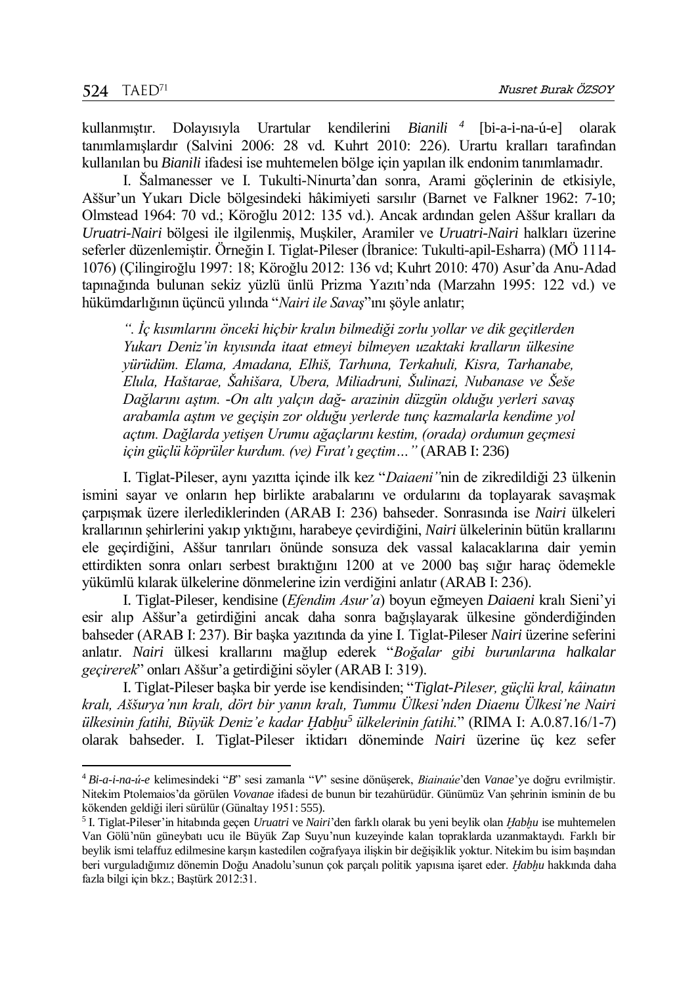l

kullanmıştır. Dolayısıyla Urartular kendilerini *Bianili <sup>4</sup>* Bianili <sup>4</sup> [bi-a-i-na-ú-e] olarak tanımlamışlardır (Salvini 2006: 28 vd. Kuhrt 2010: 226). Urartu kralları tarafından kullanılan bu *Bianili* ifadesi ise muhtemelen bölge için yapılan ilk endonim tanımlamadır.

I. Šalmanesser ve I. Tukulti-Ninurta'dan sonra, Arami göçlerinin de etkisiyle, Aššur'un Yukarı Dicle bölgesindeki hâkimiyeti sarsılır (Barnet ve Falkner 1962: 7-10; Olmstead 1964: 70 vd.; Köroğlu 2012: 135 vd.). Ancak ardından gelen Aššur kralları da *Uruatri-Nairi* bölgesi ile ilgilenmiş, Muşkiler, Aramiler ve *Uruatri-Nairi* halkları üzerine seferler düzenlemiştir. Örneğin I. Tiglat-Pileser (İbranice: Tukulti-apil-Esharra) (MÖ 1114- 1076) (Çilingiroğlu 1997: 18; Köroğlu 2012: 136 vd; Kuhrt 2010: 470) Asur'da Anu-Adad tapınağında bulunan sekiz yüzlü ünlü Prizma Yazıtı'nda (Marzahn 1995: 122 vd.) ve hükümdarlığının üçüncü yılında "*Nairi ile Savaş*"ını şöyle anlatır;

*". İç kısımlarını önceki hiçbir kralın bilmediği zorlu yollar ve dik geçitlerden Yukarı Deniz'in kıyısında itaat etmeyi bilmeyen uzaktaki kralların ülkesine yürüdüm. Elama, Amadana, Elhiš, Tarhuna, Terkahuli, Kisra, Tarhanabe, Elula, Haštarae, Šahišara, Ubera, Miliadruni, Šulinazi, Nubanase ve Šeše Dağlarını aştım. -On altı yalçın dağ- arazinin düzgün olduğu yerleri savaş arabamla aştım ve geçişin zor olduğu yerlerde tunç kazmalarla kendime yol açtım. Dağlarda yetişen Urumu ağaçlarını kestim, (orada) ordumun geçmesi için güçlü köprüler kurdum. (ve) Fırat'ı geçtim…"* (ARAB I: 236)

I. Tiglat-Pileser, aynı yazıtta içinde ilk kez "*Daiaeni"*nin de zikredildiği 23 ülkenin ismini sayar ve onların hep birlikte arabalarını ve ordularını da toplayarak savaşmak çarpışmak üzere ilerlediklerinden (ARAB I: 236) bahseder. Sonrasında ise *Nairi* ülkeleri krallarının şehirlerini yakıp yıktığını, harabeye çevirdiğini, *Nairi* ülkelerinin bütün krallarını ele geçirdiğini, Aššur tanrıları önünde sonsuza dek vassal kalacaklarına dair yemin ettirdikten sonra onları serbest bıraktığını 1200 at ve 2000 baş sığır haraç ödemekle yükümlü kılarak ülkelerine dönmelerine izin verdiğini anlatır (ARAB I: 236).

I. Tiglat-Pileser, kendisine (*Efendim Asur'a*) boyun eğmeyen *Daiaeni* kralı Sieni'yi esir alıp Aššur'a getirdiğini ancak daha sonra bağışlayarak ülkesine gönderdiğinden bahseder (ARAB I: 237). Bir başka yazıtında da yine I. Tiglat-Pileser *Nairi* üzerine seferini anlatır. *Nairi* ülkesi krallarını mağlup ederek "*Boğalar gibi burunlarına halkalar geçirerek*" onları Aššur'a getirdiğini söyler (ARAB I: 319).

I. Tiglat-Pileser başka bir yerde ise kendisinden; "*Tiglat-Pileser, güçlü kral, kâinatın kralı, Aššurya'nın kralı, dört bir yanın kralı, Tummu Ülkesi'nden Diaenu Ülkesi'ne Nairi ülkesinin fatihi, Büyük Deniz'e kadar Ḫabḫu <sup>5</sup> ülkelerinin fatihi.*" (RIMA I: A.0.87.16/1-7) olarak bahseder. I. Tiglat-Pileser iktidarı döneminde *Nairi* üzerine üç kez sefer

<sup>4</sup> *Bi-a-i-na-ú-e* kelimesindeki "*B*" sesi zamanla "*V*" sesine dönüşerek, *Biainaúe*'den *Vanae*'ye doğru evrilmiştir. Nitekim Ptolemaios'da görülen *Vovanae* ifadesi de bunun bir tezahürüdür. Günümüz Van şehrinin isminin de bu kökenden geldiği ileri sürülür (Günaltay 1951: 555).

<sup>5</sup> I. Tiglat-Pileser'in hitabında geçen *Uruatri* ve *Nairi*'den farklı olarak bu yeni beylik olan *Ḫabḫu* ise muhtemelen Van Gölü'nün güneybatı ucu ile Büyük Zap Suyu'nun kuzeyinde kalan topraklarda uzanmaktaydı. Farklı bir beylik ismi telaffuz edilmesine karşın kastedilen coğrafyaya ilişkin bir değişiklik yoktur. Nitekim bu isim başından beri vurguladığımız dönemin Doğu Anadolu'sunun çok parçalı politik yapısına işaret eder. *Ḫabḫu* hakkında daha fazla bilgi için bkz.; Baştürk 2012:31.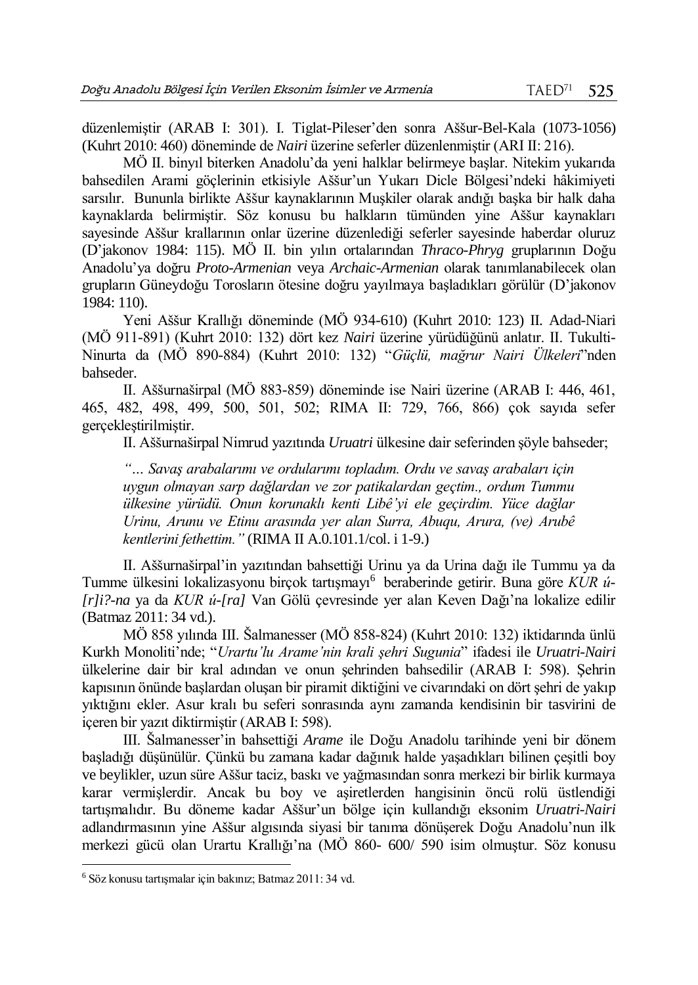düzenlemiştir (ARAB I: 301). I. Tiglat-Pileser'den sonra Aššur-Bel-Kala (1073-1056) (Kuhrt 2010: 460) döneminde de *Nairi* üzerine seferler düzenlenmiştir (ARI II: 216).

MÖ II. binyıl biterken Anadolu'da yeni halklar belirmeye başlar. Nitekim yukarıda bahsedilen Arami göçlerinin etkisiyle Aššur'un Yukarı Dicle Bölgesi'ndeki hâkimiyeti sarsılır. Bununla birlikte Aššur kaynaklarının Muşkiler olarak andığı başka bir halk daha kaynaklarda belirmiştir. Söz konusu bu halkların tümünden yine Aššur kaynakları sayesinde Aššur krallarının onlar üzerine düzenlediği seferler sayesinde haberdar oluruz (D'jakonov 1984: 115). MÖ II. bin yılın ortalarından *Thraco-Phryg* gruplarının Doğu Anadolu'ya doğru *Proto-Armenian* veya *Archaic-Armenian* olarak tanımlanabilecek olan grupların Güneydoğu Torosların ötesine doğru yayılmaya başladıkları görülür (D'jakonov 1984: 110).

Yeni Aššur Krallığı döneminde (MÖ 934-610) (Kuhrt 2010: 123) II. Adad-Niari (MÖ 911-891) (Kuhrt 2010: 132) dört kez *Nairi* üzerine yürüdüğünü anlatır. II. Tukulti-Ninurta da (MÖ 890-884) (Kuhrt 2010: 132) "*Güçlü, mağrur Nairi Ülkeleri*"nden bahseder.

II. Aššurnaširpal (MÖ 883-859) döneminde ise Nairi üzerine (ARAB I: 446, 461, 465, 482, 498, 499, 500, 501, 502; RIMA II: 729, 766, 866) çok sayıda sefer gerçekleştirilmiştir.

II. Aššurnaširpal Nimrud yazıtında *Uruatri* ülkesine dair seferinden şöyle bahseder;

*"… Savaş arabalarımı ve ordularımı topladım. Ordu ve savaş arabaları için uygun olmayan sarp dağlardan ve zor patikalardan geçtim., ordum Tummu ülkesine yürüdü. Onun korunaklı kenti Libê'yi ele geçirdim. Yüce dağlar Urinu, Arunu ve Etinu arasında yer alan Surra, Abuqu, Arura, (ve) Arubê kentlerini fethettim."* (RIMA II A.0.101.1/col. i 1-9.)

II. Aššurnaširpal'in yazıtından bahsettiği Urinu ya da Urina dağı ile Tummu ya da Tumme ülkesini lokalizasyonu birçok tartışmayı<sup>6</sup> beraberinde getirir. Buna göre KUR ú-*[r]i?-na* ya da *KUR ú-[ra]* Van Gölü çevresinde yer alan Keven Dağı'na lokalize edilir (Batmaz 2011: 34 vd.).

MÖ 858 yılında III. Šalmanesser (MÖ 858-824) (Kuhrt 2010: 132) iktidarında ünlü Kurkh Monoliti'nde; "*Urartu'lu Arame'nin krali şehri Sugunia*" ifadesi ile *Uruatri-Nairi* ülkelerine dair bir kral adından ve onun şehrinden bahsedilir (ARAB I: 598). Şehrin kapısının önünde başlardan oluşan bir piramit diktiğini ve civarındaki on dört şehri de yakıp yıktığını ekler. Asur kralı bu seferi sonrasında aynı zamanda kendisinin bir tasvirini de içeren bir yazıt diktirmiştir (ARAB I: 598).

III. Šalmanesser'in bahsettiği *Arame* ile Doğu Anadolu tarihinde yeni bir dönem başladığı düşünülür. Çünkü bu zamana kadar dağınık halde yaşadıkları bilinen çeşitli boy ve beylikler, uzun süre Aššur taciz, baskı ve yağmasından sonra merkezi bir birlik kurmaya karar vermişlerdir. Ancak bu boy ve aşiretlerden hangisinin öncü rolü üstlendiği tartışmalıdır. Bu döneme kadar Aššur'un bölge için kullandığı eksonim *Uruatri-Nairi*  adlandırmasının yine Aššur algısında siyasi bir tanıma dönüşerek Doğu Anadolu'nun ilk merkezi gücü olan Urartu Krallığı'na (MÖ 860- 600/ 590 isim olmuştur. Söz konusu

 $\overline{a}$ 

<sup>6</sup> Söz konusu tartışmalar için bakınız; Batmaz 2011: 34 vd.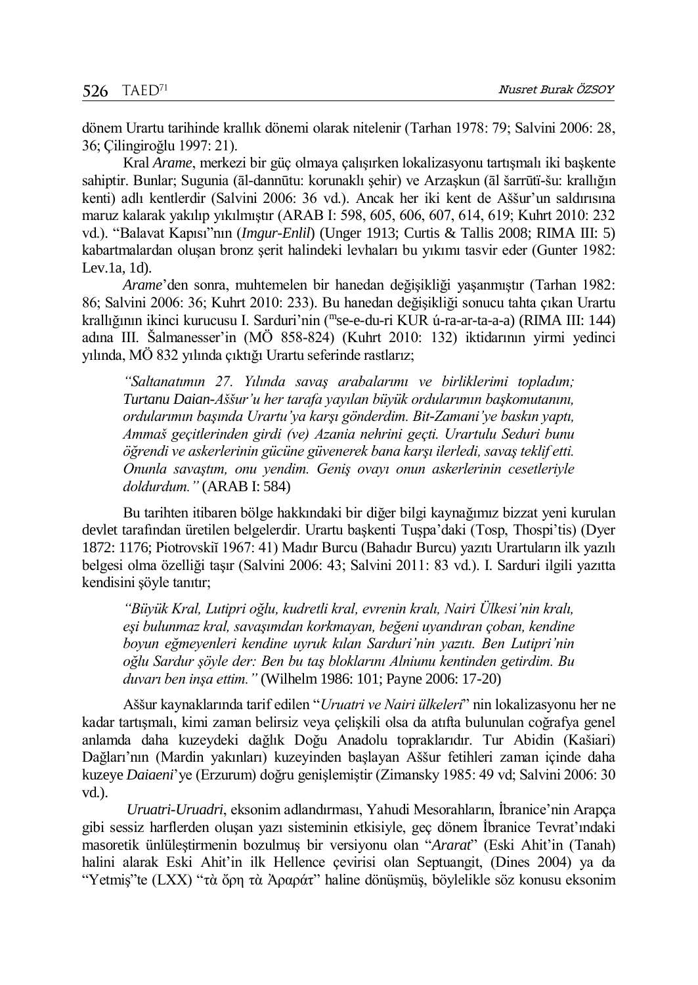dönem Urartu tarihinde krallık dönemi olarak nitelenir (Tarhan 1978: 79; Salvini 2006: 28, 36; Çilingiroğlu 1997: 21).

Kral *Arame*, merkezi bir güç olmaya çalışırken lokalizasyonu tartışmalı iki başkente sahiptir. Bunlar; Sugunia (āl-dannūtu: korunaklı şehir) ve Arzaşkun (āl šarrūtï-šu: krallığın kenti) adlı kentlerdir (Salvini 2006: 36 vd.). Ancak her iki kent de Aššur'un saldırısına maruz kalarak yakılıp yıkılmıştır (ARAB I: 598, 605, 606, 607, 614, 619; Kuhrt 2010: 232 vd.). "Balavat Kapısı"nın (*Imgur-Enlil*) (Unger 1913; Curtis & Tallis 2008; RIMA III: 5) kabartmalardan oluşan bronz şerit halindeki levhaları bu yıkımı tasvir eder (Gunter 1982: Lev.1a, 1d).

*Arame*'den sonra, muhtemelen bir hanedan değişikliği yaşanmıştır (Tarhan 1982: 86; Salvini 2006: 36; Kuhrt 2010: 233). Bu hanedan değişikliği sonucu tahta çıkan Urartu krallığının ikinci kurucusu I. Sarduri'nin (<sup>m</sup> se-e-du-ri KUR ú-ra-ar-ta-a-a) (RIMA III: 144) adına III. Šalmanesser'in (MÖ 858-824) (Kuhrt 2010: 132) iktidarının yirmi yedinci yılında, MÖ 832 yılında çıktığı Urartu seferinde rastlarız;

*"Saltanatımın 27. Yılında savaş arabalarımı ve birliklerimi topladım; Turtanu Daian-Aššur'u her tarafa yayılan büyük ordularımın başkomutanını, ordularımın başında Urartu'ya karşı gönderdim. Bit-Zamani'ye baskın yaptı, Ammaš geçitlerinden girdi (ve) Azania nehrini geçti. Urartulu Seduri bunu öğrendi ve askerlerinin gücüne güvenerek bana karşı ilerledi, savaş teklif etti. Onunla savaştım, onu yendim. Geniş ovayı onun askerlerinin cesetleriyle doldurdum."* (ARAB I: 584)

Bu tarihten itibaren bölge hakkındaki bir diğer bilgi kaynağımız bizzat yeni kurulan devlet tarafından üretilen belgelerdir. Urartu başkenti Tuşpa'daki (Tosp, Thospi'tis) (Dyer 1872: 1176; Piotrovskiĭ 1967: 41) Madır Burcu (Bahadır Burcu) yazıtı Urartuların ilk yazılı belgesi olma özelliği taşır (Salvini 2006: 43; Salvini 2011: 83 vd.). I. Sarduri ilgili yazıtta kendisini şöyle tanıtır;

*"Büyük Kral, Lutipri oğlu, kudretli kral, evrenin kralı, Nairi Ülkesi'nin kralı, eşi bulunmaz kral, savaşımdan korkmayan, beğeni uyandıran çoban, kendine boyun eğmeyenleri kendine uyruk kılan Sarduri'nin yazıtı. Ben Lutipri'nin oğlu Sardur şöyle der: Ben bu taş bloklarını Alniunu kentinden getirdim. Bu duvarı ben inşa ettim."* (Wilhelm 1986: 101; Payne 2006: 17-20)

Aššur kaynaklarında tarif edilen "*Uruatri ve Nairi ülkeleri*" nin lokalizasyonu her ne kadar tartışmalı, kimi zaman belirsiz veya çelişkili olsa da atıfta bulunulan coğrafya genel anlamda daha kuzeydeki dağlık Doğu Anadolu topraklarıdır. Tur Abidin (Kašiari) Dağları'nın (Mardin yakınları) kuzeyinden başlayan Aššur fetihleri zaman içinde daha kuzeye *Daiaeni*'ye (Erzurum) doğru genişlemiştir (Zimansky 1985: 49 vd; Salvini 2006: 30 vd.).

*Uruatri-Uruadri*, eksonim adlandırması, Yahudi Mesorahların, İbranice'nin Arapça gibi sessiz harflerden oluşan yazı sisteminin etkisiyle, geç dönem İbranice Tevrat'ındaki masoretik ünlüleştirmenin bozulmuş bir versiyonu olan "*Ararat*" (Eski Ahit'in (Tanah) halini alarak Eski Ahit'in ilk Hellence çevirisi olan Septuangit, (Dines 2004) ya da "Yetmiş"te (LXX) "τὰ ὄρη τὰ Ἀραράτ" haline dönüşmüş, böylelikle söz konusu eksonim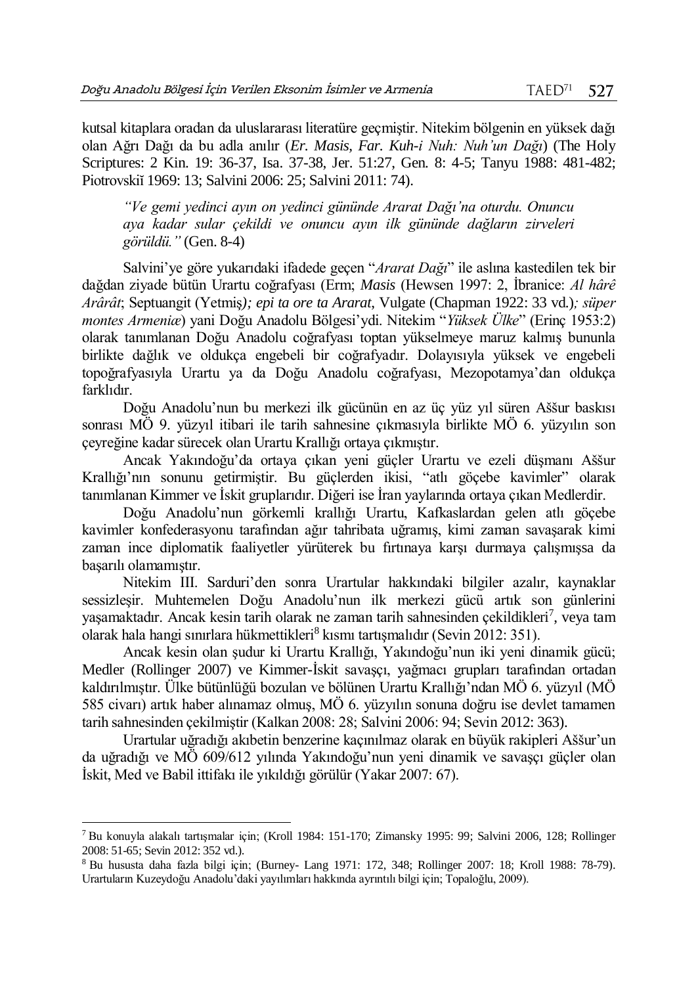kutsal kitaplara oradan da uluslararası literatüre geçmiştir. Nitekim bölgenin en yüksek dağı olan Ağrı Dağı da bu adla anılır (*Er. Masis, Far. Kuh-i Nuh: Nuh'un Dağı*) (The Holy Scriptures: 2 Kin. 19: 36-37, Isa. 37-38, Jer. 51:27, Gen. 8: 4-5; Tanyu 1988: 481-482; Piotrovskiĭ 1969: 13; Salvini 2006: 25; Salvini 2011: 74).

*"Ve gemi yedinci ayın on yedinci gününde Ararat Dağı'na oturdu. Onuncu aya kadar sular çekildi ve onuncu ayın ilk gününde dağların zirveleri görüldü."* (Gen. 8-4)

Salvini'ye göre yukarıdaki ifadede geçen "*Ararat Dağı*" ile aslına kastedilen tek bir dağdan ziyade bütün Urartu coğrafyası (Erm; *Masis* (Hewsen 1997: 2, İbranice: *Al hârê Arârât*; Septuangit (Yetmiş*); epi ta ore ta Ararat*, Vulgate (Chapman 1922: 33 vd.)*; süper montes Armeniæ*) yani Doğu Anadolu Bölgesi'ydi. Nitekim "*Yüksek Ülke*" (Erinç 1953:2) olarak tanımlanan Doğu Anadolu coğrafyası toptan yükselmeye maruz kalmış bununla birlikte dağlık ve oldukça engebeli bir coğrafyadır. Dolayısıyla yüksek ve engebeli topoğrafyasıyla Urartu ya da Doğu Anadolu coğrafyası, Mezopotamya'dan oldukça farklıdır.

Doğu Anadolu'nun bu merkezi ilk gücünün en az üç yüz yıl süren Aššur baskısı sonrası MÖ 9. yüzyıl itibari ile tarih sahnesine çıkmasıyla birlikte MÖ 6. yüzyılın son çeyreğine kadar sürecek olan Urartu Krallığı ortaya çıkmıştır.

Ancak Yakındoğu'da ortaya çıkan yeni güçler Urartu ve ezeli düşmanı Aššur Krallığı'nın sonunu getirmiştir. Bu güçlerden ikisi, "atlı göçebe kavimler" olarak tanımlanan Kimmer ve İskit gruplarıdır. Diğeri ise İran yaylarında ortaya çıkan Medlerdir.

Doğu Anadolu'nun görkemli krallığı Urartu, Kafkaslardan gelen atlı göçebe kavimler konfederasyonu tarafından ağır tahribata uğramış, kimi zaman savaşarak kimi zaman ince diplomatik faaliyetler yürüterek bu fırtınaya karşı durmaya çalışmışsa da başarılı olamamıştır.

Nitekim III. Sarduri'den sonra Urartular hakkındaki bilgiler azalır, kaynaklar sessizleşir. Muhtemelen Doğu Anadolu'nun ilk merkezi gücü artık son günlerini yaşamaktadır. Ancak kesin tarih olarak ne zaman tarih sahnesinden çekildikleri<sup>7</sup>, veya tam olarak hala hangi sınırlara hükmettikleri<sup>8</sup> kısmı tartışmalıdır (Sevin 2012: 351).

Ancak kesin olan şudur ki Urartu Krallığı, Yakındoğu'nun iki yeni dinamik gücü; Medler (Rollinger 2007) ve Kimmer-İskit savaşçı, yağmacı grupları tarafından ortadan kaldırılmıştır. Ülke bütünlüğü bozulan ve bölünen Urartu Krallığı'ndan MÖ 6. yüzyıl (MÖ 585 civarı) artık haber alınamaz olmuş, MÖ 6. yüzyılın sonuna doğru ise devlet tamamen tarih sahnesinden çekilmiştir (Kalkan 2008: 28; Salvini 2006: 94; Sevin 2012: 363).

Urartular uğradığı akıbetin benzerine kaçınılmaz olarak en büyük rakipleri Aššur'un da uğradığı ve MÖ 609/612 yılında Yakındoğu'nun yeni dinamik ve savaşçı güçler olan İskit, Med ve Babil ittifakı ile yıkıldığı görülür (Yakar 2007: 67).

 $\overline{a}$ 

<sup>7</sup> Bu konuyla alakalı tartışmalar için; (Kroll 1984: 151-170; Zimansky 1995: 99; Salvini 2006, 128; Rollinger 2008: 51-65; Sevin 2012: 352 vd.).

<sup>8</sup> Bu hususta daha fazla bilgi için; (Burney- Lang 1971: 172, 348; Rollinger 2007: 18; Kroll 1988: 78-79). Urartuların Kuzeydoğu Anadolu'daki yayılımları hakkında ayrıntılı bilgi için; Topaloğlu, 2009).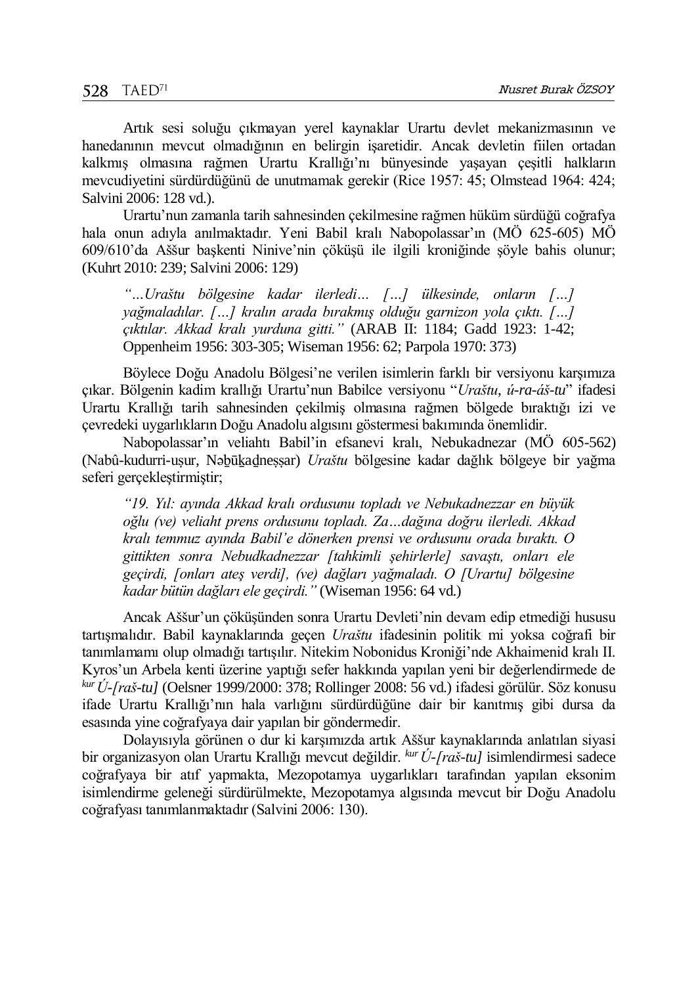Artık sesi soluğu çıkmayan yerel kaynaklar Urartu devlet mekanizmasının ve hanedanının mevcut olmadığının en belirgin işaretidir. Ancak devletin fiilen ortadan kalkmış olmasına rağmen Urartu Krallığı'nı bünyesinde yaşayan çeşitli halkların mevcudiyetini sürdürdüğünü de unutmamak gerekir (Rice 1957: 45; Olmstead 1964: 424; Salvini 2006: 128 vd.).

Urartu'nun zamanla tarih sahnesinden çekilmesine rağmen hüküm sürdüğü coğrafya hala onun adıyla anılmaktadır. Yeni Babil kralı Nabopolassar'ın (MÖ 625-605) MÖ 609/610'da Aššur başkenti Ninive'nin çöküşü ile ilgili kroniğinde şöyle bahis olunur; (Kuhrt 2010: 239; Salvini 2006: 129)

*"…Uraštu bölgesine kadar ilerledi… […] ülkesinde, onların […] yağmaladılar. […] kralın arada bırakmış olduğu garnizon yola çıktı. […] çıktılar. Akkad kralı yurduna gitti."* (ARAB II: 1184; Gadd 1923: 1-42; Oppenheim 1956: 303-305; Wiseman 1956: 62; Parpola 1970: 373)

Böylece Doğu Anadolu Bölgesi'ne verilen isimlerin farklı bir versiyonu karşımıza çıkar. Bölgenin kadim krallığı Urartu'nun Babilce versiyonu "*Uraštu*, *ú-ra-áš-tu*" ifadesi Urartu Krallığı tarih sahnesinden çekilmiş olmasına rağmen bölgede bıraktığı izi ve çevredeki uygarlıkların Doğu Anadolu algısını göstermesi bakımında önemlidir.

Nabopolassar'ın veliahtı Babil'in efsanevi kralı, Nebukadnezar (MÖ 605-562) (Nabû-kudurri-uṣur, Nəḇūḵaḏneṣṣar) *Uraštu* bölgesine kadar dağlık bölgeye bir yağma seferi gerçekleştirmiştir;

*"19. Yıl: ayında Akkad kralı ordusunu topladı ve Nebukadnezzar en büyük oğlu (ve) veliaht prens ordusunu topladı. Za…dağına doğru ilerledi. Akkad kralı temmuz ayında Babil'e dönerken prensi ve ordusunu orada bıraktı. O gittikten sonra Nebudkadnezzar [tahkimli şehirlerle] savaştı, onları ele geçirdi, [onları ateş verdi], (ve) dağları yağmaladı. O [Urartu] bölgesine kadar bütün dağları ele geçirdi."* (Wiseman 1956: 64 vd.)

Ancak Aššur'un çöküşünden sonra Urartu Devleti'nin devam edip etmediği hususu tartışmalıdır. Babil kaynaklarında geçen *Uraštu* ifadesinin politik mi yoksa coğrafi bir tanımlamamı olup olmadığı tartışılır. Nitekim Nobonidus Kroniği'nde Akhaimenid kralı II. Kyros'un Arbela kenti üzerine yaptığı sefer hakkında yapılan yeni bir değerlendirmede de *kur Ú-[raš-tu]* (Oelsner 1999/2000: 378; Rollinger 2008: 56 vd.) ifadesi görülür. Söz konusu ifade Urartu Krallığı'nın hala varlığını sürdürdüğüne dair bir kanıtmış gibi dursa da esasında yine coğrafyaya dair yapılan bir göndermedir.

Dolayısıyla görünen o dur ki karşımızda artık Aššur kaynaklarında anlatılan siyasi bir organizasyon olan Urartu Krallığı mevcut değildir. *kur Ú-[raš-tu]* isimlendirmesi sadece coğrafyaya bir atıf yapmakta, Mezopotamya uygarlıkları tarafından yapılan eksonim isimlendirme geleneği sürdürülmekte, Mezopotamya algısında mevcut bir Doğu Anadolu coğrafyası tanımlanmaktadır (Salvini 2006: 130).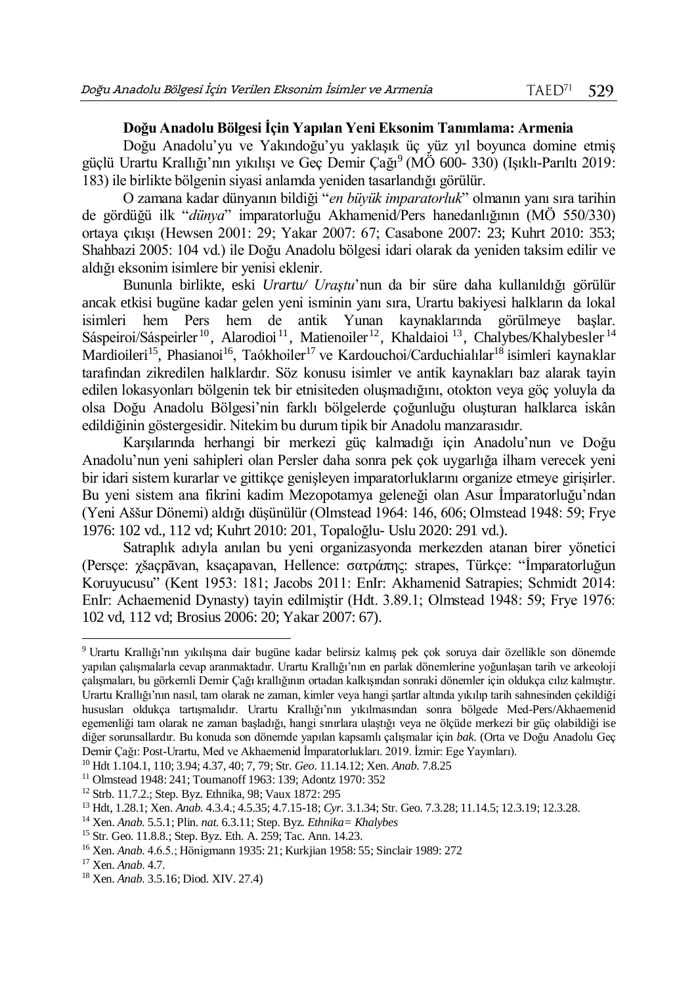## **Doğu Anadolu Bölgesi İçin Yapılan Yeni Eksonim Tanımlama: Armenia**

Doğu Anadolu'yu ve Yakındoğu'yu yaklaşık üç yüz yıl boyunca domine etmiş güçlü Urartu Krallığı'nın yıkılışı ve Geç Demir Çağı<sup>9</sup> (MÖ 600- 330) (Işıklı-Parıltı 2019: 183) ile birlikte bölgenin siyasi anlamda yeniden tasarlandığı görülür.

O zamana kadar dünyanın bildiği "*en büyük imparatorluk*" olmanın yanı sıra tarihin de gördüğü ilk "*dünya*" imparatorluğu Akhamenid/Pers hanedanlığının (MÖ 550/330) ortaya çıkışı (Hewsen 2001: 29; Yakar 2007: 67; Casabone 2007: 23; Kuhrt 2010: 353; Shahbazi 2005: 104 vd.) ile Doğu Anadolu bölgesi idari olarak da yeniden taksim edilir ve aldığı eksonim isimlere bir yenisi eklenir.

Bununla birlikte, eski *Urartu/ Uraştu*'nun da bir süre daha kullanıldığı görülür ancak etkisi bugüne kadar gelen yeni isminin yanı sıra, Urartu bakiyesi halkların da lokal isimleri hem Pers hem de antik Yunan kaynaklarında görülmeye başlar. Sáspeiroi/Sáspeirler<sup>10</sup>, Alarodioi<sup>11</sup>, Matienoiler<sup>12</sup>, Khaldaioi<sup>13</sup>, Chalybes/Khalybesler<sup>14</sup> Mardioileri<sup>15</sup>, Phasianoi<sup>16</sup>, Taókhoiler<sup>17</sup> ve Kardouchoi/Carduchialılar<sup>18</sup> isimleri kaynaklar tarafından zikredilen halklardır. Söz konusu isimler ve antik kaynakları baz alarak tayin edilen lokasyonları bölgenin tek bir etnisiteden oluşmadığını, otokton veya göç yoluyla da olsa Doğu Anadolu Bölgesi'nin farklı bölgelerde çoğunluğu oluşturan halklarca iskân edildiğinin göstergesidir. Nitekim bu durum tipik bir Anadolu manzarasıdır.

Karşılarında herhangi bir merkezi güç kalmadığı için Anadolu'nun ve Doğu Anadolu'nun yeni sahipleri olan Persler daha sonra pek çok uygarlığa ilham verecek yeni bir idari sistem kurarlar ve gittikçe genişleyen imparatorluklarını organize etmeye girişirler. Bu yeni sistem ana fikrini kadim Mezopotamya geleneği olan Asur İmparatorluğu'ndan (Yeni Aššur Dönemi) aldığı düşünülür (Olmstead 1964: 146, 606; Olmstead 1948: 59; Frye 1976: 102 vd., 112 vd; Kuhrt 2010: 201, Topaloğlu- Uslu 2020: 291 vd.).

Satraplık adıyla anılan bu yeni organizasyonda merkezden atanan birer yönetici (Persçe: χšaçpāvan, ksaçapavan, Hellence: σατράπης: strapes, Türkçe: "İmparatorluğun Koruyucusu" (Kent 1953: 181; Jacobs 2011: EnIr: Akhamenid Satrapies; Schmidt 2014: EnIr: Achaemenid Dynasty) tayin edilmiştir (Hdt. 3.89.1; Olmstead 1948: 59; Frye 1976: 102 vd, 112 vd; Brosius 2006: 20; Yakar 2007: 67).

 $\overline{a}$ 

<sup>9</sup> Urartu Krallığı'nın yıkılışına dair bugüne kadar belirsiz kalmış pek çok soruya dair özellikle son dönemde yapılan çalışmalarla cevap aranmaktadır. Urartu Krallığı'nın en parlak dönemlerine yoğunlaşan tarih ve arkeoloji çalışmaları, bu görkemli Demir Çağı krallığının ortadan kalkışından sonraki dönemler için oldukça cılız kalmıştır. Urartu Krallığı'nın nasıl, tam olarak ne zaman, kimler veya hangi şartlar altında yıkılıp tarih sahnesinden çekildiği hususları oldukça tartışmalıdır. Urartu Krallığı'nın yıkılmasından sonra bölgede Med-Pers/Akhaemenid egemenliği tam olarak ne zaman başladığı, hangi sınırlara ulaştığı veya ne ölçüde merkezi bir güç olabildiği ise diğer sorunsallardır. Bu konuda son dönemde yapılan kapsamlı çalışmalar için *bak*. (Orta ve Doğu Anadolu Geç Demir Çağı: Post-Urartu, Med ve Akhaemenid İmparatorlukları. 2019. İzmir: Ege Yayınları).

<sup>10</sup> Hdt 1.104.1, 110; 3.94; 4.37, 40; 7, 79; Str. *Geo*. 11.14.12; Xen. *Anab.* 7.8.25

<sup>11</sup> Olmstead 1948: 241; Toumanoff 1963: 139; Adontz 1970: 352

<sup>12</sup> Strb. 11.7.2.; Step. Byz. Ethnika, 98; Vaux 1872: 295

<sup>13</sup> Hdt, 1.28.1; Xen. *Anab.* 4.3.4.; 4.5.35; 4.7.15-18; *Cyr.* 3.1.34; Str. Geo. 7.3.28; 11.14.5; 12.3.19; 12.3.28.

<sup>14</sup> Xen. *Anab.* 5.5.1; Plin. *nat.* 6.3.11; Step. Byz. *Ethnika= Khalybes*

<sup>15</sup> Str. Geo. 11.8.8.; Step. Byz. Eth. A. 259; Tac. Ann. 14.23.

<sup>16</sup> Xen. *Anab.* 4.6.5.; Hönigmann 1935: 21; Kurkjian 1958: 55; Sinclair 1989: 272

<sup>17</sup> Xen. *Anab.* 4.7.

<sup>18</sup> Xen. *Anab.* 3.5.16; Diod. XIV. 27.4)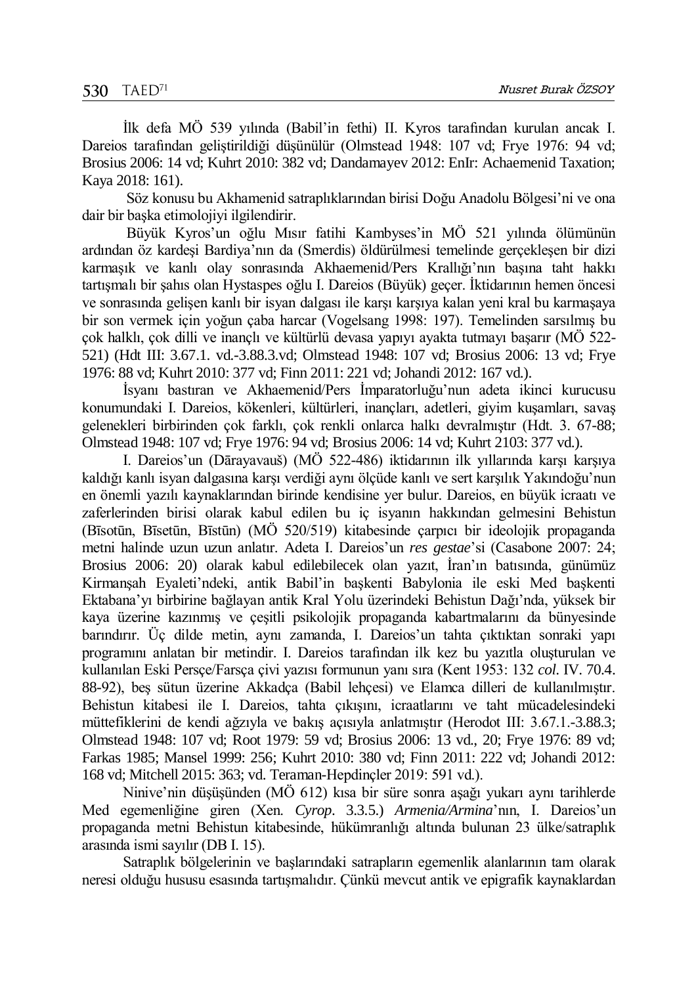İlk defa MÖ 539 yılında (Babil'in fethi) II. Kyros tarafından kurulan ancak I. Dareios tarafından geliştirildiği düşünülür (Olmstead 1948: 107 vd; Frye 1976: 94 vd; Brosius 2006: 14 vd; Kuhrt 2010: 382 vd; Dandamayev 2012: EnIr: Achaemenid Taxation; Kaya 2018: 161).

Söz konusu bu Akhamenid satraplıklarından birisi Doğu Anadolu Bölgesi'ni ve ona dair bir başka etimolojiyi ilgilendirir.

Büyük Kyros'un oğlu Mısır fatihi Kambyses'in MÖ 521 yılında ölümünün ardından öz kardeşi Bardiya'nın da (Smerdis) öldürülmesi temelinde gerçekleşen bir dizi karmaşık ve kanlı olay sonrasında Akhaemenid/Pers Krallığı'nın başına taht hakkı tartışmalı bir şahıs olan Hystaspes oğlu I. Dareios (Büyük) geçer. İktidarının hemen öncesi ve sonrasında gelişen kanlı bir isyan dalgası ile karşı karşıya kalan yeni kral bu karmaşaya bir son vermek için yoğun çaba harcar (Vogelsang 1998: 197). Temelinden sarsılmış bu çok halklı, çok dilli ve inançlı ve kültürlü devasa yapıyı ayakta tutmayı başarır (MÖ 522- 521) (Hdt III: 3.67.1. vd.-3.88.3.vd; Olmstead 1948: 107 vd; Brosius 2006: 13 vd; Frye 1976: 88 vd; Kuhrt 2010: 377 vd; Finn 2011: 221 vd; Johandi 2012: 167 vd.).

İsyanı bastıran ve Akhaemenid/Pers İmparatorluğu'nun adeta ikinci kurucusu konumundaki I. Dareios, kökenleri, kültürleri, inançları, adetleri, giyim kuşamları, savaş gelenekleri birbirinden çok farklı, çok renkli onlarca halkı devralmıştır (Hdt. 3. 67-88; Olmstead 1948: 107 vd; Frye 1976: 94 vd; Brosius 2006: 14 vd; Kuhrt 2103: 377 vd.).

I. Dareios'un (Dārayavauš) (MÖ 522-486) iktidarının ilk yıllarında karşı karşıya kaldığı kanlı isyan dalgasına karşı verdiği aynı ölçüde kanlı ve sert karşılık Yakındoğu'nun en önemli yazılı kaynaklarından birinde kendisine yer bulur. Dareios, en büyük icraatı ve zaferlerinden birisi olarak kabul edilen bu iç isyanın hakkından gelmesini Behistun (Bīsotūn, Bīsetūn, Bīstūn) (MÖ 520/519) kitabesinde çarpıcı bir ideolojik propaganda metni halinde uzun uzun anlatır. Adeta I. Dareios'un *res gestae*'si (Casabone 2007: 24; Brosius 2006: 20) olarak kabul edilebilecek olan yazıt, İran'ın batısında, günümüz Kirmanşah Eyaleti'ndeki, antik Babil'in başkenti Babylonia ile eski Med başkenti Ektabana'yı birbirine bağlayan antik Kral Yolu üzerindeki Behistun Dağı'nda, yüksek bir kaya üzerine kazınmış ve çeşitli psikolojik propaganda kabartmalarını da bünyesinde barındırır. Üç dilde metin, aynı zamanda, I. Dareios'un tahta çıktıktan sonraki yapı programını anlatan bir metindir. I. Dareios tarafından ilk kez bu yazıtla oluşturulan ve kullanılan Eski Persçe/Farsça çivi yazısı formunun yanı sıra (Kent 1953: 132 *col*. IV. 70.4. 88-92), beş sütun üzerine Akkadça (Babil lehçesi) ve Elamca dilleri de kullanılmıştır. Behistun kitabesi ile I. Dareios, tahta çıkışını, icraatlarını ve taht mücadelesindeki müttefiklerini de kendi ağzıyla ve bakış açısıyla anlatmıştır (Herodot III: 3.67.1.-3.88.3; Olmstead 1948: 107 vd; Root 1979: 59 vd; Brosius 2006: 13 vd., 20; Frye 1976: 89 vd; Farkas 1985; Mansel 1999: 256; Kuhrt 2010: 380 vd; Finn 2011: 222 vd; Johandi 2012: 168 vd; Mitchell 2015: 363; vd. Teraman-Hepdinçler 2019: 591 vd.).

Ninive'nin düşüşünden (MÖ 612) kısa bir süre sonra aşağı yukarı aynı tarihlerde Med egemenliğine giren (Xen. *Cyrop*. 3.3.5.) *Armenia/Armina*'nın, I. Dareios'un propaganda metni Behistun kitabesinde, hükümranlığı altında bulunan 23 ülke/satraplık arasında ismi sayılır (DB I. 15).

Satraplık bölgelerinin ve başlarındaki satrapların egemenlik alanlarının tam olarak neresi olduğu hususu esasında tartışmalıdır. Çünkü mevcut antik ve epigrafik kaynaklardan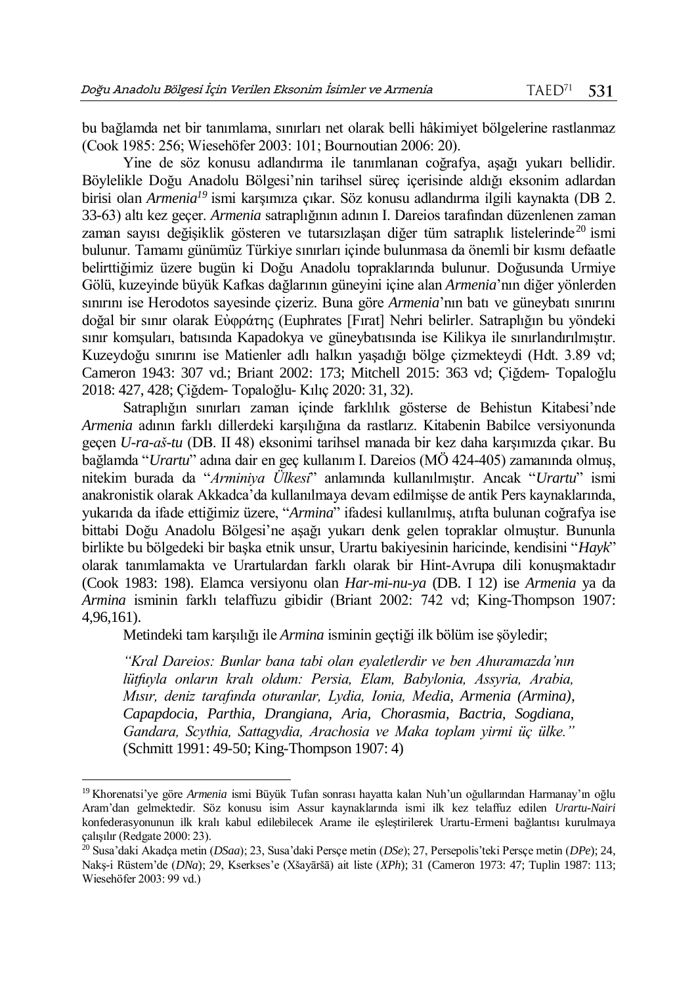bu bağlamda net bir tanımlama, sınırları net olarak belli hâkimiyet bölgelerine rastlanmaz (Cook 1985: 256; Wiesehöfer 2003: 101; Bournoutian 2006: 20).

Yine de söz konusu adlandırma ile tanımlanan coğrafya, aşağı yukarı bellidir. Böylelikle Doğu Anadolu Bölgesi'nin tarihsel süreç içerisinde aldığı eksonim adlardan birisi olan *Armenia<sup>19</sup>* ismi karşımıza çıkar. Söz konusu adlandırma ilgili kaynakta (DB 2. 33-63) altı kez geçer. *Armenia* satraplığının adının I. Dareios tarafından düzenlenen zaman zaman sayısı değişiklik gösteren ve tutarsızlaşan diğer tüm satraplık listelerinde<sup>20</sup> ismi bulunur. Tamamı günümüz Türkiye sınırları içinde bulunmasa da önemli bir kısmı defaatle belirttiğimiz üzere bugün ki Doğu Anadolu topraklarında bulunur. Doğusunda Urmiye Gölü, kuzeyinde büyük Kafkas dağlarının güneyini içine alan *Armenia*'nın diğer yönlerden sınırını ise Herodotos sayesinde çizeriz. Buna göre *Armenia*'nın batı ve güneybatı sınırını doğal bir sınır olarak Εὐφράτης (Euphrates [Fırat] Nehri belirler. Satraplığın bu yöndeki sınır komşuları, batısında Kapadokya ve güneybatısında ise Kilikya ile sınırlandırılmıştır. Kuzeydoğu sınırını ise Matienler adlı halkın yaşadığı bölge çizmekteydi (Hdt. 3.89 vd; Cameron 1943: 307 vd.; Briant 2002: 173; Mitchell 2015: 363 vd; Çiğdem- Topaloğlu 2018: 427, 428; Çiğdem- Topaloğlu- Kılıç 2020: 31, 32).

Satraplığın sınırları zaman içinde farklılık gösterse de Behistun Kitabesi'nde *Armenia* adının farklı dillerdeki karşılığına da rastlarız. Kitabenin Babilce versiyonunda geçen *U-ra-aš-tu* (DB. II 48) eksonimi tarihsel manada bir kez daha karşımızda çıkar. Bu bağlamda "*Urartu*" adına dair en geç kullanım I. Dareios (MÖ 424-405) zamanında olmuş, nitekim burada da "*Arminiya Ülkesi*" anlamında kullanılmıştır. Ancak "*Urartu*" ismi anakronistik olarak Akkadca'da kullanılmaya devam edilmişse de antik Pers kaynaklarında, yukarıda da ifade ettiğimiz üzere, "*Armina*" ifadesi kullanılmış, atıfta bulunan coğrafya ise bittabi Doğu Anadolu Bölgesi'ne aşağı yukarı denk gelen topraklar olmuştur. Bununla birlikte bu bölgedeki bir başka etnik unsur, Urartu bakiyesinin haricinde, kendisini "*Hayk*" olarak tanımlamakta ve Urartulardan farklı olarak bir Hint-Avrupa dili konuşmaktadır (Cook 1983: 198). Elamca versiyonu olan *Har-mi-nu-ya* (DB. I 12) ise *Armenia* ya da *Armina* isminin farklı telaffuzu gibidir (Briant 2002: 742 vd; King-Thompson 1907: 4,96,161).

Metindeki tam karşılığı ile *Armina* isminin geçtiği ilk bölüm ise şöyledir;

*"Kral Dareios: Bunlar bana tabi olan eyaletlerdir ve ben Ahuramazda'nın lütfuyla onların kralı oldum: Persia, Elam, Babylonia, Assyria, Arabia, Mısır, deniz tarafında oturanlar, Lydia, Ionia, Media, Armenia (Armina), Capapdocia, Parthia, Drangiana, Aria, Chorasmia, Bactria, Sogdiana, Gandara, Scythia, Sattagydia, Arachosia ve Maka toplam yirmi üç ülke."*  (Schmitt 1991: 49-50; King-Thompson 1907: 4)

 $\overline{a}$ 

<sup>19</sup> Khorenatsi'ye göre *Armenia* ismi Büyük Tufan sonrası hayatta kalan Nuh'un oğullarından Harmanay'ın oğlu Aram'dan gelmektedir. Söz konusu isim Assur kaynaklarında ismi ilk kez telaffuz edilen *Urartu-Nairi* konfederasyonunun ilk kralı kabul edilebilecek Arame ile eşleştirilerek Urartu-Ermeni bağlantısı kurulmaya çalışılır (Redgate 2000: 23).

<sup>20</sup> Susa'daki Akadça metin (*DSaa*); 23, Susa'daki Persçe metin (*DSe*); 27, Persepolis'teki Persçe metin (*DPe*); 24, Nakş-i Rüstem'de (*DNa*); 29, Kserkses'e (Xšayāršā) ait liste (*XPh*); 31 (Cameron 1973: 47; Tuplin 1987: 113; Wiesehöfer 2003: 99 vd.)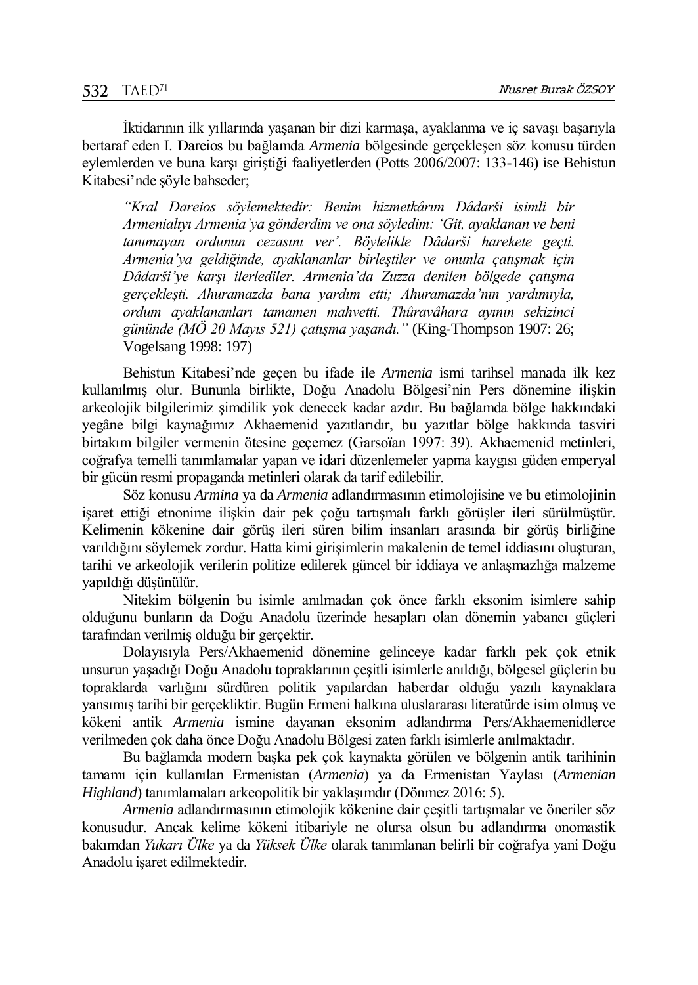İktidarının ilk yıllarında yaşanan bir dizi karmaşa, ayaklanma ve iç savaşı başarıyla bertaraf eden I. Dareios bu bağlamda *Armenia* bölgesinde gerçekleşen söz konusu türden eylemlerden ve buna karşı giriştiği faaliyetlerden (Potts 2006/2007: 133-146) ise Behistun Kitabesi'nde şöyle bahseder;

*"Kral Dareios söylemektedir: Benim hizmetkârım Dâdarši isimli bir Armenialıyı Armenia'ya gönderdim ve ona söyledim: 'Git, ayaklanan ve beni tanımayan ordunun cezasını ver'. Böylelikle Dâdarši harekete geçti. Armenia'ya geldiğinde, ayaklananlar birleştiler ve onunla çatışmak için Dâdarši'ye karşı ilerlediler. Armenia'da Zuzza denilen bölgede çatışma gerçekleşti. Ahuramazda bana yardım etti; Ahuramazda'nın yardımıyla, ordum ayaklananları tamamen mahvetti. Thûravâhara ayının sekizinci gününde (MÖ 20 Mayıs 521) çatışma yaşandı."* (King-Thompson 1907: 26; Vogelsang 1998: 197)

Behistun Kitabesi'nde geçen bu ifade ile *Armenia* ismi tarihsel manada ilk kez kullanılmış olur. Bununla birlikte, Doğu Anadolu Bölgesi'nin Pers dönemine ilişkin arkeolojik bilgilerimiz şimdilik yok denecek kadar azdır. Bu bağlamda bölge hakkındaki yegâne bilgi kaynağımız Akhaemenid yazıtlarıdır, bu yazıtlar bölge hakkında tasviri birtakım bilgiler vermenin ötesine geçemez (Garsoïan 1997: 39). Akhaemenid metinleri, coğrafya temelli tanımlamalar yapan ve idari düzenlemeler yapma kaygısı güden emperyal bir gücün resmi propaganda metinleri olarak da tarif edilebilir.

Söz konusu *Armina* ya da *Armenia* adlandırmasının etimolojisine ve bu etimolojinin işaret ettiği etnonime ilişkin dair pek çoğu tartışmalı farklı görüşler ileri sürülmüştür. Kelimenin kökenine dair görüş ileri süren bilim insanları arasında bir görüş birliğine varıldığını söylemek zordur. Hatta kimi girişimlerin makalenin de temel iddiasını oluşturan, tarihi ve arkeolojik verilerin politize edilerek güncel bir iddiaya ve anlaşmazlığa malzeme yapıldığı düşünülür.

Nitekim bölgenin bu isimle anılmadan çok önce farklı eksonim isimlere sahip olduğunu bunların da Doğu Anadolu üzerinde hesapları olan dönemin yabancı güçleri tarafından verilmiş olduğu bir gerçektir.

Dolayısıyla Pers/Akhaemenid dönemine gelinceye kadar farklı pek çok etnik unsurun yaşadığı Doğu Anadolu topraklarının çeşitli isimlerle anıldığı, bölgesel güçlerin bu topraklarda varlığını sürdüren politik yapılardan haberdar olduğu yazılı kaynaklara yansımış tarihi bir gerçekliktir. Bugün Ermeni halkına uluslararası literatürde isim olmuş ve kökeni antik *Armenia* ismine dayanan eksonim adlandırma Pers/Akhaemenidlerce verilmeden çok daha önce Doğu Anadolu Bölgesi zaten farklı isimlerle anılmaktadır.

Bu bağlamda modern başka pek çok kaynakta görülen ve bölgenin antik tarihinin tamamı için kullanılan Ermenistan (*Armenia*) ya da Ermenistan Yaylası (*Armenian Highland*) tanımlamaları arkeopolitik bir yaklaşımdır (Dönmez 2016: 5).

*Armenia* adlandırmasının etimolojik kökenine dair çeşitli tartışmalar ve öneriler söz konusudur. Ancak kelime kökeni itibariyle ne olursa olsun bu adlandırma onomastik bakımdan *Yukarı Ülke* ya da *Yüksek Ülke* olarak tanımlanan belirli bir coğrafya yani Doğu Anadolu işaret edilmektedir.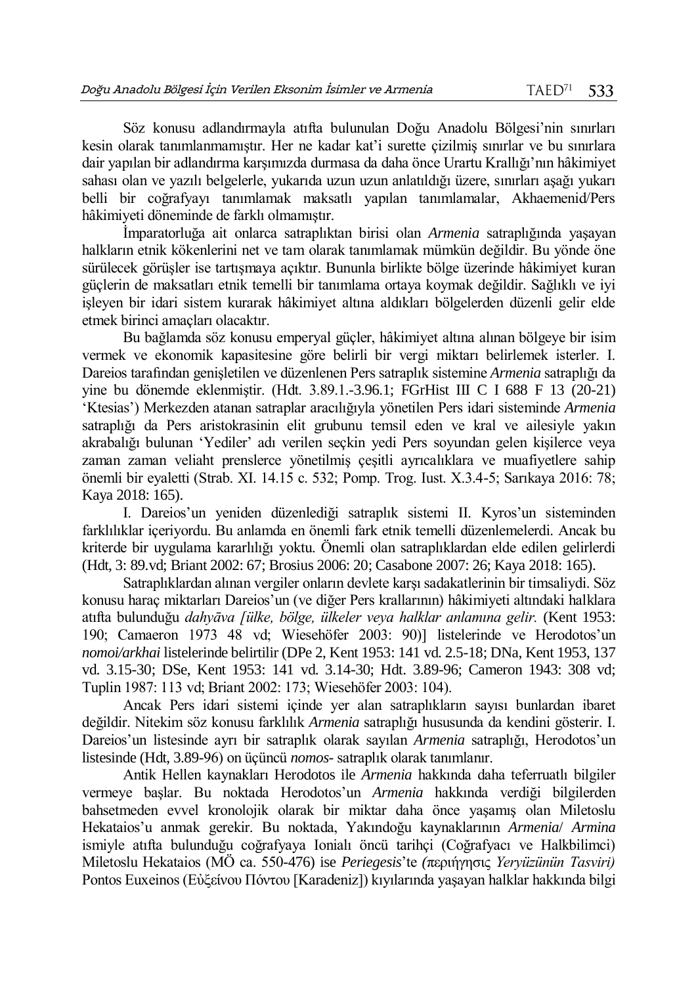Söz konusu adlandırmayla atıfta bulunulan Doğu Anadolu Bölgesi'nin sınırları kesin olarak tanımlanmamıştır. Her ne kadar kat'i surette çizilmiş sınırlar ve bu sınırlara dair yapılan bir adlandırma karşımızda durmasa da daha önce Urartu Krallığı'nın hâkimiyet sahası olan ve yazılı belgelerle, yukarıda uzun uzun anlatıldığı üzere, sınırları aşağı yukarı belli bir coğrafyayı tanımlamak maksatlı yapılan tanımlamalar, Akhaemenid/Pers hâkimiyeti döneminde de farklı olmamıştır.

İmparatorluğa ait onlarca satraplıktan birisi olan *Armenia* satraplığında yaşayan halkların etnik kökenlerini net ve tam olarak tanımlamak mümkün değildir. Bu yönde öne sürülecek görüşler ise tartışmaya açıktır. Bununla birlikte bölge üzerinde hâkimiyet kuran güçlerin de maksatları etnik temelli bir tanımlama ortaya koymak değildir. Sağlıklı ve iyi işleyen bir idari sistem kurarak hâkimiyet altına aldıkları bölgelerden düzenli gelir elde etmek birinci amaçları olacaktır.

Bu bağlamda söz konusu emperyal güçler, hâkimiyet altına alınan bölgeye bir isim vermek ve ekonomik kapasitesine göre belirli bir vergi miktarı belirlemek isterler. I. Dareios tarafından genişletilen ve düzenlenen Pers satraplık sistemine *Armenia* satraplığı da yine bu dönemde eklenmiştir. (Hdt. 3.89.1.-3.96.1; FGrHist III C I 688 F 13 (20-21) 'Ktesias') Merkezden atanan satraplar aracılığıyla yönetilen Pers idari sisteminde *Armenia* satraplığı da Pers aristokrasinin elit grubunu temsil eden ve kral ve ailesiyle yakın akrabalığı bulunan 'Yediler' adı verilen seçkin yedi Pers soyundan gelen kişilerce veya zaman zaman veliaht prenslerce yönetilmiş çeşitli ayrıcalıklara ve muafiyetlere sahip önemli bir eyaletti (Strab. XI. 14.15 c. 532; Pomp. Trog. Iust. X.3.4-5; Sarıkaya 2016: 78; Kaya 2018: 165).

I. Dareios'un yeniden düzenlediği satraplık sistemi II. Kyros'un sisteminden farklılıklar içeriyordu. Bu anlamda en önemli fark etnik temelli düzenlemelerdi. Ancak bu kriterde bir uygulama kararlılığı yoktu. Önemli olan satraplıklardan elde edilen gelirlerdi (Hdt, 3: 89.vd; Briant 2002: 67; Brosius 2006: 20; Casabone 2007: 26; Kaya 2018: 165).

Satraplıklardan alınan vergiler onların devlete karşı sadakatlerinin bir timsaliydi. Söz konusu haraç miktarları Dareios'un (ve diğer Pers krallarının) hâkimiyeti altındaki halklara atıfta bulunduğu *dahyāva [ülke, bölge, ülkeler veya halklar anlamına gelir.* (Kent 1953: 190; Camaeron 1973 48 vd; Wiesehöfer 2003: 90)] listelerinde ve Herodotos'un *nomoi/arkhai* listelerinde belirtilir (DPe 2, Kent 1953: 141 vd. 2.5-18; DNa, Kent 1953, 137 vd. 3.15-30; DSe, Kent 1953: 141 vd. 3.14-30; Hdt. 3.89-96; Cameron 1943: 308 vd; Tuplin 1987: 113 vd; Briant 2002: 173; Wiesehöfer 2003: 104).

Ancak Pers idari sistemi içinde yer alan satraplıkların sayısı bunlardan ibaret değildir. Nitekim söz konusu farklılık *Armenia* satraplığı hususunda da kendini gösterir. I. Dareios'un listesinde ayrı bir satraplık olarak sayılan *Armenia* satraplığı, Herodotos'un listesinde (Hdt, 3.89-96) on üçüncü *nomos-* satraplık olarak tanımlanır.

Antik Hellen kaynakları Herodotos ile *Armenia* hakkında daha teferruatlı bilgiler vermeye başlar. Bu noktada Herodotos'un *Armenia* hakkında verdiği bilgilerden bahsetmeden evvel kronolojik olarak bir miktar daha önce yaşamış olan Miletoslu Hekataios'u anmak gerekir. Bu noktada, Yakındoğu kaynaklarının *Armenia*/ *Armina* ismiyle atıfta bulunduğu coğrafyaya Ionialı öncü tarihçi (Coğrafyacı ve Halkbilimci) Miletoslu Hekataios (MÖ ca. 550-476) ise *Periegesis*'te *(*περιήγησις *Yeryüzünün Tasviri)* Pontos Euxeinos (Εὐξείνου Πόντου [Karadeniz]) kıyılarında yaşayan halklar hakkında bilgi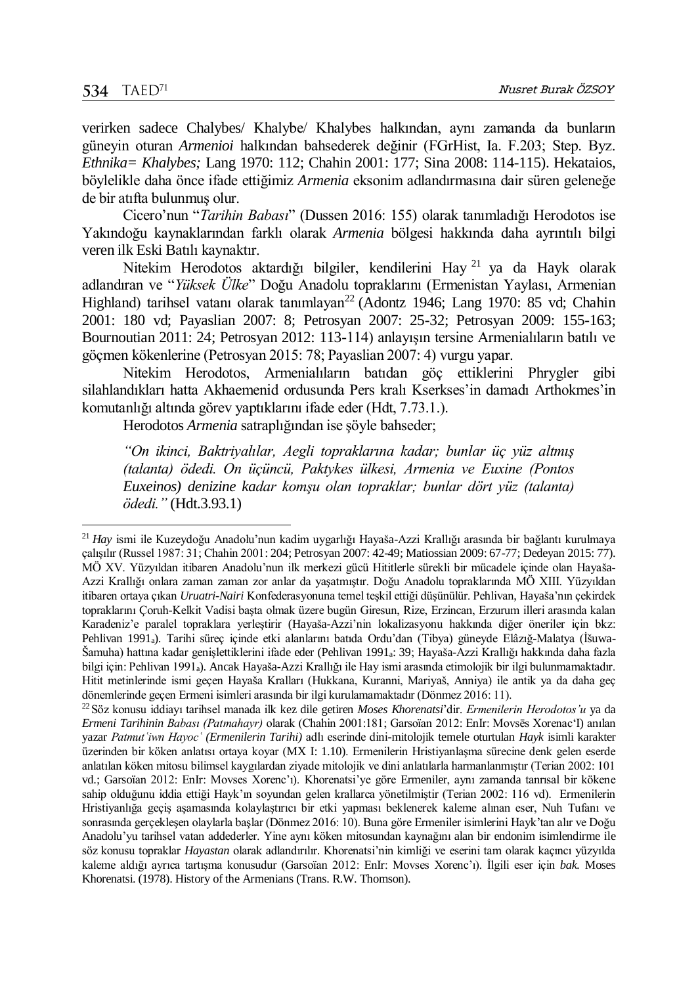$\overline{a}$ 

verirken sadece Chalybes/ Khalybe/ Khalybes halkından, aynı zamanda da bunların güneyin oturan *Armenioi* halkından bahsederek değinir (FGrHist, Ia. F.203; Step. Byz. *Ethnika= Khalybes;* Lang 1970: 112; Chahin 2001: 177; Sina 2008: 114-115). Hekataios, böylelikle daha önce ifade ettiğimiz *Armenia* eksonim adlandırmasına dair süren geleneğe de bir atıfta bulunmuş olur.

Cicero'nun "*Tarihin Babası*" (Dussen 2016: 155) olarak tanımladığı Herodotos ise Yakındoğu kaynaklarından farklı olarak *Armenia* bölgesi hakkında daha ayrıntılı bilgi veren ilk Eski Batılı kaynaktır.

Nitekim Herodotos aktardığı bilgiler, kendilerini Hay <sup>21</sup> ya da Hayk olarak adlandıran ve "*Yüksek Ülke*" Doğu Anadolu topraklarını (Ermenistan Yaylası, Armenian Highland) tarihsel vatanı olarak tanımlayan<sup>22</sup> (Adontz 1946; Lang 1970: 85 vd; Chahin 2001: 180 vd; Payaslian 2007: 8; Petrosyan 2007: 25-32; Petrosyan 2009: 155-163; Bournoutian 2011: 24; Petrosyan 2012: 113-114) anlayışın tersine Armenialıların batılı ve göçmen kökenlerine (Petrosyan 2015: 78; Payaslian 2007: 4) vurgu yapar.

Nitekim Herodotos, Armenialıların batıdan göç ettiklerini Phrygler gibi silahlandıkları hatta Akhaemenid ordusunda Pers kralı Kserkses'in damadı Arthokmes'in komutanlığı altında görev yaptıklarını ifade eder (Hdt, 7.73.1.).

Herodotos *Armenia* satraplığından ise şöyle bahseder;

*"On ikinci, Baktriyalılar, Aegli topraklarına kadar; bunlar üç yüz altmış (talanta) ödedi. On üçüncü, Paktykes ülkesi, Armenia ve Euxine (Pontos Euxeinos) denizine kadar komşu olan topraklar; bunlar dört yüz (talanta) ödedi."* (Hdt.3.93.1)

<sup>21</sup> *Hay* ismi ile Kuzeydoğu Anadolu'nun kadim uygarlığı Hayaša-Azzi Krallığı arasında bir bağlantı kurulmaya çalışılır (Russel 1987: 31; Chahin 2001: 204; Petrosyan 2007: 42-49; Matiossian 2009: 67-77; Dedeyan 2015: 77). MÖ XV. Yüzyıldan itibaren Anadolu'nun ilk merkezi gücü Hititlerle sürekli bir mücadele içinde olan Hayaša-Azzi Krallığı onlara zaman zaman zor anlar da yaşatmıştır. Doğu Anadolu topraklarında MÖ XIII. Yüzyıldan itibaren ortaya çıkan *Uruatri-Nairi* Konfederasyonuna temel teşkil ettiği düşünülür. Pehlivan, Hayaša'nın çekirdek topraklarını Çoruh-Kelkit Vadisi başta olmak üzere bugün Giresun, Rize, Erzincan, Erzurum illeri arasında kalan Karadeniz'e paralel topraklara yerleştirir (Hayaša-Azzi'nin lokalizasyonu hakkında diğer öneriler için bkz: Pehlivan 1991a). Tarihi süreç içinde etki alanlarını batıda Ordu'dan (Tibya) güneyde Elâzığ-Malatya (İšuwa-Šamuha) hattına kadar genişlettiklerini ifade eder (Pehlivan 1991a: 39; Hayaša-Azzi Krallığı hakkında daha fazla bilgi için: Pehlivan 1991a). Ancak Hayaša-Azzi Krallığı ile Hay ismi arasında etimolojik bir ilgi bulunmamaktadır. Hitit metinlerinde ismi geçen Hayaša Kralları (Hukkana, Kuranni, Mariyaš, Anniya) ile antik ya da daha geç dönemlerinde geçen Ermeni isimleri arasında bir ilgi kurulamamaktadır (Dönmez 2016: 11).

<sup>22</sup>Söz konusu iddiayı tarihsel manada ilk kez dile getiren *Moses Khorenatsi*'dir. *Ermenilerin Herodotos'u* ya da *Ermeni Tarihinin Babası (Patmahayr)* olarak (Chahin 2001:181; Garsoïan 2012: EnIr: Movsēs Xorenac'I) anılan yazar *Patmutʿiwn Hayocʿ (Ermenilerin Tarihi)* adlı eserinde dini-mitolojik temele oturtulan *Hayk* isimli karakter üzerinden bir köken anlatısı ortaya koyar (MX I: 1.10). Ermenilerin Hristiyanlaşma sürecine denk gelen eserde anlatılan köken mitosu bilimsel kaygılardan ziyade mitolojik ve dini anlatılarla harmanlanmıştır (Terian 2002: 101 vd.; Garsoïan 2012: EnIr: Movses Xorenc'ı). Khorenatsi'ye göre Ermeniler, aynı zamanda tanrısal bir kökene sahip olduğunu iddia ettiği Hayk'ın soyundan gelen krallarca yönetilmiştir (Terian 2002: 116 vd). Ermenilerin Hristiyanlığa geçiş aşamasında kolaylaştırıcı bir etki yapması beklenerek kaleme alınan eser, Nuh Tufanı ve sonrasında gerçekleşen olaylarla başlar (Dönmez 2016: 10). Buna göre Ermeniler isimlerini Hayk'tan alır ve Doğu Anadolu'yu tarihsel vatan addederler. Yine aynı köken mitosundan kaynağını alan bir endonim isimlendirme ile söz konusu topraklar *Hayastan* olarak adlandırılır. Khorenatsi'nin kimliği ve eserini tam olarak kaçıncı yüzyılda kaleme aldığı ayrıca tartışma konusudur (Garsoïan 2012: EnIr: Movses Xorenc'ı). İlgili eser için *bak.* Moses Khorenatsi. (1978). History of the Armenians (Trans. R.W. Thomson).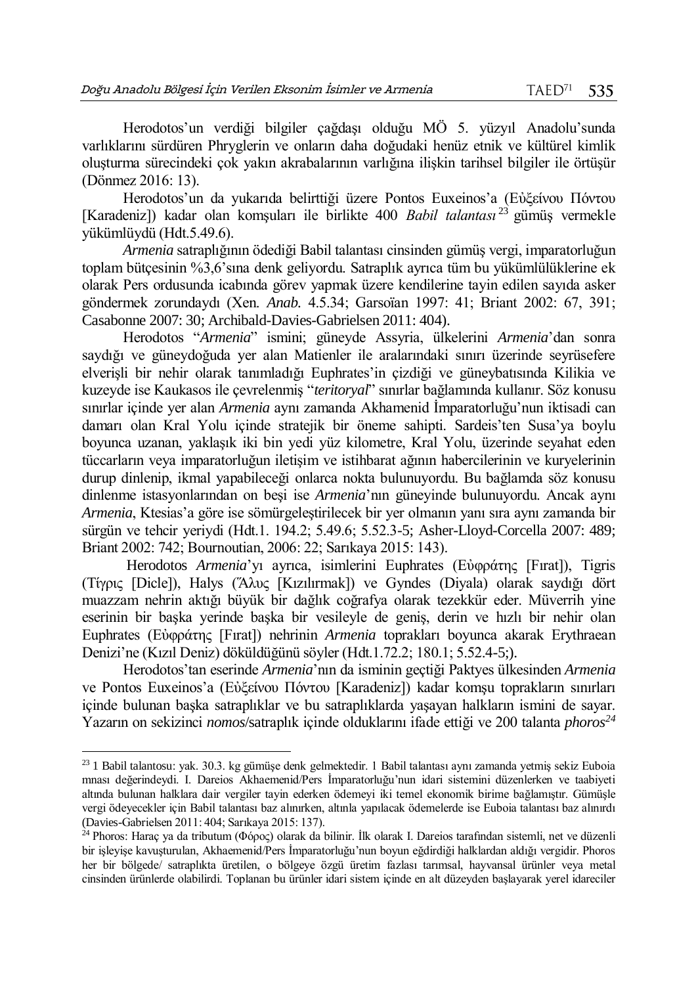Herodotos'un verdiği bilgiler çağdaşı olduğu MÖ 5. yüzyıl Anadolu'sunda varlıklarını sürdüren Phryglerin ve onların daha doğudaki henüz etnik ve kültürel kimlik oluşturma sürecindeki çok yakın akrabalarının varlığına ilişkin tarihsel bilgiler ile örtüşür (Dönmez 2016: 13).

Herodotos'un da yukarıda belirttiği üzere Pontos Euxeinos'a (Εὐξείνου Πόντου [Karadeniz]) kadar olan komşuları ile birlikte 400 *Babil talantası* <sup>23</sup> gümüş vermekle yükümlüydü (Hdt.5.49.6).

*Armenia* satraplığının ödediği Babil talantası cinsinden gümüş vergi, imparatorluğun toplam bütçesinin %3,6'sına denk geliyordu. Satraplık ayrıca tüm bu yükümlülüklerine ek olarak Pers ordusunda icabında görev yapmak üzere kendilerine tayin edilen sayıda asker göndermek zorundaydı (Xen. *Anab.* 4.5.34; Garsoïan 1997: 41; Briant 2002: 67, 391; Casabonne 2007: 30; Archibald-Davies-Gabrielsen 2011: 404).

Herodotos "*Armenia*" ismini; güneyde Assyria, ülkelerini *Armenia*'dan sonra saydığı ve güneydoğuda yer alan Matienler ile aralarındaki sınırı üzerinde seyrüsefere elverişli bir nehir olarak tanımladığı Euphrates'in çizdiği ve güneybatısında Kilikia ve kuzeyde ise Kaukasos ile çevrelenmiş "*teritoryal*" sınırlar bağlamında kullanır. Söz konusu sınırlar içinde yer alan *Armenia* aynı zamanda Akhamenid İmparatorluğu'nun iktisadi can damarı olan Kral Yolu içinde stratejik bir öneme sahipti. Sardeis'ten Susa'ya boylu boyunca uzanan, yaklaşık iki bin yedi yüz kilometre, Kral Yolu, üzerinde seyahat eden tüccarların veya imparatorluğun iletişim ve istihbarat ağının habercilerinin ve kuryelerinin durup dinlenip, ikmal yapabileceği onlarca nokta bulunuyordu. Bu bağlamda söz konusu dinlenme istasyonlarından on beşi ise *Armenia*'nın güneyinde bulunuyordu. Ancak aynı *Armenia*, Ktesias'a göre ise sömürgeleştirilecek bir yer olmanın yanı sıra aynı zamanda bir sürgün ve tehcir yeriydi (Hdt.1. 194.2; 5.49.6; 5.52.3-5; Asher-Lloyd-Corcella 2007: 489; Briant 2002: 742; Bournoutian, 2006: 22; Sarıkaya 2015: 143).

Herodotos *Armenia*'yı ayrıca, isimlerini Euphrates (Εὐφράτης [Fırat]), Tigris (Τίγρις [Dicle]), Halys (Ἅλυς [Kızılırmak]) ve Gyndes (Diyala) olarak saydığı dört muazzam nehrin aktığı büyük bir dağlık coğrafya olarak tezekkür eder. Müverrih yine eserinin bir başka yerinde başka bir vesileyle de geniş, derin ve hızlı bir nehir olan Euphrates (Εὐφράτης [Fırat]) nehrinin *Armenia* toprakları boyunca akarak Erythraean Denizi'ne (Kızıl Deniz) döküldüğünü söyler (Hdt.1.72.2; 180.1; 5.52.4-5;).

Herodotos'tan eserinde *Armenia*'nın da isminin geçtiği Paktyes ülkesinden *Armenia* ve Pontos Euxeinos'a (Εὐξείνου Πόντου [Karadeniz]) kadar komşu toprakların sınırları içinde bulunan başka satraplıklar ve bu satraplıklarda yaşayan halkların ismini de sayar. Yazarın on sekizinci *nomos*/satraplık içinde olduklarını ifade ettiği ve 200 talanta *phoros<sup>24</sup>*

 $\overline{a}$ 

<sup>23</sup> 1 Babil talantosu: yak. 30.3. kg gümüşe denk gelmektedir. 1 Babil talantası aynı zamanda yetmiş sekiz Euboia mnası değerindeydi. I. Dareios Akhaemenid/Pers İmparatorluğu'nun idari sistemini düzenlerken ve taabiyeti altında bulunan halklara dair vergiler tayin ederken ödemeyi iki temel ekonomik birime bağlamıştır. Gümüşle vergi ödeyecekler için Babil talantası baz alınırken, altınla yapılacak ödemelerde ise Euboia talantası baz alınırdı (Davies-Gabrielsen 2011: 404; Sarıkaya 2015: 137).

<sup>&</sup>lt;sup>24</sup> Phoros: Haraç ya da tributum (Φόρος) olarak da bilinir. İlk olarak I. Dareios tarafından sistemli, net ve düzenli bir işleyişe kavuşturulan, Akhaemenid/Pers İmparatorluğu'nun boyun eğdirdiği halklardan aldığı vergidir. Phoros her bir bölgede/ satraplıkta üretilen, o bölgeye özgü üretim fazlası tarımsal, hayvansal ürünler veya metal cinsinden ürünlerde olabilirdi. Toplanan bu ürünler idari sistem içinde en alt düzeyden başlayarak yerel idareciler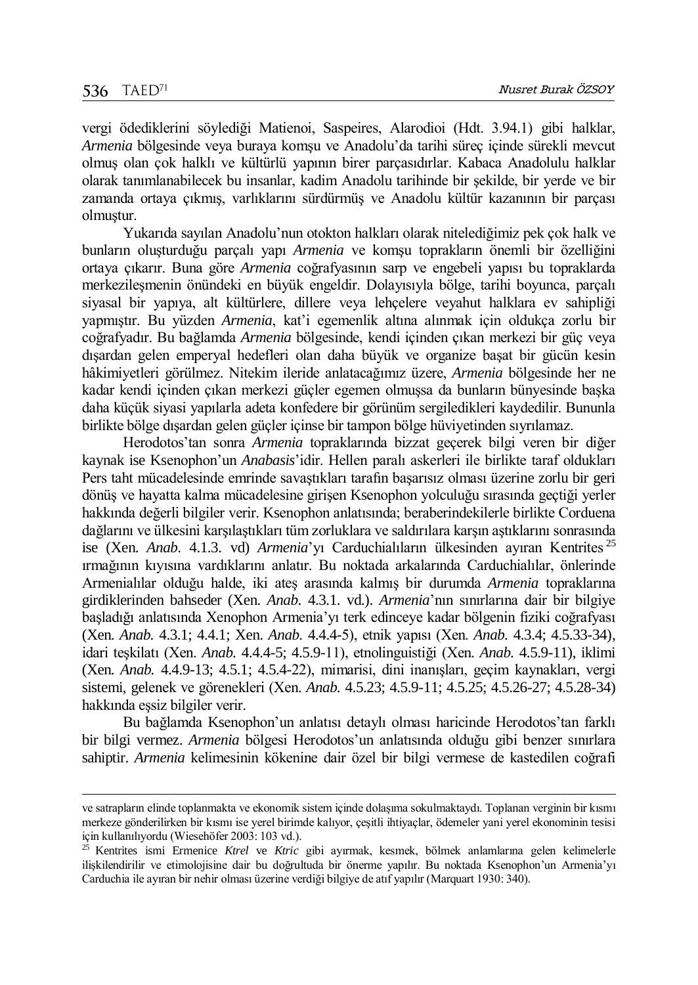$\overline{a}$ 

vergi ödediklerini söylediği Matienoi, Saspeires, Alarodioi (Hdt. 3.94.1) gibi halklar, *Armenia* bölgesinde veya buraya komşu ve Anadolu'da tarihi süreç içinde sürekli mevcut olmuş olan çok halklı ve kültürlü yapının birer parçasıdırlar. Kabaca Anadolulu halklar olarak tanımlanabilecek bu insanlar, kadim Anadolu tarihinde bir şekilde, bir yerde ve bir zamanda ortaya çıkmış, varlıklarını sürdürmüş ve Anadolu kültür kazanının bir parçası olmuştur.

Yukarıda sayılan Anadolu'nun otokton halkları olarak nitelediğimiz pek çok halk ve bunların oluşturduğu parçalı yapı *Armenia* ve komşu toprakların önemli bir özelliğini ortaya çıkarır. Buna göre *Armenia* coğrafyasının sarp ve engebeli yapısı bu topraklarda merkezileşmenin önündeki en büyük engeldir. Dolayısıyla bölge, tarihi boyunca, parçalı siyasal bir yapıya, alt kültürlere, dillere veya lehçelere veyahut halklara ev sahipliği yapmıştır. Bu yüzden *Armenia*, kat'i egemenlik altına alınmak için oldukça zorlu bir coğrafyadır. Bu bağlamda *Armenia* bölgesinde, kendi içinden çıkan merkezi bir güç veya dışardan gelen emperyal hedefleri olan daha büyük ve organize başat bir gücün kesin hâkimiyetleri görülmez. Nitekim ileride anlatacağımız üzere, *Armenia* bölgesinde her ne kadar kendi içinden çıkan merkezi güçler egemen olmuşsa da bunların bünyesinde başka daha küçük siyasi yapılarla adeta konfedere bir görünüm sergiledikleri kaydedilir. Bununla birlikte bölge dışardan gelen güçler içinse bir tampon bölge hüviyetinden sıyrılamaz.

Herodotos'tan sonra *Armenia* topraklarında bizzat geçerek bilgi veren bir diğer kaynak ise Ksenophon'un *Anabasis*'idir. Hellen paralı askerleri ile birlikte taraf oldukları Pers taht mücadelesinde emrinde savaştıkları tarafın başarısız olması üzerine zorlu bir geri dönüş ve hayatta kalma mücadelesine girişen Ksenophon yolculuğu sırasında geçtiği yerler hakkında değerli bilgiler verir. Ksenophon anlatısında; beraberindekilerle birlikte Corduena dağlarını ve ülkesini karşılaştıkları tüm zorluklara ve saldırılara karşın aştıklarını sonrasında ise (Xen. *Anab*. 4.1.3. vd) *Armenia*'yı Carduchialıların ülkesinden ayıran Kentrites <sup>25</sup> ırmağının kıyısına vardıklarını anlatır. Bu noktada arkalarında Carduchialılar, önlerinde Armenialılar olduğu halde, iki ateş arasında kalmış bir durumda *Armenia* topraklarına girdiklerinden bahseder (Xen. *Anab.* 4.3.1. vd.). *Armenia*'nın sınırlarına dair bir bilgiye başladığı anlatısında Xenophon Armenia'yı terk edinceye kadar bölgenin fiziki coğrafyası (Xen. *Anab.* 4.3.1; 4.4.1; Xen. *Anab.* 4.4.4-5), etnik yapısı (Xen. *Anab.* 4.3.4; 4.5.33-34), idari teşkilatı (Xen. *Anab.* 4.4.4-5; 4.5.9-11), etnolinguistiği (Xen. *Anab.* 4.5.9-11), iklimi (Xen. *Anab.* 4.4.9-13; 4.5.1; 4.5.4-22), mimarisi, dini inanışları, geçim kaynakları, vergi sistemi, gelenek ve görenekleri (Xen. *Anab.* 4.5.23; 4.5.9-11; 4.5.25; 4.5.26-27; 4.5.28-34) hakkında eşsiz bilgiler verir.

Bu bağlamda Ksenophon'un anlatısı detaylı olması haricinde Herodotos'tan farklı bir bilgi vermez. *Armenia* bölgesi Herodotos'un anlatısında olduğu gibi benzer sınırlara sahiptir. *Armenia* kelimesinin kökenine dair özel bir bilgi vermese de kastedilen coğrafi

ve satrapların elinde toplanmakta ve ekonomik sistem içinde dolaşıma sokulmaktaydı. Toplanan verginin bir kısmı merkeze gönderilirken bir kısmı ise yerel birimde kalıyor, çeşitli ihtiyaçlar, ödemeler yani yerel ekonominin tesisi için kullanılıyordu (Wiesehöfer 2003: 103 vd.).

<sup>25</sup> Kentrites ismi Ermenice *Ktrel* ve *Ktric* gibi ayırmak, kesmek, bölmek anlamlarına gelen kelimelerle ilişkilendirilir ve etimolojisine dair bu doğrultuda bir önerme yapılır. Bu noktada Ksenophon'un Armenia'yı Carduchia ile ayıran bir nehir olması üzerine verdiği bilgiye de atıf yapılır (Marquart 1930: 340).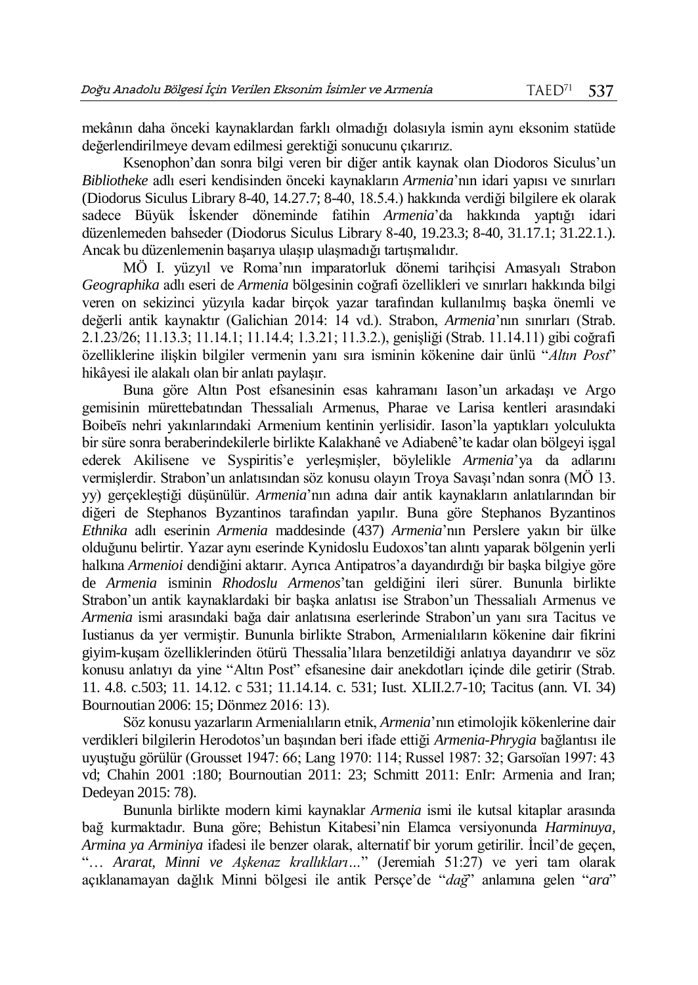mekânın daha önceki kaynaklardan farklı olmadığı dolasıyla ismin aynı eksonim statüde değerlendirilmeye devam edilmesi gerektiği sonucunu çıkarırız.

Ksenophon'dan sonra bilgi veren bir diğer antik kaynak olan Diodoros Siculus'un *Bibliotheke* adlı eseri kendisinden önceki kaynakların *Armenia*'nın idari yapısı ve sınırları (Diodorus Siculus Library 8-40, 14.27.7; 8-40, 18.5.4.) hakkında verdiği bilgilere ek olarak sadece Büyük İskender döneminde fatihin *Armenia*'da hakkında yaptığı idari düzenlemeden bahseder (Diodorus Siculus Library 8-40, 19.23.3; 8-40, 31.17.1; 31.22.1.). Ancak bu düzenlemenin başarıya ulaşıp ulaşmadığı tartışmalıdır.

MÖ I. yüzyıl ve Roma'nın imparatorluk dönemi tarihçisi Amasyalı Strabon *Geographika* adlı eseri de *Armenia* bölgesinin coğrafi özellikleri ve sınırları hakkında bilgi veren on sekizinci yüzyıla kadar birçok yazar tarafından kullanılmış başka önemli ve değerli antik kaynaktır (Galichian 2014: 14 vd.). Strabon, *Armenia*'nın sınırları (Strab. 2.1.23/26; 11.13.3; 11.14.1; 11.14.4; 1.3.21; 11.3.2.), genişliği (Strab. 11.14.11) gibi coğrafi özelliklerine ilişkin bilgiler vermenin yanı sıra isminin kökenine dair ünlü "*Altın Post*" hikâyesi ile alakalı olan bir anlatı paylaşır.

Buna göre Altın Post efsanesinin esas kahramanı Iason'un arkadaşı ve Argo gemisinin mürettebatından Thessalialı Armenus, Pharae ve Larisa kentleri arasındaki Boibeīs nehri yakınlarındaki Armenium kentinin yerlisidir. Iason'la yaptıkları yolculukta bir süre sonra beraberindekilerle birlikte Kalakhanê ve Adiabenê'te kadar olan bölgeyi işgal ederek Akilisene ve Syspiritis'e yerleşmişler, böylelikle *Armenia*'ya da adlarını vermişlerdir. Strabon'un anlatısından söz konusu olayın Troya Savaşı'ndan sonra (MÖ 13. yy) gerçekleştiği düşünülür. *Armenia*'nın adına dair antik kaynakların anlatılarından bir diğeri de Stephanos Byzantinos tarafından yapılır. Buna göre Stephanos Byzantinos *Ethnika* adlı eserinin *Armenia* maddesinde (437) *Armenia*'nın Perslere yakın bir ülke olduğunu belirtir. Yazar aynı eserinde Kynidoslu Eudoxos'tan alıntı yaparak bölgenin yerli halkına *Armenioi* dendiğini aktarır. Ayrıca Antipatros'a dayandırdığı bir başka bilgiye göre de *Armenia* isminin *Rhodoslu Armenos*'tan geldiğini ileri sürer. Bununla birlikte Strabon'un antik kaynaklardaki bir başka anlatısı ise Strabon'un Thessalialı Armenus ve *Armenia* ismi arasındaki bağa dair anlatısına eserlerinde Strabon'un yanı sıra Tacitus ve Iustianus da yer vermiştir. Bununla birlikte Strabon, Armenialıların kökenine dair fikrini giyim-kuşam özelliklerinden ötürü Thessalia'lılara benzetildiği anlatıya dayandırır ve söz konusu anlatıyı da yine "Altın Post" efsanesine dair anekdotları içinde dile getirir (Strab. 11. 4.8. c.503; 11. 14.12. c 531; 11.14.14. c. 531; Iust. XLII.2.7-10; Tacitus (ann. VI. 34) Bournoutian 2006: 15; Dönmez 2016: 13).

Söz konusu yazarların Armenialıların etnik, *Armenia*'nın etimolojik kökenlerine dair verdikleri bilgilerin Herodotos'un başından beri ifade ettiği *Armenia*-*Phrygia* bağlantısı ile uyuştuğu görülür (Grousset 1947: 66; Lang 1970: 114; Russel 1987: 32; Garsoïan 1997: 43 vd; Chahin 2001 :180; Bournoutian 2011: 23; Schmitt 2011: EnIr: Armenia and Iran; Dedeyan 2015: 78).

Bununla birlikte modern kimi kaynaklar *Armenia* ismi ile kutsal kitaplar arasında bağ kurmaktadır. Buna göre; Behistun Kitabesi'nin Elamca versiyonunda *Harminuya, Armina ya Arminiya* ifadesi ile benzer olarak, alternatif bir yorum getirilir. İncil'de geçen, "… *Ararat, Minni ve Aşkenaz krallıkları…*" (Jeremiah 51:27) ve yeri tam olarak açıklanamayan dağlık Minni bölgesi ile antik Persçe'de "*dağ*" anlamına gelen "*ara*"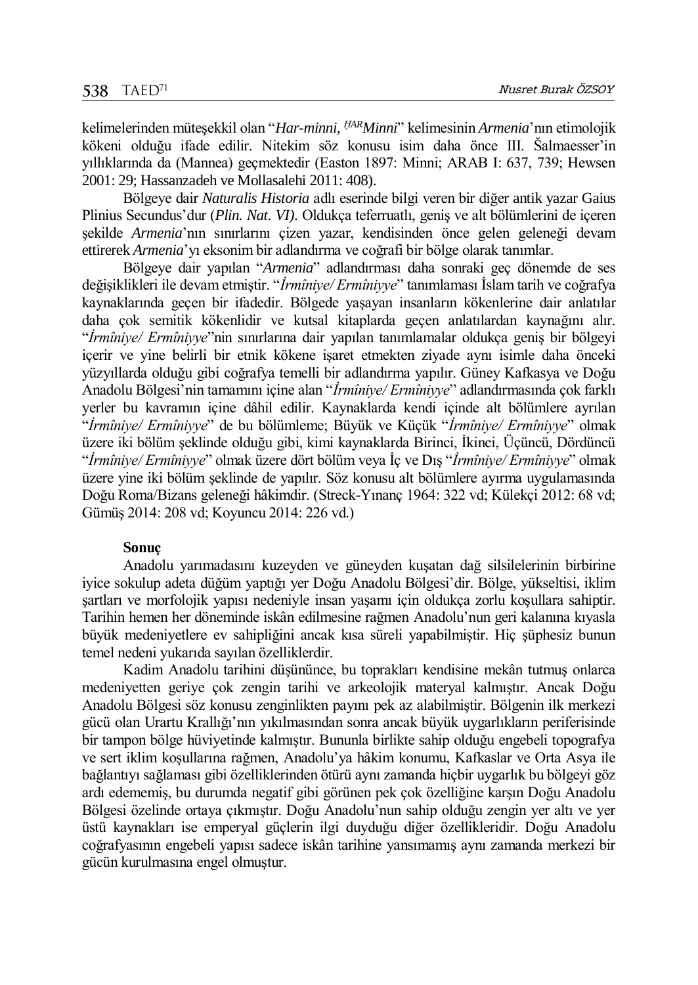kelimelerinden müteşekkil olan "*Har-minni, ḪARMinni*" kelimesinin *Armenia*'nın etimolojik kökeni olduğu ifade edilir. Nitekim söz konusu isim daha önce III. Šalmaesser'in yıllıklarında da (Mannea) geçmektedir (Easton 1897: Minni; ARAB I: 637, 739; Hewsen 2001: 29; Hassanzadeh ve Mollasalehi 2011: 408).

Bölgeye dair *Naturalis Historia* adlı eserinde bilgi veren bir diğer antik yazar Gaius Plinius Secundus'dur (*Plin. Nat. VI).* Oldukça teferruatlı, geniş ve alt bölümlerini de içeren şekilde *Armenia*'nın sınırlarını çizen yazar, kendisinden önce gelen geleneği devam ettirerek *Armenia*'yı eksonim bir adlandırma ve coğrafi bir bölge olarak tanımlar.

Bölgeye dair yapılan "*Armenia*" adlandırması daha sonraki geç dönemde de ses değişiklikleri ile devam etmiştir. "*İrmîniye/ Ermîniyye*" tanımlaması İslam tarih ve coğrafya kaynaklarında geçen bir ifadedir. Bölgede yaşayan insanların kökenlerine dair anlatılar daha çok semitik kökenlidir ve kutsal kitaplarda geçen anlatılardan kaynağını alır. "*İrmîniye/ Ermîniyye*"nin sınırlarına dair yapılan tanımlamalar oldukça geniş bir bölgeyi içerir ve yine belirli bir etnik kökene işaret etmekten ziyade aynı isimle daha önceki yüzyıllarda olduğu gibi coğrafya temelli bir adlandırma yapılır. Güney Kafkasya ve Doğu Anadolu Bölgesi'nin tamamını içine alan "*İrmîniye/ Ermîniyye*" adlandırmasında çok farklı yerler bu kavramın içine dâhil edilir. Kaynaklarda kendi içinde alt bölümlere ayrılan "*İrmîniye/ Ermîniyye*" de bu bölümleme; Büyük ve Küçük "*İrmîniye/ Ermîniyye*" olmak üzere iki bölüm şeklinde olduğu gibi, kimi kaynaklarda Birinci, İkinci, Üçüncü, Dördüncü "*İrmîniye/ Ermîniyye*" olmak üzere dört bölüm veya İç ve Dış "*İrmîniye/ Ermîniyye*" olmak üzere yine iki bölüm şeklinde de yapılır. Söz konusu alt bölümlere ayırma uygulamasında Doğu Roma/Bizans geleneği hâkimdir. (Streck-Yınanç 1964: 322 vd; Külekçi 2012: 68 vd; Gümüş 2014: 208 vd; Koyuncu 2014: 226 vd.)

#### **Sonuç**

Anadolu yarımadasını kuzeyden ve güneyden kuşatan dağ silsilelerinin birbirine iyice sokulup adeta düğüm yaptığı yer Doğu Anadolu Bölgesi'dir. Bölge, yükseltisi, iklim şartları ve morfolojik yapısı nedeniyle insan yaşamı için oldukça zorlu koşullara sahiptir. Tarihin hemen her döneminde iskân edilmesine rağmen Anadolu'nun geri kalanına kıyasla büyük medeniyetlere ev sahipliğini ancak kısa süreli yapabilmiştir. Hiç şüphesiz bunun temel nedeni yukarıda sayılan özelliklerdir.

Kadim Anadolu tarihini düşününce, bu toprakları kendisine mekân tutmuş onlarca medeniyetten geriye çok zengin tarihi ve arkeolojik materyal kalmıştır. Ancak Doğu Anadolu Bölgesi söz konusu zenginlikten payını pek az alabilmiştir. Bölgenin ilk merkezi gücü olan Urartu Krallığı'nın yıkılmasından sonra ancak büyük uygarlıkların periferisinde bir tampon bölge hüviyetinde kalmıştır. Bununla birlikte sahip olduğu engebeli topografya ve sert iklim koşullarına rağmen, Anadolu'ya hâkim konumu, Kafkaslar ve Orta Asya ile bağlantıyı sağlaması gibi özelliklerinden ötürü aynı zamanda hiçbir uygarlık bu bölgeyi göz ardı edememiş, bu durumda negatif gibi görünen pek çok özelliğine karşın Doğu Anadolu Bölgesi özelinde ortaya çıkmıştır. Doğu Anadolu'nun sahip olduğu zengin yer altı ve yer üstü kaynakları ise emperyal güçlerin ilgi duyduğu diğer özellikleridir. Doğu Anadolu coğrafyasının engebeli yapısı sadece iskân tarihine yansımamış aynı zamanda merkezi bir gücün kurulmasına engel olmuştur.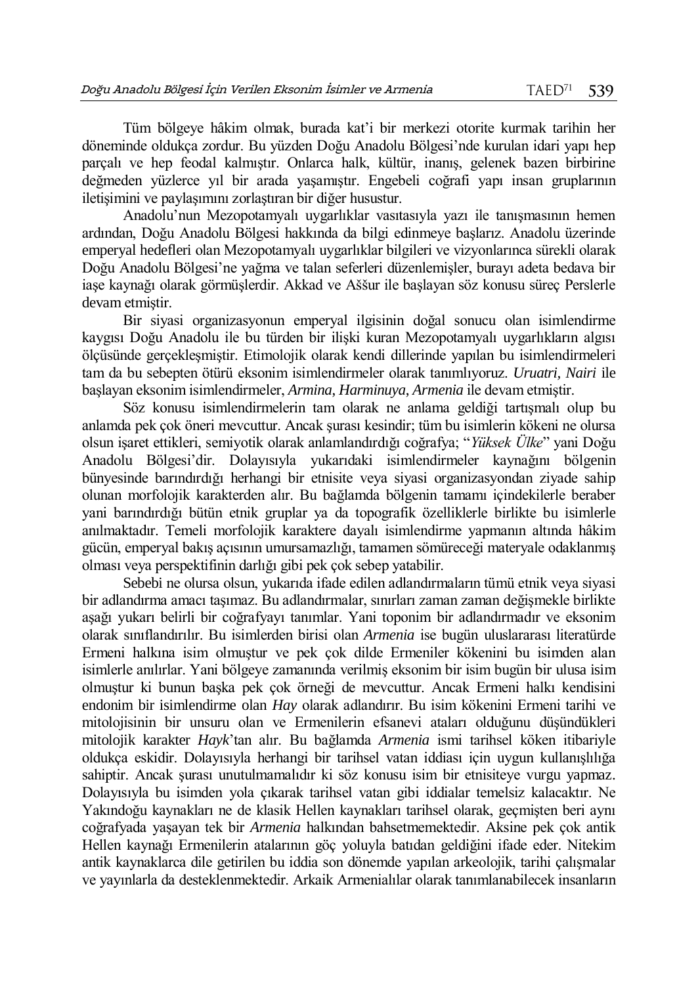Tüm bölgeye hâkim olmak, burada kat'i bir merkezi otorite kurmak tarihin her döneminde oldukça zordur. Bu yüzden Doğu Anadolu Bölgesi'nde kurulan idari yapı hep parçalı ve hep feodal kalmıştır. Onlarca halk, kültür, inanış, gelenek bazen birbirine değmeden yüzlerce yıl bir arada yaşamıştır. Engebeli coğrafi yapı insan gruplarının iletişimini ve paylaşımını zorlaştıran bir diğer husustur.

Anadolu'nun Mezopotamyalı uygarlıklar vasıtasıyla yazı ile tanışmasının hemen ardından, Doğu Anadolu Bölgesi hakkında da bilgi edinmeye başlarız. Anadolu üzerinde emperyal hedefleri olan Mezopotamyalı uygarlıklar bilgileri ve vizyonlarınca sürekli olarak Doğu Anadolu Bölgesi'ne yağma ve talan seferleri düzenlemişler, burayı adeta bedava bir iaşe kaynağı olarak görmüşlerdir. Akkad ve Aššur ile başlayan söz konusu süreç Perslerle devam etmiştir.

Bir siyasi organizasyonun emperyal ilgisinin doğal sonucu olan isimlendirme kaygısı Doğu Anadolu ile bu türden bir ilişki kuran Mezopotamyalı uygarlıkların algısı ölçüsünde gerçekleşmiştir. Etimolojik olarak kendi dillerinde yapılan bu isimlendirmeleri tam da bu sebepten ötürü eksonim isimlendirmeler olarak tanımlıyoruz. *Uruatri, Nairi* ile başlayan eksonim isimlendirmeler, *Armina*, *Harminuya*, *Armenia* ile devam etmiştir.

Söz konusu isimlendirmelerin tam olarak ne anlama geldiği tartışmalı olup bu anlamda pek çok öneri mevcuttur. Ancak şurası kesindir; tüm bu isimlerin kökeni ne olursa olsun işaret ettikleri, semiyotik olarak anlamlandırdığı coğrafya; "*Yüksek Ülke*" yani Doğu Anadolu Bölgesi'dir. Dolayısıyla yukarıdaki isimlendirmeler kaynağını bölgenin bünyesinde barındırdığı herhangi bir etnisite veya siyasi organizasyondan ziyade sahip olunan morfolojik karakterden alır. Bu bağlamda bölgenin tamamı içindekilerle beraber yani barındırdığı bütün etnik gruplar ya da topografik özelliklerle birlikte bu isimlerle anılmaktadır. Temeli morfolojik karaktere dayalı isimlendirme yapmanın altında hâkim gücün, emperyal bakış açısının umursamazlığı, tamamen sömüreceği materyale odaklanmış olması veya perspektifinin darlığı gibi pek çok sebep yatabilir.

Sebebi ne olursa olsun, yukarıda ifade edilen adlandırmaların tümü etnik veya siyasi bir adlandırma amacı taşımaz. Bu adlandırmalar, sınırları zaman zaman değişmekle birlikte aşağı yukarı belirli bir coğrafyayı tanımlar. Yani toponim bir adlandırmadır ve eksonim olarak sınıflandırılır. Bu isimlerden birisi olan *Armenia* ise bugün uluslararası literatürde Ermeni halkına isim olmuştur ve pek çok dilde Ermeniler kökenini bu isimden alan isimlerle anılırlar. Yani bölgeye zamanında verilmiş eksonim bir isim bugün bir ulusa isim olmuştur ki bunun başka pek çok örneği de mevcuttur. Ancak Ermeni halkı kendisini endonim bir isimlendirme olan *Hay* olarak adlandırır. Bu isim kökenini Ermeni tarihi ve mitolojisinin bir unsuru olan ve Ermenilerin efsanevi ataları olduğunu düşündükleri mitolojik karakter *Hayk*'tan alır. Bu bağlamda *Armenia* ismi tarihsel köken itibariyle oldukça eskidir. Dolayısıyla herhangi bir tarihsel vatan iddiası için uygun kullanışlılığa sahiptir. Ancak şurası unutulmamalıdır ki söz konusu isim bir etnisiteye vurgu yapmaz. Dolayısıyla bu isimden yola çıkarak tarihsel vatan gibi iddialar temelsiz kalacaktır. Ne Yakındoğu kaynakları ne de klasik Hellen kaynakları tarihsel olarak, geçmişten beri aynı coğrafyada yaşayan tek bir *Armenia* halkından bahsetmemektedir. Aksine pek çok antik Hellen kaynağı Ermenilerin atalarının göç yoluyla batıdan geldiğini ifade eder. Nitekim antik kaynaklarca dile getirilen bu iddia son dönemde yapılan arkeolojik, tarihi çalışmalar ve yayınlarla da desteklenmektedir. Arkaik Armenialılar olarak tanımlanabilecek insanların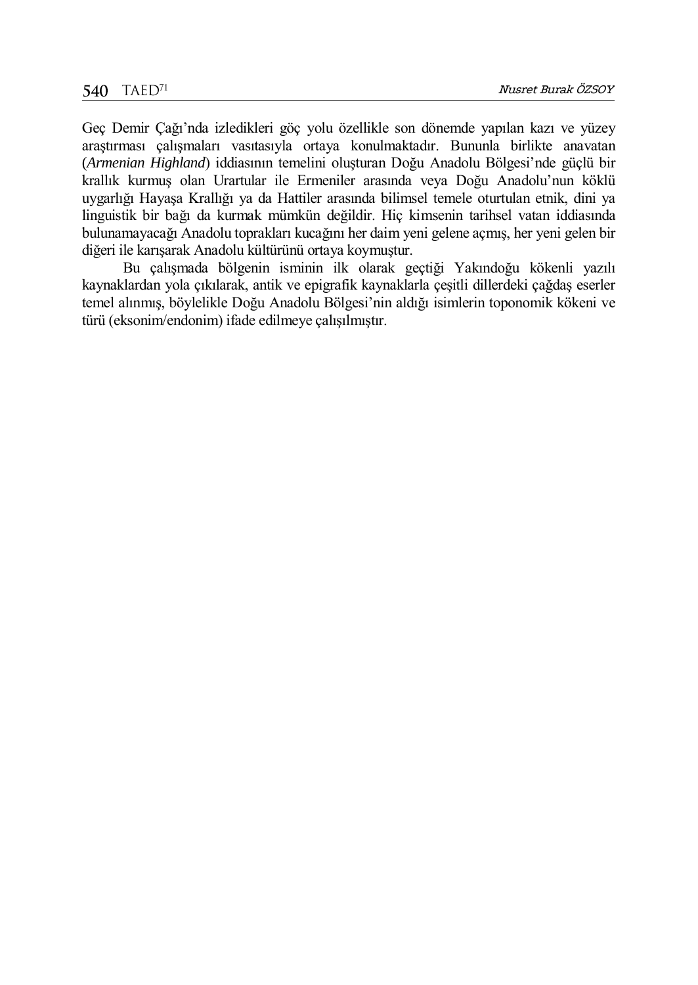Geç Demir Çağı'nda izledikleri göç yolu özellikle son dönemde yapılan kazı ve yüzey araştırması çalışmaları vasıtasıyla ortaya konulmaktadır. Bununla birlikte anavatan (*Armenian Highland*) iddiasının temelini oluşturan Doğu Anadolu Bölgesi'nde güçlü bir krallık kurmuş olan Urartular ile Ermeniler arasında veya Doğu Anadolu'nun köklü uygarlığı Hayaşa Krallığı ya da Hattiler arasında bilimsel temele oturtulan etnik, dini ya linguistik bir bağı da kurmak mümkün değildir. Hiç kimsenin tarihsel vatan iddiasında bulunamayacağı Anadolu toprakları kucağını her daim yeni gelene açmış, her yeni gelen bir diğeri ile karışarak Anadolu kültürünü ortaya koymuştur.

Bu çalışmada bölgenin isminin ilk olarak geçtiği Yakındoğu kökenli yazılı kaynaklardan yola çıkılarak, antik ve epigrafik kaynaklarla çeşitli dillerdeki çağdaş eserler temel alınmış, böylelikle Doğu Anadolu Bölgesi'nin aldığı isimlerin toponomik kökeni ve türü (eksonim/endonim) ifade edilmeye çalışılmıştır.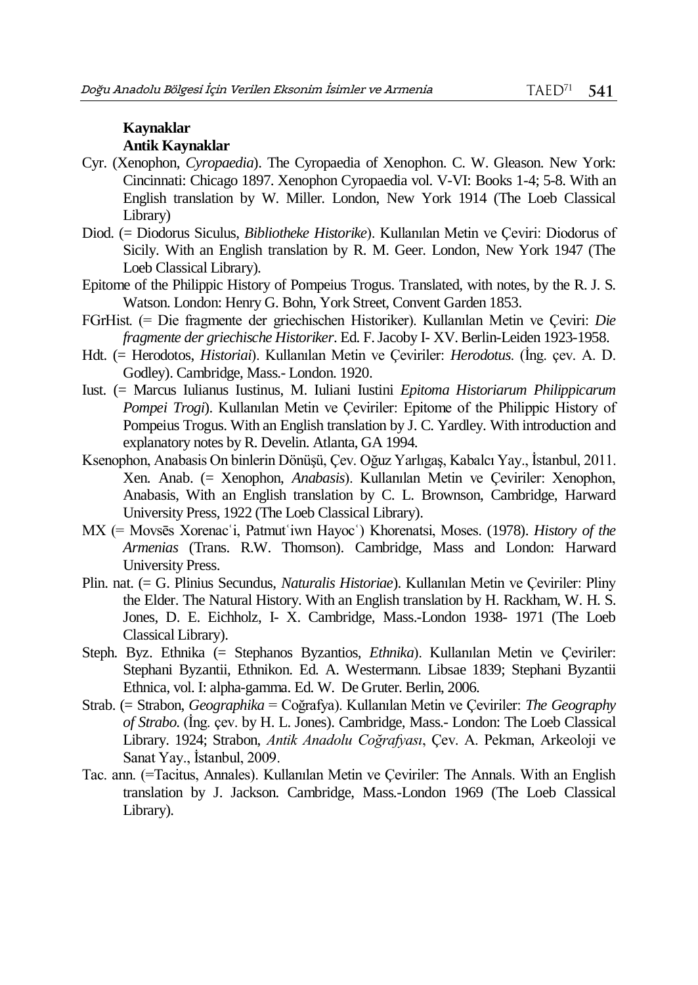#### **Kaynaklar Antik Kaynaklar**

- Cyr. (Xenophon, *Cyropaedia*). The Cyropaedia of Xenophon. C. W. Gleason. New York: Cincinnati: Chicago 1897. Xenophon Cyropaedia vol. V-VI: Books 1-4; 5-8. With an English translation by W. Miller. London, New York 1914 (The Loeb Classical Library)
- Diod. (= Diodorus Siculus, *Bibliotheke Historike*). Kullanılan Metin ve Çeviri: Diodorus of Sicily. With an English translation by R. M. Geer. London, New York 1947 (The Loeb Classical Library).
- Epitome of the Philippic History of Pompeius Trogus. Translated, with notes, by the R. J. S. Watson. London: Henry G. Bohn, York Street, Convent Garden 1853.
- FGrHist. (= Die fragmente der griechischen Historiker). Kullanılan Metin ve Çeviri: *Die fragmente der griechische Historiker*. Ed. F. Jacoby I- XV. Berlin-Leiden 1923-1958.
- Hdt. (= Herodotos, *Historiai*). Kullanılan Metin ve Çeviriler: *Herodotus*. (İng. çev. A. D. Godley). Cambridge, Mass.- London. 1920.
- Iust. (= Marcus Iulianus Iustinus, M. Iuliani Iustini *Epitoma Historiarum Philippicarum Pompei Trogi*). Kullanılan Metin ve Çeviriler: Epitome of the Philippic History of Pompeius Trogus. With an English translation by J. C. Yardley. With introduction and explanatory notes by R. Develin. Atlanta, GA 1994.
- Ksenophon, Anabasis On binlerin Dönüşü, Çev. Oğuz Yarlıgaş, Kabalcı Yay., İstanbul, 2011. Xen. Anab. (= Xenophon, *Anabasis*). Kullanılan Metin ve Çeviriler: Xenophon, Anabasis, With an English translation by C. L. Brownson, Cambridge, Harward University Press, 1922 (The Loeb Classical Library).
- MX (= Movsēs Xorenacʿi, Patmutʿiwn Hayocʿ) Khorenatsi, Moses. (1978). *History of the Armenias* (Trans. R.W. Thomson). Cambridge, Mass and London: Harward University Press.
- Plin. nat. (= G. Plinius Secundus, *Naturalis Historiae*). Kullanılan Metin ve Çeviriler: Pliny the Elder. The Natural History. With an English translation by H. Rackham, W. H. S. Jones, D. E. Eichholz, I- X. Cambridge, Mass.-London 1938- 1971 (The Loeb Classical Library).
- Steph. Byz. Ethnika (= Stephanos Byzantios, *Ethnika*). Kullanılan Metin ve Çeviriler: Stephani Byzantii, Ethnikon. Ed. A. Westermann. Libsae 1839; Stephani Byzantii Ethnica, vol. I: alpha-gamma. Ed. W. De Gruter. Berlin, 2006.
- Strab. (= Strabon, *Geographika* = Coğrafya). Kullanılan Metin ve Çeviriler: *The Geography of Strabo*. (İng. çev. by H. L. Jones). Cambridge, Mass.- London: The Loeb Classical Library. 1924; Strabon, *Antik Anadolu Coğrafyası*, Çev. A. Pekman, Arkeoloji ve Sanat Yay., İstanbul, 2009.
- Tac. ann. (=Tacitus, Annales). Kullanılan Metin ve Çeviriler: The Annals. With an English translation by J. Jackson. Cambridge, Mass.-London 1969 (The Loeb Classical Library).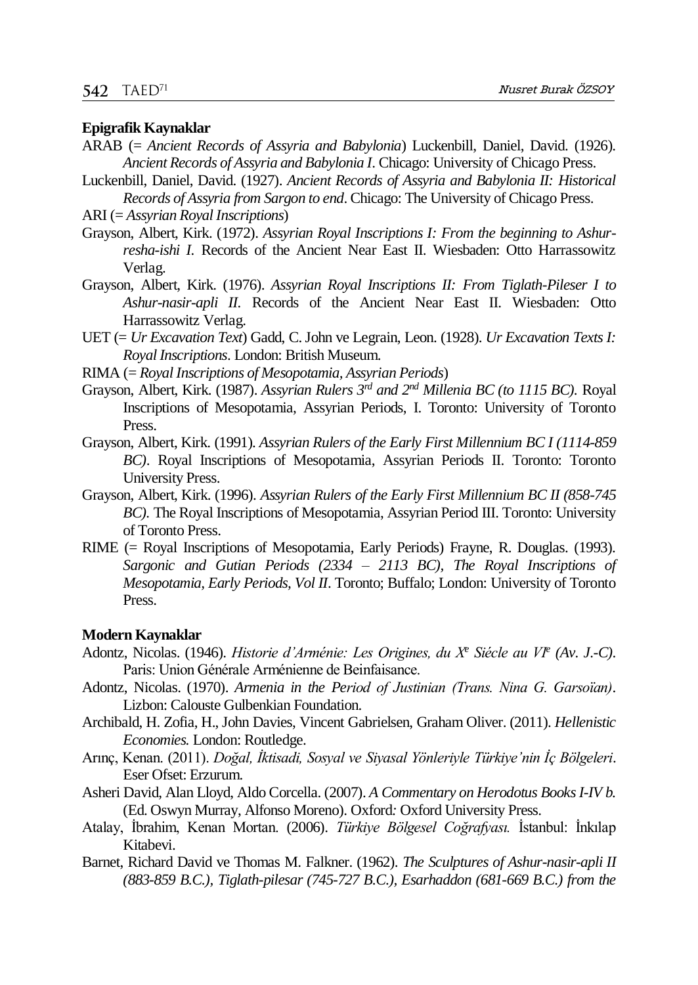#### **Epigrafik Kaynaklar**

- ARAB (= *Ancient Records of Assyria and Babylonia*) Luckenbill, Daniel, David. (1926). *Ancient Records of Assyria and Babylonia I*. Chicago: University of Chicago Press.
- Luckenbill, Daniel, David. (1927). *Ancient Records of Assyria and Babylonia II: Historical Records of Assyria from Sargon to end*. Chicago: The University of Chicago Press.

ARI (= *Assyrian Royal Inscriptions*)

- Grayson, Albert, Kirk. (1972). *Assyrian Royal Inscriptions I: From the beginning to Ashurresha-ishi I.* Records of the Ancient Near East II. Wiesbaden: Otto Harrassowitz Verlag.
- Grayson, Albert, Kirk. (1976). *Assyrian Royal Inscriptions II: From Tiglath-Pileser I to Ashur-nasir-apli II.* Records of the Ancient Near East II. Wiesbaden: Otto Harrassowitz Verlag.
- UET (= *Ur Excavation Text*) Gadd, C. John ve Legrain, Leon. (1928). *Ur Excavation Texts I: Royal Inscriptions*. London: British Museum.
- RIMA (= *Royal Inscriptions of Mesopotamia, Assyrian Periods*)
- Grayson, Albert, Kirk. (1987). *Assyrian Rulers 3rd and 2nd Millenia BC (to 1115 BC).* Royal Inscriptions of Mesopotamia, Assyrian Periods, I. Toronto: University of Toronto Press.
- Grayson, Albert, Kirk. (1991). *Assyrian Rulers of the Early First Millennium BC I (1114-859 BC)*. Royal Inscriptions of Mesopotamia, Assyrian Periods II. Toronto: Toronto University Press.
- Grayson, Albert, Kirk. (1996). *Assyrian Rulers of the Early First Millennium BC II (858-745 BC).* The Royal Inscriptions of Mesopotamia, Assyrian Period III. Toronto: University of Toronto Press.
- RIME (= Royal Inscriptions of Mesopotamia, Early Periods) Frayne, R. Douglas. (1993). *Sargonic and Gutian Periods (2334 – 2113 BC), The Royal Inscriptions of Mesopotamia, Early Periods, Vol II*. Toronto; Buffalo; London: University of Toronto Press.

#### **Modern Kaynaklar**

- Adontz, Nicolas. (1946). *Historie d'Arménie: Les Origines, du X<sup>e</sup> Siécle au VI<sup>e</sup> (Av. J.-C)*. Paris: Union Générale Arménienne de Beinfaisance.
- Adontz, Nicolas. (1970). *Armenia in the Period of Justinian (Trans. Nina G. Garsoïan)*. Lizbon: Calouste Gulbenkian Foundation.
- Archibald, H. Zofia, H., John Davies, Vincent Gabrielsen, Graham Oliver. (2011). *Hellenistic Economies.* London: Routledge.
- Arınç, Kenan. (2011). *Doğal, İktisadi, Sosyal ve Siyasal Yönleriyle Türkiye'nin İç Bölgeleri*. Eser Ofset: Erzurum.
- Asheri David, Alan Lloyd, Aldo Corcella. (2007). *A Commentary on Herodotus Books I-IV b.*  (Ed. Oswyn Murray, Alfonso Moreno). Oxford*:* Oxford University Press.
- Atalay, İbrahim, Kenan Mortan. (2006). *Türkiye Bölgesel Coğrafyası.* İstanbul: İnkılap Kitabevi.
- Barnet, Richard David ve Thomas M. Falkner. (1962). *The Sculptures of Ashur-nasir-apli II (883-859 B.C.), Tiglath-pilesar (745-727 B.C.), Esarhaddon (681-669 B.C.) from the*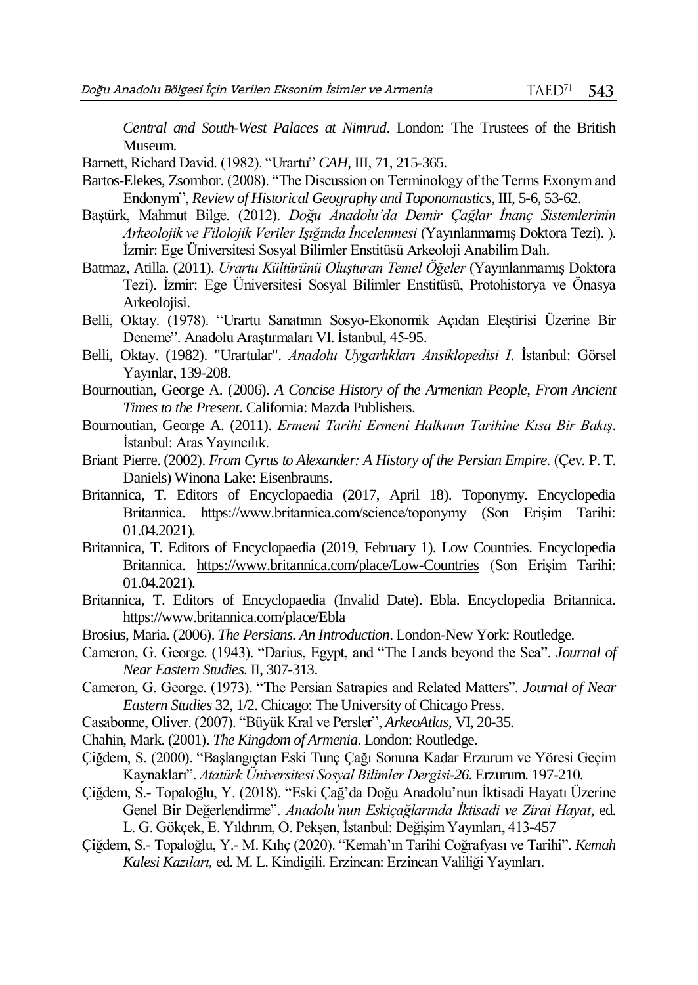*Central and South-West Palaces at Nimrud*. London: The Trustees of the British Museum.

Barnett, Richard David. (1982). "Urartu" *CAH,* III, 71, 215-365.

- Bartos-Elekes, Zsombor. (2008). "The Discussion on Terminology of the Terms Exonym and Endonym", *Review of Historical Geography and Toponomastics*, III, 5-6, 53-62.
- Baştürk, Mahmut Bilge. (2012). *Doğu Anadolu'da Demir Çağlar İnanç Sistemlerinin Arkeolojik ve Filolojik Veriler Işığında İncelenmesi* (Yayınlanmamış Doktora Tezi). ). İzmir: Ege Üniversitesi Sosyal Bilimler Enstitüsü Arkeoloji Anabilim Dalı.
- Batmaz, Atilla. (2011). *Urartu Kültürünü Oluşturan Temel Öğeler* (Yayınlanmamış Doktora Tezi). İzmir: Ege Üniversitesi Sosyal Bilimler Enstitüsü, Protohistorya ve Önasya Arkeolojisi.
- Belli, Oktay. (1978). "Urartu Sanatının Sosyo-Ekonomik Açıdan Eleştirisi Üzerine Bir Deneme". Anadolu Araştırmaları VI. İstanbul, 45-95.
- Belli, Oktay. (1982). "Urartular". *Anadolu Uygarlıkları Ansiklopedisi I*. İstanbul: Görsel Yayınlar, 139-208.
- Bournoutian, George A. (2006). *A Concise History of the Armenian People, From Ancient Times to the Present*. California: Mazda Publishers.
- Bournoutian, George A. (2011). *Ermeni Tarihi Ermeni Halkının Tarihine Kısa Bir Bakış*. İstanbul: Aras Yayıncılık.
- Briant Pierre. (2002). *From Cyrus to Alexander: A History of the Persian Empire.* (Çev*.* P. T. Daniels) Winona Lake: Eisenbrauns.
- Britannica, T. Editors of Encyclopaedia (2017, April 18). Toponymy. Encyclopedia Britannica. https://www.britannica.com/science/toponymy (Son Erişim Tarihi: 01.04.2021).
- Britannica, T. Editors of Encyclopaedia (2019, February 1). Low Countries. Encyclopedia Britannica. <https://www.britannica.com/place/Low-Countries> (Son Erişim Tarihi: 01.04.2021).
- Britannica, T. Editors of Encyclopaedia (Invalid Date). Ebla. Encyclopedia Britannica. https://www.britannica.com/place/Ebla
- Brosius, Maria. (2006). *The Persians. An Introduction*. London-New York: Routledge.
- Cameron, G. George. (1943). "Darius, Egypt, and "The Lands beyond the Sea". *Journal of Near Eastern Studies*. II, 307-313.
- Cameron, G. George. (1973). "The Persian Satrapies and Related Matters". *Journal of Near Eastern Studies* 32, 1/2. Chicago: The University of Chicago Press.
- Casabonne, Oliver. (2007). "Büyük Kral ve Persler", *ArkeoAtlas*, VI, 20-35.
- Chahin, Mark. (2001). *The Kingdom of Armenia*. London: Routledge.
- Çiğdem, S. (2000). "Başlangıçtan Eski Tunç Çağı Sonuna Kadar Erzurum ve Yöresi Geçim Kaynakları". *Atatürk Üniversitesi Sosyal Bilimler Dergisi-26.* Erzurum. 197-210.
- Çiğdem, S.- Topaloğlu, Y. (2018). "Eski Çağ'da Doğu Anadolu'nun İktisadi Hayatı Üzerine Genel Bir Değerlendirme". *Anadolu'nun Eskiçağlarında İktisadi ve Zirai Hayat*, ed. L. G. Gökçek, E. Yıldırım, O. Pekşen, İstanbul: Değişim Yayınları, 413-457
- Çiğdem, S.- Topaloğlu, Y.- M. Kılıç (2020). "Kemah'ın Tarihi Coğrafyası ve Tarihi". *Kemah Kalesi Kazıları,* ed. M. L. Kindigili. Erzincan: Erzincan Valiliği Yayınları.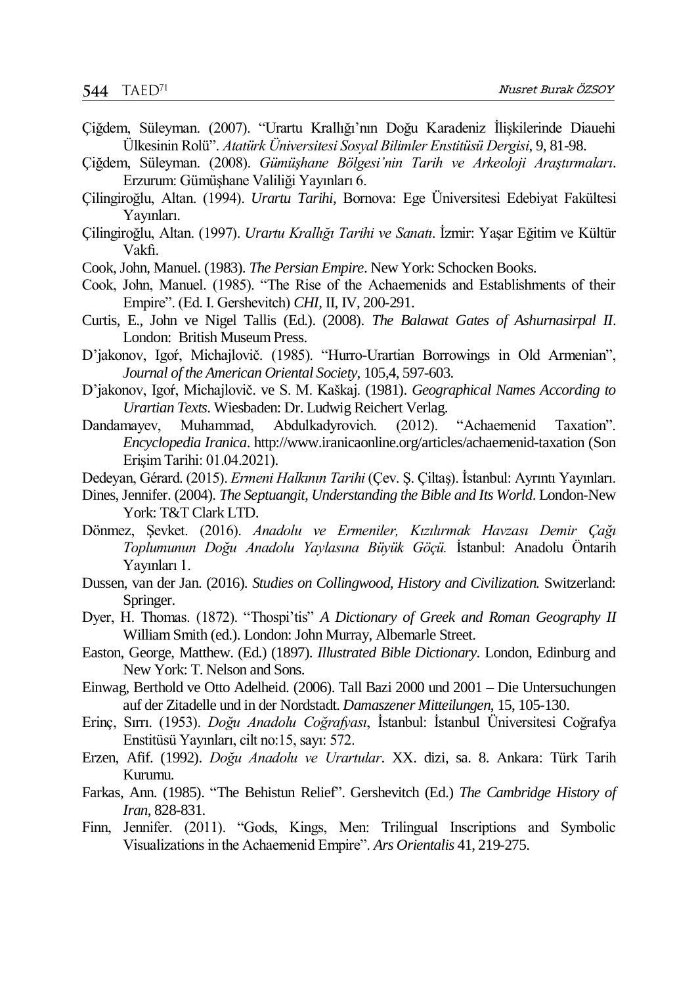- Çiğdem, Süleyman. (2007). "Urartu Krallığı'nın Doğu Karadeniz İlişkilerinde Diauehi Ülkesinin Rolü". *Atatürk Üniversitesi Sosyal Bilimler Enstitüsü Dergisi*, 9, 81-98.
- Çiğdem, Süleyman. (2008). *Gümüşhane Bölgesi'nin Tarih ve Arkeoloji Araştırmaları*. Erzurum: Gümüşhane Valiliği Yayınları 6.
- Çilingiroğlu, Altan. (1994). *Urartu Tarihi,* Bornova: Ege Üniversitesi Edebiyat Fakültesi Yayınları.
- Çilingiroğlu, Altan. (1997). *Urartu Krallığı Tarihi ve Sanatı*. İzmir: Yaşar Eğitim ve Kültür Vakfı.
- Cook, John, Manuel. (1983). *The Persian Empire*. New York: Schocken Books.
- Cook, John, Manuel. (1985). "The Rise of the Achaemenids and Establishments of their Empire". (Ed. I. Gershevitch) *CHI,* II, IV, 200-291.
- Curtis, E., John ve Nigel Tallis (Ed.). (2008). *The Balawat Gates of Ashurnasirpal II*. London: British Museum Press.
- D'jakonov, Igoŕ, Michajlovič. (1985). "Hurro-Urartian Borrowings in Old Armenian", *Journal of the American Oriental Society*, 105,4, 597-603.
- D'jakonov, Igoŕ, Michajlovič. ve S. M. Kaškaj. (1981). *Geographical Names According to Urartian Texts*. Wiesbaden: Dr. Ludwig Reichert Verlag.
- Dandamayev, Muhammad, Abdulkadyrovich. (2012). "Achaemenid Taxation". *Encyclopedia Iranica*. http://www.iranicaonline.org/articles/achaemenid-taxation (Son Erişim Tarihi: 01.04.2021).
- Dedeyan, Gérard. (2015). *Ermeni Halkının Tarihi* (Çev. Ş. Çiltaş). İstanbul: Ayrıntı Yayınları.
- Dines, Jennifer. (2004). *The Septuangit, Understanding the Bible and Its World*. London-New York: T&T Clark LTD.
- Dönmez, Şevket. (2016). *Anadolu ve Ermeniler, Kızılırmak Havzası Demir Çağı Toplumunun Doğu Anadolu Yaylasına Büyük Göçü.* İstanbul: Anadolu Öntarih Yayınları 1.
- Dussen, van der Jan. (2016). *Studies on Collingwood, History and Civilization.* Switzerland: Springer.
- Dyer, H. Thomas. (1872). "Thospi'tis" *A Dictionary of Greek and Roman Geography II* William Smith (ed.). London: John Murray, Albemarle Street.
- Easton, George, Matthew. (Ed.) (1897). *Illustrated Bible Dictionary*. London, Edinburg and New York: T. Nelson and Sons.
- Einwag, Berthold ve Otto Adelheid. (2006). Tall Bazi 2000 und 2001 Die Untersuchungen auf der Zitadelle und in der Nordstadt. *Damaszener Mitteilungen*, 15, 105-130.
- Erinç, Sırrı. (1953). *Doğu Anadolu Coğrafyası*, İstanbul: İstanbul Üniversitesi Coğrafya Enstitüsü Yayınları, cilt no:15, sayı: 572.
- Erzen, Afif. (1992). *Doğu Anadolu ve Urartular*. XX. dizi, sa. 8. Ankara: Türk Tarih Kurumu.
- Farkas, Ann. (1985). "The Behistun Relief". Gershevitch (Ed.) *The Cambridge History of Iran*, 828-831.
- Finn, Jennifer. (2011). "Gods, Kings, Men: Trilingual Inscriptions and Symbolic Visualizations in the Achaemenid Empire". *Ars Orientalis* 41, 219-275.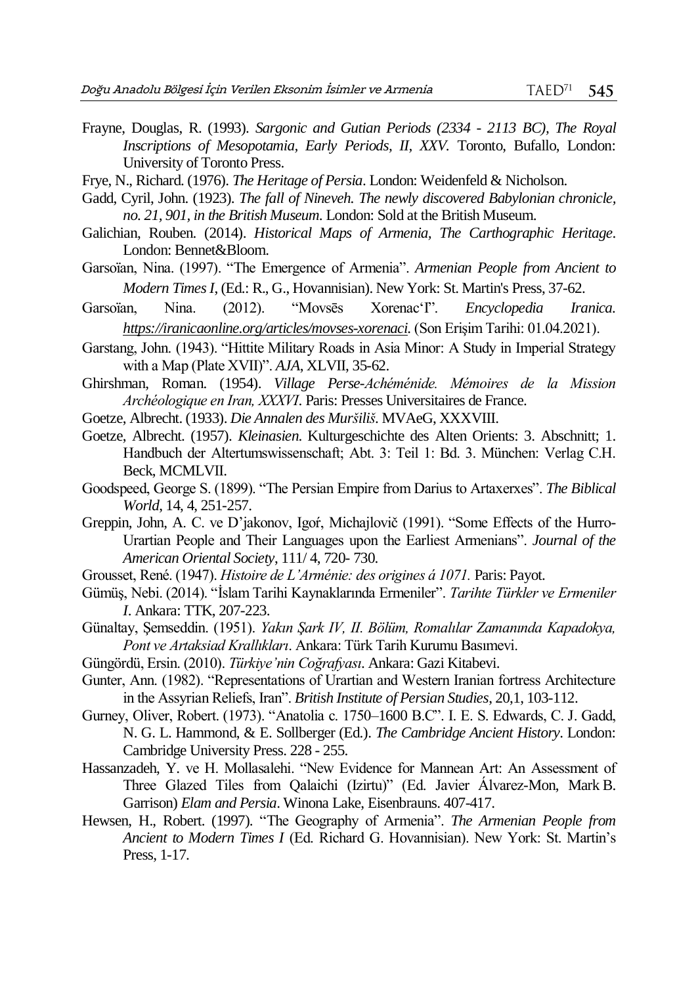- Frayne, Douglas, R. (1993). *Sargonic and Gutian Periods (2334 - 2113 BC), The Royal Inscriptions of Mesopotamia, Early Periods, II, XXV.* Toronto, Bufallo, London: University of Toronto Press.
- Frye, N., Richard. (1976). *The Heritage of Persia*. London: Weidenfeld & Nicholson.
- Gadd, Cyril, John. (1923). *The fall of Nineveh. The newly discovered Babylonian chronicle, no. 21, 901, in the British Museum*. London: Sold at the British Museum.
- Galichian, Rouben. (2014). *Historical Maps of Armenia, The Carthographic Heritage*. London: Bennet&Bloom.
- Garsoïan, Nina. (1997). "The Emergence of Armenia". *Armenian People from Ancient to Modern Times I*, (Ed.: R., G., Hovannisian). New York: St. Martin's Press, 37-62.
- Garsoïan, Nina. (2012). "Movsēs Xorenac'I". *Encyclopedia Iranica. [https://iranicaonline.org/articles/movses-xorenaci.](https://iranicaonline.org/articles/movses-xorenaci)* (Son Erişim Tarihi: 01.04.2021).
- Garstang, John. (1943). "Hittite Military Roads in Asia Minor: A Study in Imperial Strategy with a Map (Plate XVII)". *AJA*, XLVII, 35-62.
- Ghirshman, Roman. (1954). *Village Perse-Achéménide. Mémoires de la Mission Archéologique en Iran, XXXVI*. Paris: Presses Universitaires de France.
- Goetze, Albrecht. (1933). *Die Annalen des Muršiliš*. MVAeG, XXXVIII.
- Goetze, Albrecht. (1957). *Kleinasien*. Kulturgeschichte des Alten Orients: 3. Abschnitt; 1. Handbuch der Altertumswissenschaft; Abt. 3: Teil 1: Bd. 3. München: Verlag C.H. Beck, MCMLVII.
- Goodspeed, George S. (1899). "The Persian Empire from Darius to Artaxerxes". *The Biblical World*, 14, 4, 251-257.
- Greppin, John, A. C. ve D'jakonov, Igoŕ, Michajlovič (1991). "Some Effects of the Hurro-Urartian People and Their Languages upon the Earliest Armenians". *Journal of the American Oriental Society*, 111/ 4, 720- 730.
- Grousset, René. (1947). *Histoire de L'Arménie: des origines á 1071.* Paris: Payot.
- Gümüş, Nebi. (2014). "İslam Tarihi Kaynaklarında Ermeniler". *Tarihte Türkler ve Ermeniler I*. Ankara: TTK, 207-223.
- Günaltay, Şemseddin. (1951). *Yakın Şark IV, II. Bölüm, Romalılar Zamanında Kapadokya, Pont ve Artaksiad Krallıkları*. Ankara: Türk Tarih Kurumu Basımevi.
- Güngördü, Ersin. (2010). *Türkiye'nin Coğrafyası*. Ankara: Gazi Kitabevi.
- Gunter, Ann. (1982). "Representations of Urartian and Western Iranian fortress Architecture in the Assyrian Reliefs, Iran". *British Institute of Persian Studies*, 20,1, 103-112.
- Gurney, Oliver, Robert. (1973). "Anatolia c. 1750–1600 B.C". I. E. S. Edwards, C. J. Gadd, N. G. L. Hammond, & E. Sollberger (Ed.). *The Cambridge Ancient History*. London: Cambridge University Press. 228 - 255.
- Hassanzadeh, Y. ve H. Mollasalehi. "New Evidence for Mannean Art: An Assessment of Three Glazed Tiles from Qalaichi (Izirtu)" (Ed. Javier Álvarez-Mon, Mark B. Garrison) *Elam and Persia*. Winona Lake, Eisenbrauns. 407-417.
- Hewsen, H., Robert. (1997). "The Geography of Armenia". *The Armenian People from Ancient to Modern Times I* (Ed. Richard G. Hovannisian). New York: St. Martin's Press, 1-17.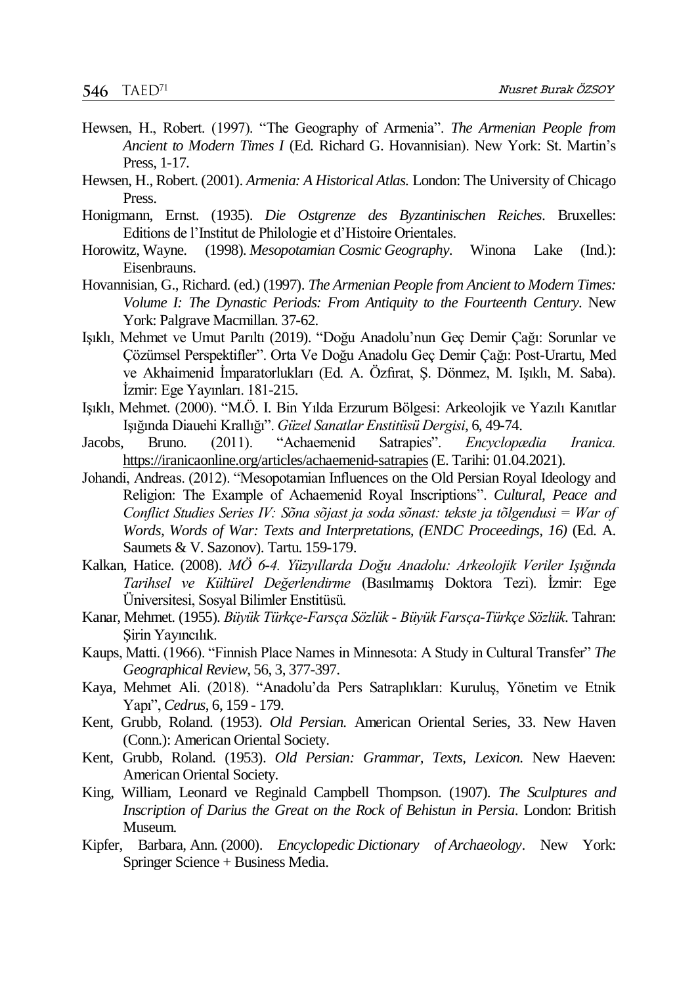- Hewsen, H., Robert. (1997). "The Geography of Armenia". *The Armenian People from Ancient to Modern Times I* (Ed. Richard G. Hovannisian). New York: St. Martin's Press, 1-17.
- Hewsen, H., Robert. (2001). *Armenia: A Historical Atlas.* London: The University of Chicago **Press**.
- Honigmann, Ernst. (1935). *Die Ostgrenze des Byzantinischen Reiches*. Bruxelles: Editions de l'Institut de Philologie et d'Histoire Orientales.
- Horowitz, Wayne. (1998). *Mesopotamian Cosmic Geography*. Winona Lake (Ind.): Eisenbrauns.
- Hovannisian, G., Richard. (ed.) (1997). *The Armenian People from Ancient to Modern Times: Volume I: The Dynastic Periods: From Antiquity to the Fourteenth Century.* New York: Palgrave Macmillan. 37-62.
- Işıklı, Mehmet ve Umut Parıltı (2019). "Doğu Anadolu'nun Geç Demir Çağı: Sorunlar ve Çözümsel Perspektifler". Orta Ve Doğu Anadolu Geç Demir Çağı: Post-Urartu, Med ve Akhaimenid İmparatorlukları (Ed. A. Özfırat, Ş. Dönmez, M. Işıklı, M. Saba). İzmir: Ege Yayınları. 181-215.
- Işıklı, Mehmet. (2000). "M.Ö. I. Bin Yılda Erzurum Bölgesi: Arkeolojik ve Yazılı Kanıtlar Işığında Diauehi Krallığı". *Güzel Sanatlar Enstitüsü Dergisi*, 6, 49-74.
- Jacobs, Bruno. (2011). "Achaemenid Satrapies". *Encyclopædia Iranica.*  [https://iranicaonline.org/articles/achaemenid-satrapies\(](https://iranicaonline.org/articles/achaemenid-satrapies)E. Tarihi: 01.04.2021).
- Johandi, Andreas. (2012). "Mesopotamian Influences on the Old Persian Royal Ideology and Religion: The Example of Achaemenid Royal Inscriptions". *Cultural, Peace and Conflict Studies Series IV: Sõna sõjast ja soda sõnast: tekste ja tõlgendusi = War of Words, Words of War: Texts and Interpretations, (ENDC Proceedings, 16)* (Ed. A. Saumets & V. Sazonov). Tartu. 159-179.
- Kalkan, Hatice. (2008). *MÖ 6-4. Yüzyıllarda Doğu Anadolu: Arkeolojik Veriler Işığında Tarihsel ve Kültürel Değerlendirme* (Basılmamış Doktora Tezi). İzmir: Ege Üniversitesi, Sosyal Bilimler Enstitüsü.
- Kanar, Mehmet. (1955). *Büyük Türkçe-Farsça Sözlük - Büyük Farsça-Türkçe Sözlük*. Tahran: Şirin Yayıncılık.
- Kaups, Matti. (1966). "Finnish Place Names in Minnesota: A Study in Cultural Transfer" *The Geographical Review*, 56, 3, 377-397.
- Kaya, Mehmet Ali. (2018). "Anadolu'da Pers Satraplıkları: Kuruluş, Yönetim ve Etnik Yapı", *Cedrus*, 6, 159 - 179.
- Kent, Grubb, Roland. (1953). *Old Persian.* American Oriental Series, 33. New Haven (Conn.): American Oriental Society.
- Kent, Grubb, Roland. (1953). *Old Persian: Grammar, Texts, Lexicon.* New Haeven: American Oriental Society.
- King, William, Leonard ve Reginald Campbell Thompson. (1907). *The Sculptures and Inscription of Darius the Great on the Rock of Behistun in Persia*. London: British Museum.
- Kipfer, Barbara, Ann. (2000). *Encyclopedic Dictionary of Archaeology*. New York: Springer Science + Business Media.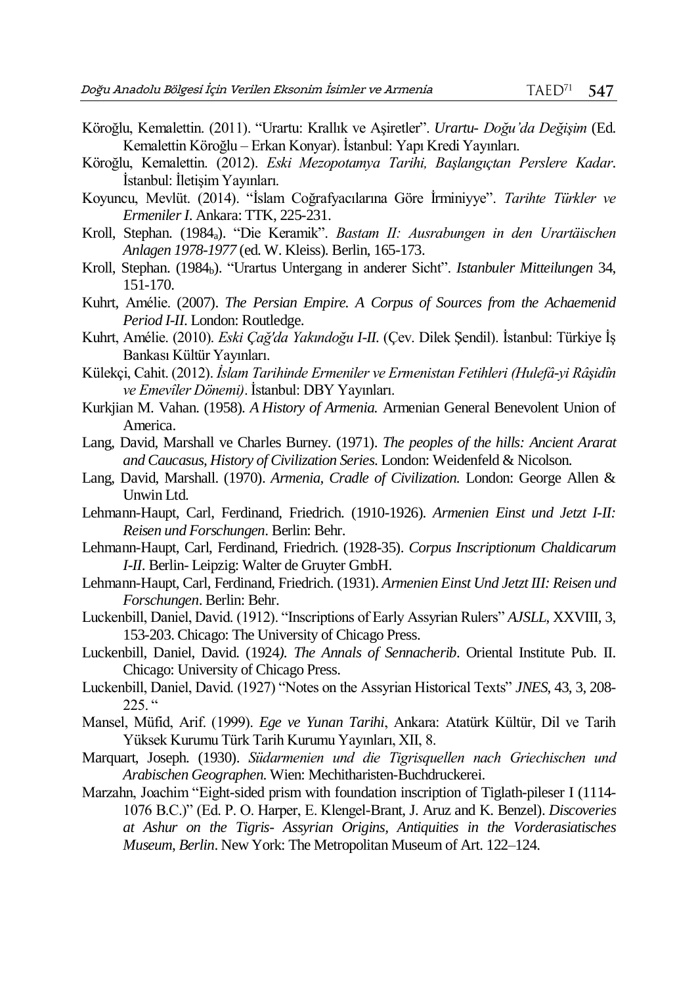- Köroğlu, Kemalettin. (2011). "Urartu: Krallık ve Aşiretler". *Urartu- Doğu'da Değişim* (Ed. Kemalettin Köroğlu – Erkan Konyar). İstanbul: Yapı Kredi Yayınları.
- Köroğlu, Kemalettin. (2012). *Eski Mezopotamya Tarihi, Başlangıçtan Perslere Kadar*. İstanbul: İletişim Yayınları.
- Koyuncu, Mevlüt. (2014). "İslam Coğrafyacılarına Göre İrminiyye". *Tarihte Türkler ve Ermeniler I*. Ankara: TTK, 225-231.
- Kroll, Stephan. (1984a). "Die Keramik". *Bastam II: Ausrabungen in den Urartäischen Anlagen 1978-1977* (ed. W. Kleiss). Berlin, 165-173.
- Kroll, Stephan. (1984b). "Urartus Untergang in anderer Sicht". *Istanbuler Mitteilungen* 34, 151-170.
- Kuhrt, Amélie. (2007). *The Persian Empire. A Corpus of Sources from the Achaemenid Period I-II*. London: Routledge.
- Kuhrt, Amélie. (2010). *Eski Çağ'da Yakındoğu I-II.* (Çev. Dilek Şendil). İstanbul: Türkiye İş Bankası Kültür Yayınları.
- Külekçi, Cahit. (2012). *İslam Tarihinde Ermeniler ve Ermenistan Fetihleri (Hulefâ-yi Râşidîn ve Emevîler Dönemi)*. İstanbul: DBY Yayınları.
- Kurkjian M. Vahan. (1958). *A History of Armenia.* Armenian General Benevolent Union of America.
- Lang, David, Marshall ve Charles Burney. (1971). *The peoples of the hills: Ancient Ararat and Caucasus, History of Civilization Series*. London: Weidenfeld & Nicolson.
- Lang, David, Marshall. (1970). *Armenia, Cradle of Civilization.* London: George Allen & Unwin Ltd.
- Lehmann-Haupt, Carl, Ferdinand, Friedrich. (1910-1926). *Armenien Einst und Jetzt I-II: Reisen und Forschungen*. Berlin: Behr.
- Lehmann-Haupt, Carl, Ferdinand, Friedrich. (1928-35). *Corpus Inscriptionum Chaldicarum I-II*. Berlin- Leipzig: Walter de Gruyter GmbH.
- Lehmann-Haupt, Carl, Ferdinand, Friedrich. (1931). *Armenien Einst Und Jetzt III: Reisen und Forschungen*. Berlin: Behr.
- Luckenbill, Daniel, David. (1912). "Inscriptions of Early Assyrian Rulers" *AJSLL*, XXVIII, 3, 153-203. Chicago: The University of Chicago Press.
- Luckenbill, Daniel, David. (1924*). The Annals of Sennacherib*. Oriental Institute Pub. II. Chicago: University of Chicago Press.
- Luckenbill, Daniel, David. (1927) "Notes on the Assyrian Historical Texts" *JNES*, 43, 3, 208-  $225.$  "
- Mansel, Müfid, Arif. (1999). *Ege ve Yunan Tarihi*, Ankara: Atatürk Kültür, Dil ve Tarih Yüksek Kurumu Türk Tarih Kurumu Yayınları, XII, 8.
- Marquart, Joseph. (1930). *Südarmenien und die Tigrisquellen nach Griechischen und Arabischen Geographen*. Wien: Mechitharisten-Buchdruckerei.
- Marzahn, Joachim "Eight-sided prism with foundation inscription of Tiglath-pileser I (1114- 1076 B.C.)" (Ed. P. O. Harper, E. Klengel-Brant, J. Aruz and K. Benzel). *Discoveries at Ashur on the Tigris- Assyrian Origins, Antiquities in the Vorderasiatisches Museum*, *Berlin*. New York: The Metropolitan Museum of Art. 122–124.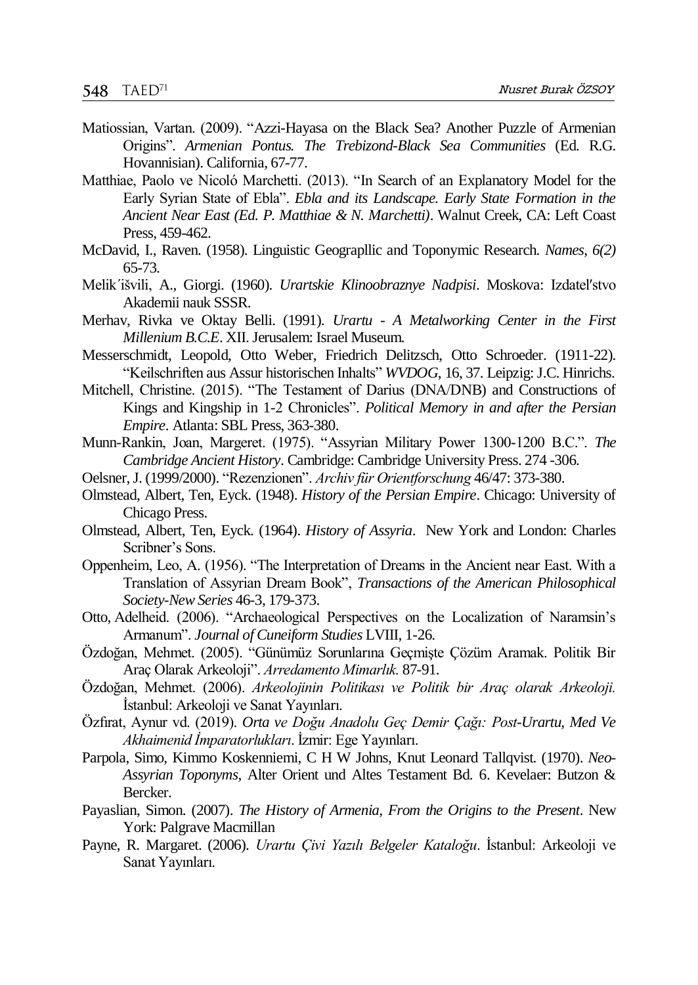- Matiossian, Vartan. (2009). "Azzi-Hayasa on the Black Sea? Another Puzzle of Armenian Origins". *Armenian Pontus. The Trebizond-Black Sea Communities* (Ed. R.G. Hovannisian). California, 67-77.
- Matthiae, Paolo ve Nicolό Marchetti. (2013). "In Search of an Explanatory Model for the Early Syrian State of Ebla". *Ebla and its Landscape. Early State Formation in the Ancient Near East (Ed. P. Matthiae & N. Marchetti)*. Walnut Creek, CA: Left Coast Press, 459-462.
- McDavid, I., Raven. (1958). Linguistic Geograpllic and Toponymic Research. *Names*, *6(2)*  65-73.
- Melikˊišvili, A., Giorgi. (1960). *Urartskie Klinoobraznye Nadpisi*. Moskova: Izdatelʹstvo Akademii nauk SSSR.
- Merhav, Rivka ve Oktay Belli. (1991). *Urartu - A Metalworking Center in the First Millenium B.C.E*. XII. Jerusalem: Israel Museum.
- Messerschmidt, Leopold, Otto Weber, Friedrich Delitzsch, Otto Schroeder. (1911-22). "Keilschriften aus Assur historischen Inhalts" *WVDOG*, 16, 37. Leipzig: J.C. Hinrichs.
- Mitchell, Christine. (2015). "The Testament of Darius (DNA/DNB) and Constructions of Kings and Kingship in 1-2 Chronicles". *Political Memory in and after the Persian Empire*. Atlanta: SBL Press, 363-380.
- Munn-Rankin, Joan, Margeret. (1975). "Assyrian Military Power 1300-1200 B.C.". *The Cambridge Ancient History*. Cambridge: Cambridge University Press. 274 -306.
- Oelsner, J. (1999/2000). "Rezenzionen". *Archiv für Orientforschung* 46/47: 373-380.
- Olmstead, Albert, Ten, Eyck. (1948). *History of the Persian Empire*. Chicago: University of Chicago Press.
- Olmstead, Albert, Ten, Eyck. (1964). *History of Assyria*. New York and London: Charles Scribner's Sons.
- Oppenheim, Leo, A. (1956). "The Interpretation of Dreams in the Ancient near East. With a Translation of Assyrian Dream Book", *Transactions of the American Philosophical Society-New Series* 46-3, 179-373.
- Otto, Adelheid. (2006). "Archaeological Perspectives on the Localization of Naramsin's Armanum". *Journal of Cuneiform Studies* LVIII, 1-26.
- Özdoğan, Mehmet. (2005). "Günümüz Sorunlarına Geçmişte Çözüm Aramak. Politik Bir Araç Olarak Arkeoloji". *Arredamento Mimarlık.* 87-91.
- Özdoğan, Mehmet. (2006). *Arkeolojinin Politikası ve Politik bir Araç olarak Arkeoloji.*  İstanbul: Arkeoloji ve Sanat Yayınları.
- Özfırat, Aynur vd. (2019). *Orta ve Doğu Anadolu Geç Demir Çağı: Post-Urartu, Med Ve Akhaimenid İmparatorlukları*. İzmir: Ege Yayınları.
- Parpola, Simo, Kimmo Koskenniemi, C H W Johns, Knut Leonard Tallqvist. (1970). *Neo-Assyrian Toponyms*, Alter Orient und Altes Testament Bd. 6. Kevelaer: Butzon & Bercker.
- Payaslian, Simon. (2007). *The History of Armenia, From the Origins to the Present*. New York: Palgrave Macmillan
- Payne, R. Margaret. (2006). *Urartu Çivi Yazılı Belgeler Kataloğu*. İstanbul: Arkeoloji ve Sanat Yayınları.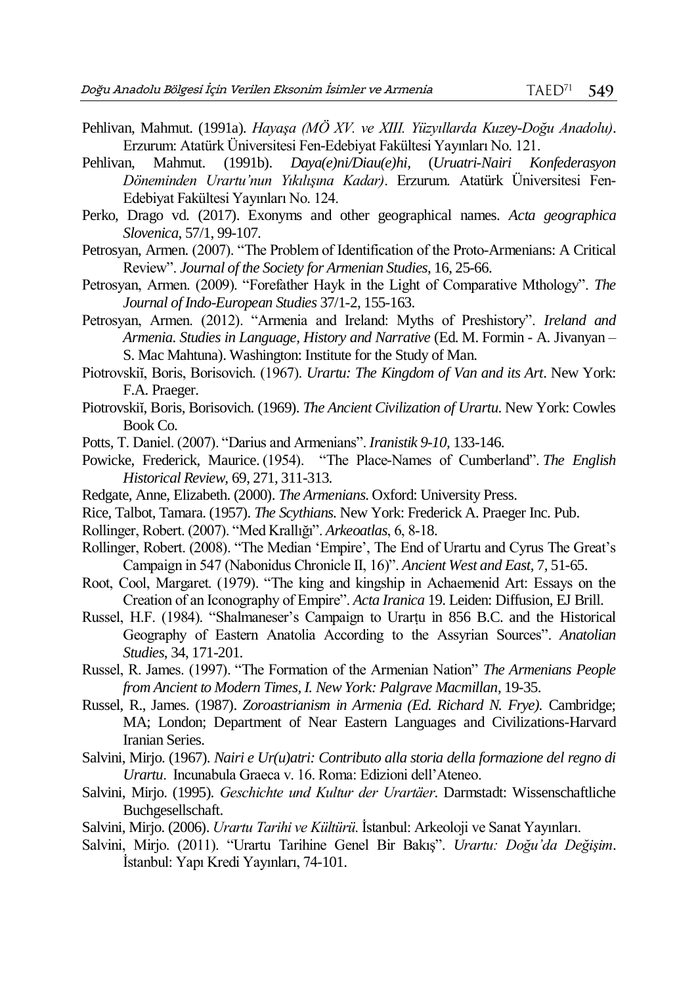- Pehlivan, Mahmut. (1991a). *Hayaşa (MÖ XV. ve XIII. Yüzyıllarda Kuzey-Doğu Anadolu)*. Erzurum: Atatürk Üniversitesi Fen-Edebiyat Fakültesi Yayınları No. 121.
- Pehlivan, Mahmut. (1991b). *Daya(e)ni/Diau(e)hi,* (*Uruatri-Nairi Konfederasyon Döneminden Urartu'nun Yıkılışına Kadar)*. Erzurum. Atatürk Üniversitesi Fen-Edebiyat Fakültesi Yayınları No. 124.
- Perko, Drago vd. (2017). Exonyms and other geographical names. *Acta geographica Slovenica*, 57/1, 99-107.
- Petrosyan, Armen. (2007). "The Problem of Identification of the Proto-Armenians: A Critical Review". *Journal of the Society for Armenian Studies*, 16, 25-66.
- Petrosyan, Armen. (2009). "Forefather Hayk in the Light of Comparative Mthology". *The Journal of Indo-European Studies* 37/1-2, 155-163.
- Petrosyan, Armen. (2012). "Armenia and Ireland: Myths of Preshistory". *Ireland and Armenia. Studies in Language, History and Narrative* (Ed. M. Formin - A. Jivanyan – S. Mac Mahtuna). Washington: Institute for the Study of Man.
- Piotrovskiĭ, Boris, Borisovich. (1967). *Urartu: The Kingdom of Van and its Art*. New York: F.A. Praeger.
- Piotrovskiĭ, Boris, Borisovich. (1969). *The Ancient Civilization of Urartu*. New York: Cowles Book Co.
- Potts, T. Daniel. (2007). "Darius and Armenians". *Iranistik 9-10,* 133-146.
- Powicke, Frederick, Maurice. (1954). "The Place-Names of Cumberland". *The English Historical Review,* 69, 271, 311-313.
- Redgate, Anne, Elizabeth. (2000). *The Armenians*. Oxford: University Press.
- Rice, Talbot, Tamara. (1957). *The Scythians.* New York: Frederick A. Praeger Inc. Pub.
- Rollinger, Robert. (2007). "Med Krallığı". *Arkeoatlas*, 6, 8‐18.
- Rollinger, Robert. (2008). "The Median 'Empire', The End of Urartu and Cyrus The Great's Campaign in 547 (Nabonidus Chronicle II, 16)". *Ancient West and East*, 7*,* 51-65.
- Root, Cool, Margaret. (1979). "The king and kingship in Achaemenid Art: Essays on the Creation of an Iconography of Empire". *Acta Iranica* 19. Leiden: Diffusion, EJ Brill.
- Russel, H.F. (1984). "Shalmaneser's Campaign to Urarṭu in 856 B.C. and the Historical Geography of Eastern Anatolia According to the Assyrian Sources". *Anatolian Studies*, 34, 171-201.
- Russel, R. James. (1997). "The Formation of the Armenian Nation" *The Armenians People from Ancient to Modern Times, I. New York: Palgrave Macmillan*, 19-35.
- Russel, R., James. (1987). *Zoroastrianism in Armenia (Ed. Richard N. Frye).* Cambridge; MA; London; Department of Near Eastern Languages and Civilizations-Harvard Iranian Series.
- Salvini, Mirjo. (1967). *Nairi e Ur(u)atri: Contributo alla storia della formazione del regno di Urartu*. Incunabula Graeca v. 16. Roma: Edizioni dell'Ateneo.
- Salvini, Mirjo. (1995). *Geschichte und Kultur der Urartäer*. Darmstadt: Wissenschaftliche Buchgesellschaft.
- Salvini, Mirjo. (2006). *Urartu Tarihi ve Kültürü*. İstanbul: Arkeoloji ve Sanat Yayınları.
- Salvini, Mirjo. (2011). "Urartu Tarihine Genel Bir Bakış". *Urartu: Doğu'da Değişim*. İstanbul: Yapı Kredi Yayınları, 74-101.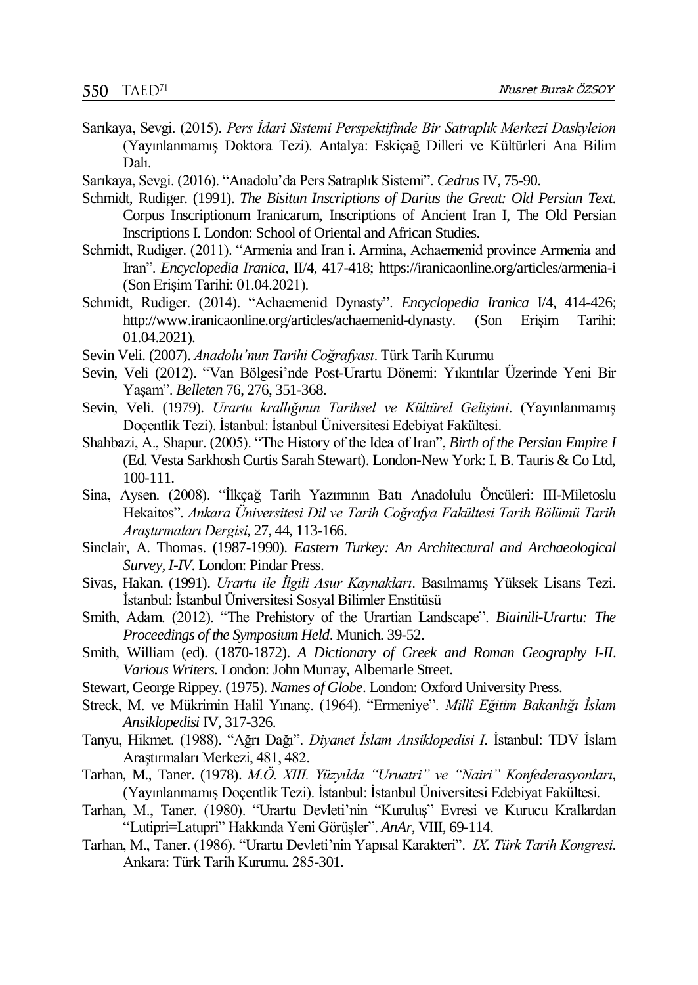- Sarıkaya, Sevgi. (2015). *Pers İdari Sistemi Perspektifinde Bir Satraplık Merkezi Daskyleion* (Yayınlanmamış Doktora Tezi). Antalya: Eskiçağ Dilleri ve Kültürleri Ana Bilim Dalı.
- Sarıkaya, Sevgi. (2016). "Anadolu'da Pers Satraplık Sistemi". *Cedrus* IV, 75-90.
- Schmidt, Rudiger. (1991). *The Bisitun Inscriptions of Darius the Great: Old Persian Text*. Corpus Inscriptionum Iranicarum, Inscriptions of Ancient Iran I, The Old Persian Inscriptions I. London: School of Oriental and African Studies.
- Schmidt, Rudiger. (2011). "Armenia and Iran i. Armina, Achaemenid province Armenia and Iran". *Encyclopedia Iranica*, II/4, 417-418; https://iranicaonline.org/articles/armenia-i (Son Erişim Tarihi: 01.04.2021).
- Schmidt, Rudiger. (2014). "Achaemenid Dynasty". *Encyclopedia Iranica* I/4, 414-426; http://www.iranicaonline.org/articles/achaemenid-dynasty. (Son Erişim Tarihi: 01.04.2021).
- Sevin Veli. (2007). *Anadolu'nun Tarihi Coğrafyası*. Türk Tarih Kurumu
- Sevin, Veli (2012). "Van Bölgesi'nde Post-Urartu Dönemi: Yıkıntılar Üzerinde Yeni Bir Yaşam". *Belleten* 76, 276, 351-368.
- Sevin, Veli. (1979). *Urartu krallığının Tarihsel ve Kültürel Gelişimi*. (Yayınlanmamış Doçentlik Tezi). İstanbul: İstanbul Üniversitesi Edebiyat Fakültesi.
- Shahbazi, A., Shapur. (2005). "The History of the Idea of Iran", *Birth of the Persian Empire I* (Ed. Vesta Sarkhosh Curtis Sarah Stewart). London-New York: I. B. Tauris & Co Ltd, 100-111.
- Sina, Aysen. (2008). "İlkçağ Tarih Yazımının Batı Anadolulu Öncüleri: III-Miletoslu Hekaitos". *Ankara Üniversitesi Dil ve Tarih Coğrafya Fakültesi Tarih Bölümü Tarih Araştırmaları Dergisi*, 27, 44, 113-166.
- Sinclair, A. Thomas. (1987-1990). *Eastern Turkey: An Architectural and Archaeological Survey, I-IV*. London: Pindar Press.
- Sivas, Hakan. (1991). *Urartu ile İlgili Asur Kaynakları*. Basılmamış Yüksek Lisans Tezi. İstanbul: İstanbul Üniversitesi Sosyal Bilimler Enstitüsü
- Smith, Adam. (2012). "The Prehistory of the Urartian Landscape". *Biainili-Urartu: The Proceedings of the Symposium Held*. Munich. 39-52.
- Smith, William (ed). (1870-1872). *A Dictionary of Greek and Roman Geography I-II*. *Various Writers.* London: John Murray, Albemarle Street.
- Stewart, George Rippey. (1975). *Names of Globe*. London: Oxford University Press.
- Streck, M. ve Mükrimin Halil Yınanç. (1964). "Ermeniye". *Millî Eğitim Bakanlığı İslam Ansiklopedisi* IV, 317-326.
- Tanyu, Hikmet. (1988). "Ağrı Dağı". *Diyanet İslam Ansiklopedisi I*. İstanbul: TDV İslam Araştırmaları Merkezi, 481, 482.
- Tarhan, M., Taner. (1978). *M.Ö. XIII. Yüzyılda "Uruatri" ve "Nairi" Konfederasyonları*, (Yayınlanmamış Doçentlik Tezi). İstanbul: İstanbul Üniversitesi Edebiyat Fakültesi.
- Tarhan, M., Taner. (1980). "Urartu Devleti'nin "Kuruluş" Evresi ve Kurucu Krallardan "Lutipri=Latupri" Hakkında Yeni Görüşler". *AnAr*, VIII, 69-114.
- Tarhan, M., Taner. (1986). "Urartu Devleti'nin Yapısal Karakteri". *IX. Türk Tarih Kongresi*. Ankara: Türk Tarih Kurumu. 285-301.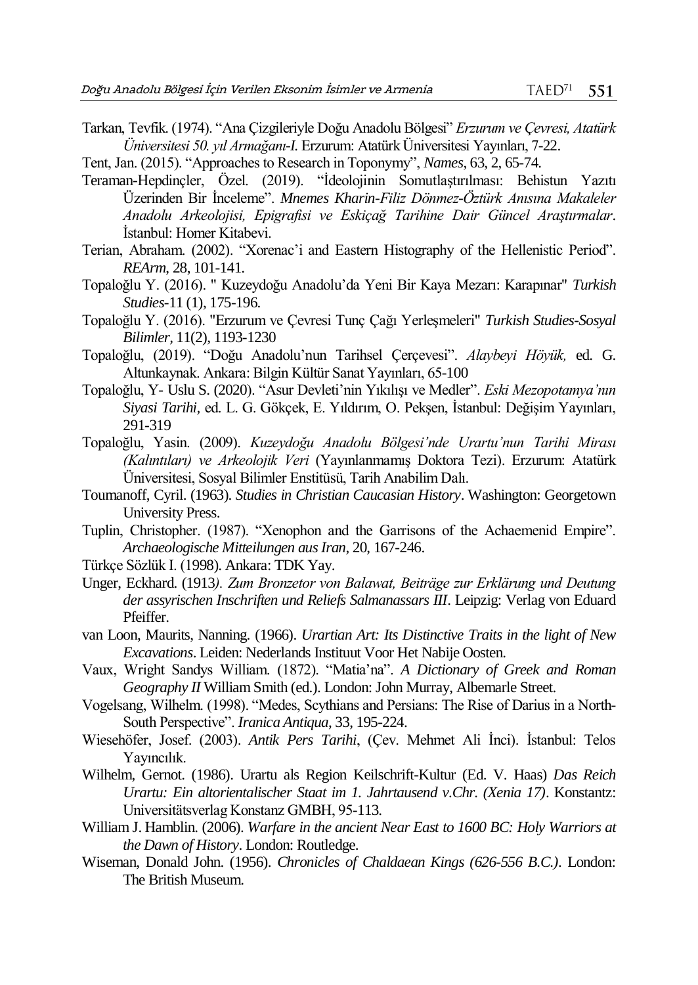Tarkan, Tevfik. (1974). "Ana Çizgileriyle Doğu Anadolu Bölgesi" *Erzurum ve Çevresi, Atatürk Üniversitesi 50. yıl Armağanı-I.* Erzurum: Atatürk Üniversitesi Yayınları, 7-22.

Tent, Jan. (2015). "Approaches to Research in Toponymy", *Names*, 63, 2, 65-74.

- Teraman-Hepdinçler, Özel. (2019). "İdeolojinin Somutlaştırılması: Behistun Yazıtı Üzerinden Bir İnceleme". *Mnemes Kharin-Filiz Dönmez-Öztürk Anısına Makaleler Anadolu Arkeolojisi, Epigrafisi ve Eskiçağ Tarihine Dair Güncel Araştırmalar*. İstanbul: Homer Kitabevi.
- Terian, Abraham. (2002). "Xorenac'i and Eastern Histography of the Hellenistic Period". *REArm*, 28, 101-141.
- Topaloğlu Y. (2016). " Kuzeydoğu Anadolu'da Yeni Bir Kaya Mezarı: Karapınar" *Turkish Studies-*11 (1), 175-196.
- Topaloğlu Y. (2016). "Erzurum ve Çevresi Tunç Çağı Yerleşmeleri" *Turkish Studies-Sosyal Bilimler,* 11(2), 1193-1230
- Topaloğlu, (2019). "Doğu Anadolu'nun Tarihsel Çerçevesi". *Alaybeyi Höyük,* ed. G. Altunkaynak. Ankara: Bilgin Kültür Sanat Yayınları, 65-100
- Topaloğlu, Y- Uslu S. (2020). "Asur Devleti'nin Yıkılışı ve Medler". *Eski Mezopotamya'nın Siyasi Tarihi,* ed. L. G. Gökçek, E. Yıldırım, O. Pekşen, İstanbul: Değişim Yayınları, 291-319
- Topaloğlu, Yasin. (2009). *Kuzeydoğu Anadolu Bölgesi'nde Urartu'nun Tarihi Mirası (Kalıntıları) ve Arkeolojik Veri* (Yayınlanmamış Doktora Tezi). Erzurum: Atatürk Üniversitesi, Sosyal Bilimler Enstitüsü, Tarih Anabilim Dalı.
- Toumanoff, Cyril. (1963). *Studies in Christian Caucasian History*. Washington: Georgetown University Press.
- Tuplin, Christopher. (1987). "Xenophon and the Garrisons of the Achaemenid Empire". *Archaeologische Mitteilungen aus Iran*, 20, 167-246.
- Türkçe Sözlük I. (1998). Ankara: TDK Yay.
- Unger, Eckhard. (1913*). Zum Bronzetor von Balawat, Beiträge zur Erklärung und Deutung der assyrischen Inschriften und Reliefs Salmanassars III*. Leipzig: Verlag von Eduard Pfeiffer.
- van Loon, Maurits, Nanning. (1966). *Urartian Art: Its Distinctive Traits in the light of New Excavations*. Leiden: Nederlands Instituut Voor Het Nabije Oosten.
- Vaux, Wright Sandys William. (1872). "Matia'na". *A Dictionary of Greek and Roman Geography II* William Smith (ed.). London: John Murray, Albemarle Street.
- Vogelsang, Wilhelm. (1998). "Medes, Scythians and Persians: The Rise of Darius in a North-South Perspective". *Iranica Antiqua*, 33, 195-224.
- Wiesehöfer, Josef. (2003). *Antik Pers Tarihi*, (Çev. Mehmet Ali İnci). İstanbul: Telos Yayıncılık.
- Wilhelm, Gernot. (1986). Urartu als Region Keilschrift-Kultur (Ed. V. Haas) *Das Reich Urartu: Ein altorientalischer Staat im 1. Jahrtausend v.Chr. (Xenia 17)*. Konstantz: Universitätsverlag Konstanz GMBH, 95-113.
- William J. Hamblin. (2006). *Warfare in the ancient Near East to 1600 BC: Holy Warriors at the Dawn of History*. London: Routledge.
- Wiseman, Donald John. (1956). *Chronicles of Chaldaean Kings (626-556 B.C.)*. London: The British Museum.